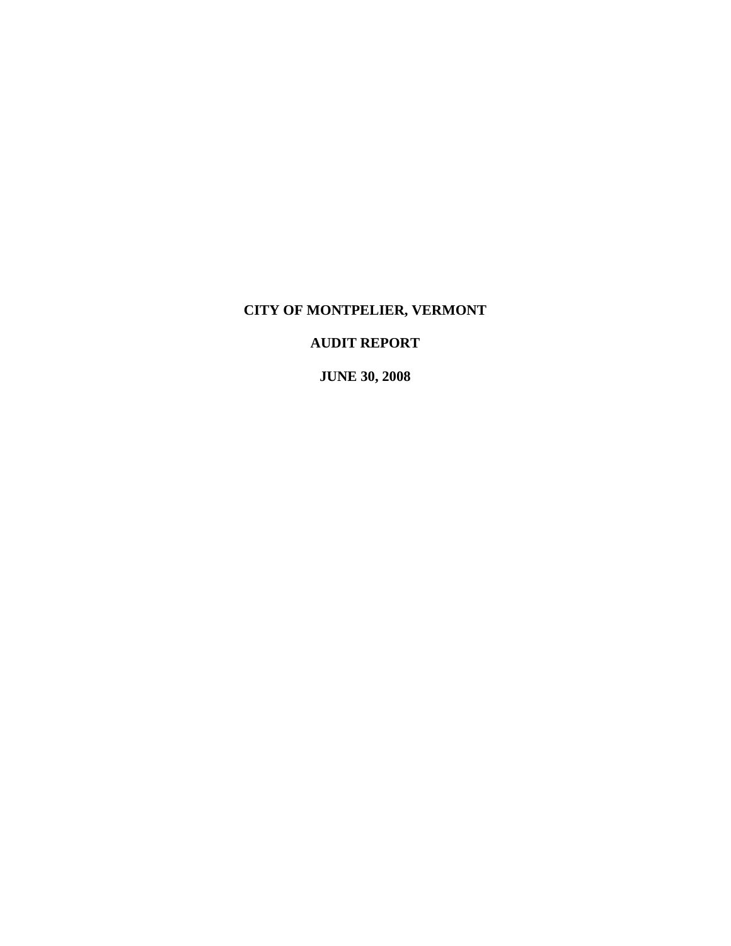# **CITY OF MONTPELIER, VERMONT**

# **AUDIT REPORT**

**JUNE 30, 2008**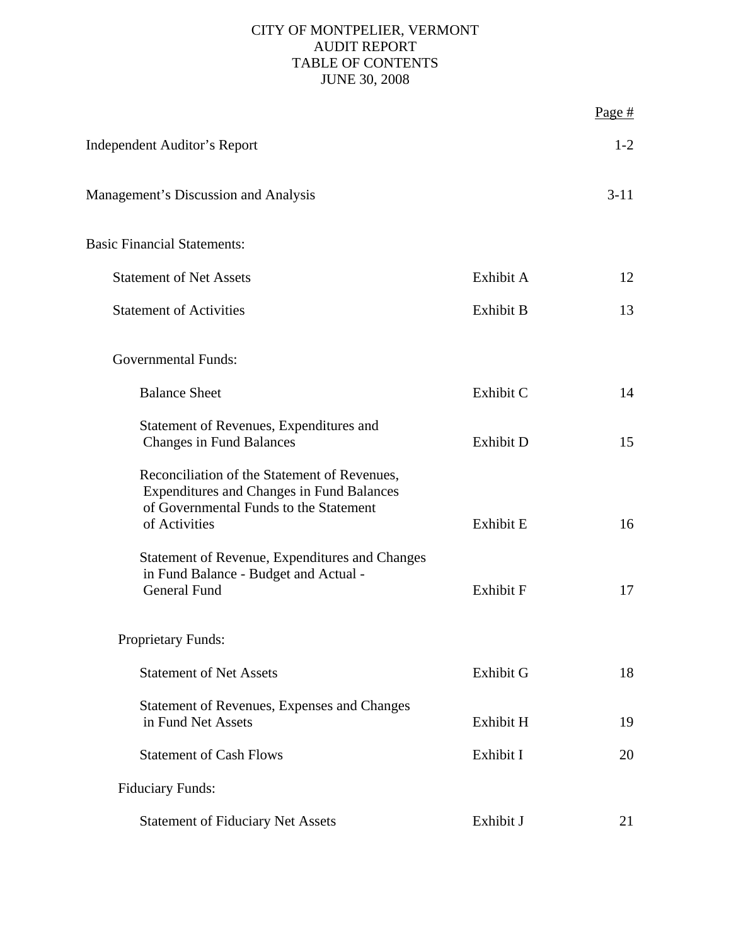# CITY OF MONTPELIER, VERMONT AUDIT REPORT TABLE OF CONTENTS JUNE 30, 2008

|                                                                                                                                                             |                  | Page # |
|-------------------------------------------------------------------------------------------------------------------------------------------------------------|------------------|--------|
| <b>Independent Auditor's Report</b>                                                                                                                         |                  | $1-2$  |
| Management's Discussion and Analysis                                                                                                                        |                  | $3-11$ |
| <b>Basic Financial Statements:</b>                                                                                                                          |                  |        |
| <b>Statement of Net Assets</b>                                                                                                                              | Exhibit A        | 12     |
| <b>Statement of Activities</b>                                                                                                                              | Exhibit B        | 13     |
| <b>Governmental Funds:</b>                                                                                                                                  |                  |        |
| <b>Balance Sheet</b>                                                                                                                                        | Exhibit C        | 14     |
| Statement of Revenues, Expenditures and<br><b>Changes in Fund Balances</b>                                                                                  | Exhibit D        | 15     |
| Reconciliation of the Statement of Revenues,<br><b>Expenditures and Changes in Fund Balances</b><br>of Governmental Funds to the Statement<br>of Activities | Exhibit E        | 16     |
| Statement of Revenue, Expenditures and Changes<br>in Fund Balance - Budget and Actual -<br><b>General Fund</b>                                              | <b>Exhibit F</b> | 17     |
| Proprietary Funds:                                                                                                                                          |                  |        |
| <b>Statement of Net Assets</b>                                                                                                                              | Exhibit G        | 18     |
| Statement of Revenues, Expenses and Changes<br>in Fund Net Assets                                                                                           | Exhibit H        | 19     |
| <b>Statement of Cash Flows</b>                                                                                                                              | Exhibit I        | 20     |
| <b>Fiduciary Funds:</b>                                                                                                                                     |                  |        |
| <b>Statement of Fiduciary Net Assets</b>                                                                                                                    | Exhibit J        | 21     |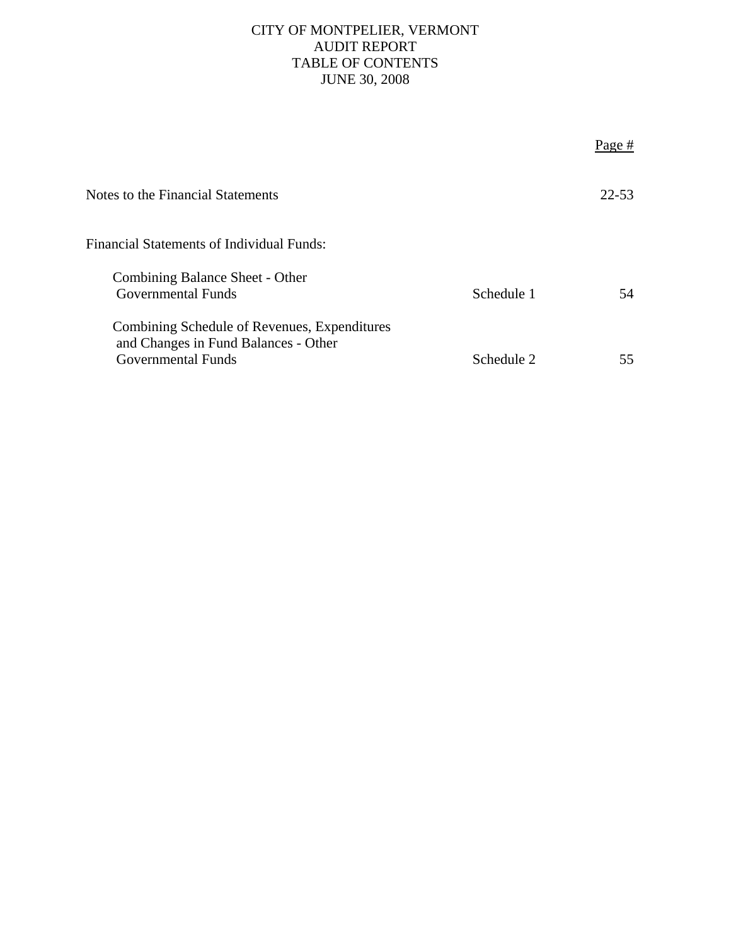# CITY OF MONTPELIER, VERMONT AUDIT REPORT TABLE OF CONTENTS JUNE 30, 2008

|                                                                                                                   |            | Page # |
|-------------------------------------------------------------------------------------------------------------------|------------|--------|
| Notes to the Financial Statements                                                                                 |            | 22-53  |
| Financial Statements of Individual Funds:                                                                         |            |        |
| Combining Balance Sheet - Other<br>Governmental Funds                                                             | Schedule 1 | 54     |
| Combining Schedule of Revenues, Expenditures<br>and Changes in Fund Balances - Other<br><b>Governmental Funds</b> | Schedule 2 | 55     |
|                                                                                                                   |            |        |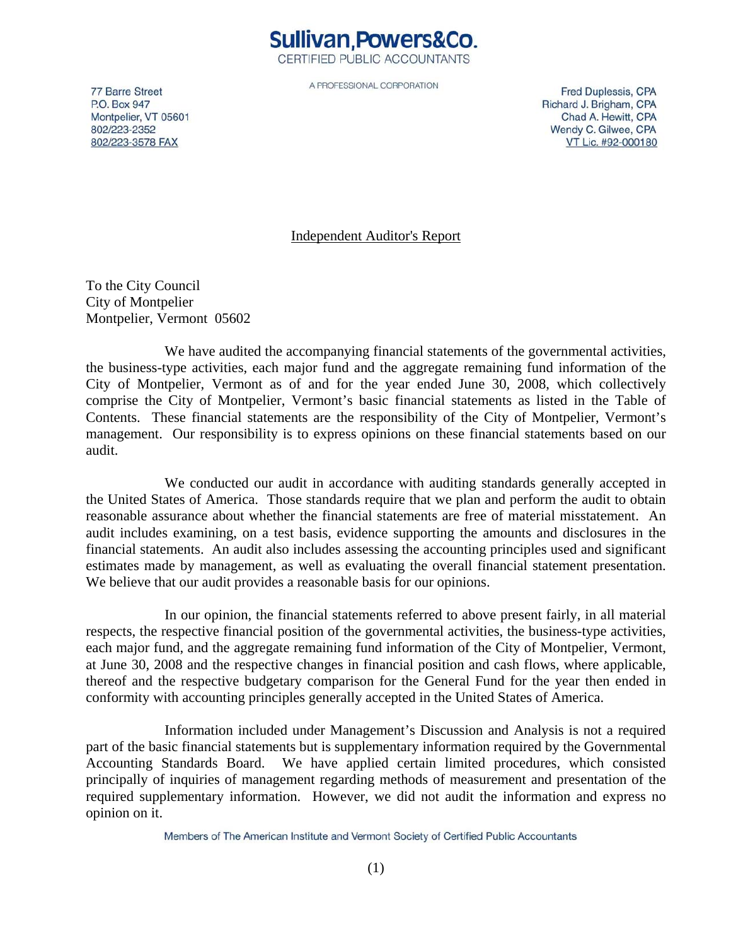

A PROFESSIONAL CORPORATION

**77 Barre Street** P.O. Box 947 Montpelier, VT 05601 802/223-2352 802/223-3578 FAX

Fred Duplessis, CPA Richard J. Brigham, CPA Chad A. Hewitt, CPA Wendy C. Gilwee, CPA VT Lic. #92-000180

#### Independent Auditor's Report

To the City Council City of Montpelier Montpelier, Vermont 05602

We have audited the accompanying financial statements of the governmental activities, the business-type activities, each major fund and the aggregate remaining fund information of the City of Montpelier, Vermont as of and for the year ended June 30, 2008, which collectively comprise the City of Montpelier, Vermont's basic financial statements as listed in the Table of Contents. These financial statements are the responsibility of the City of Montpelier, Vermont's management. Our responsibility is to express opinions on these financial statements based on our audit.

 We conducted our audit in accordance with auditing standards generally accepted in the United States of America. Those standards require that we plan and perform the audit to obtain reasonable assurance about whether the financial statements are free of material misstatement. An audit includes examining, on a test basis, evidence supporting the amounts and disclosures in the financial statements. An audit also includes assessing the accounting principles used and significant estimates made by management, as well as evaluating the overall financial statement presentation. We believe that our audit provides a reasonable basis for our opinions.

 In our opinion, the financial statements referred to above present fairly, in all material respects, the respective financial position of the governmental activities, the business-type activities, each major fund, and the aggregate remaining fund information of the City of Montpelier, Vermont, at June 30, 2008 and the respective changes in financial position and cash flows, where applicable, thereof and the respective budgetary comparison for the General Fund for the year then ended in conformity with accounting principles generally accepted in the United States of America.

 Information included under Management's Discussion and Analysis is not a required part of the basic financial statements but is supplementary information required by the Governmental Accounting Standards Board. We have applied certain limited procedures, which consisted principally of inquiries of management regarding methods of measurement and presentation of the required supplementary information. However, we did not audit the information and express no opinion on it.

Members of The American Institute and Vermont Society of Certified Public Accountants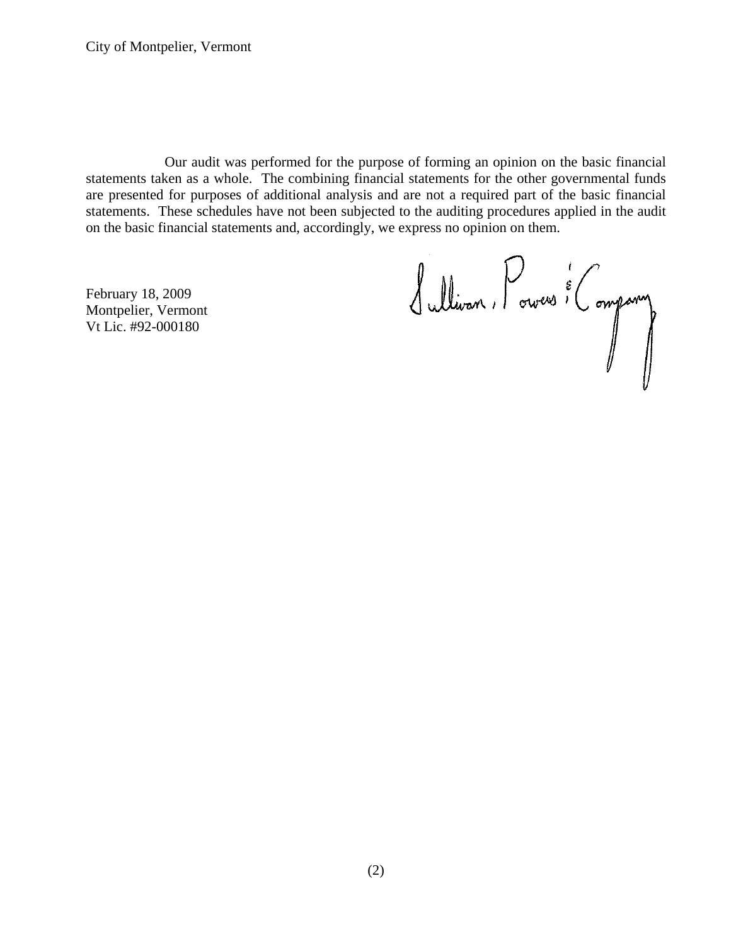City of Montpelier, Vermont

 Our audit was performed for the purpose of forming an opinion on the basic financial statements taken as a whole. The combining financial statements for the other governmental funds are presented for purposes of additional analysis and are not a required part of the basic financial statements. These schedules have not been subjected to the auditing procedures applied in the audit on the basic financial statements and, accordingly, we express no opinion on them.

February 18, 2009 Montpelier, Vermont Vt Lic. #92-000180

Sullivan, Powers "Company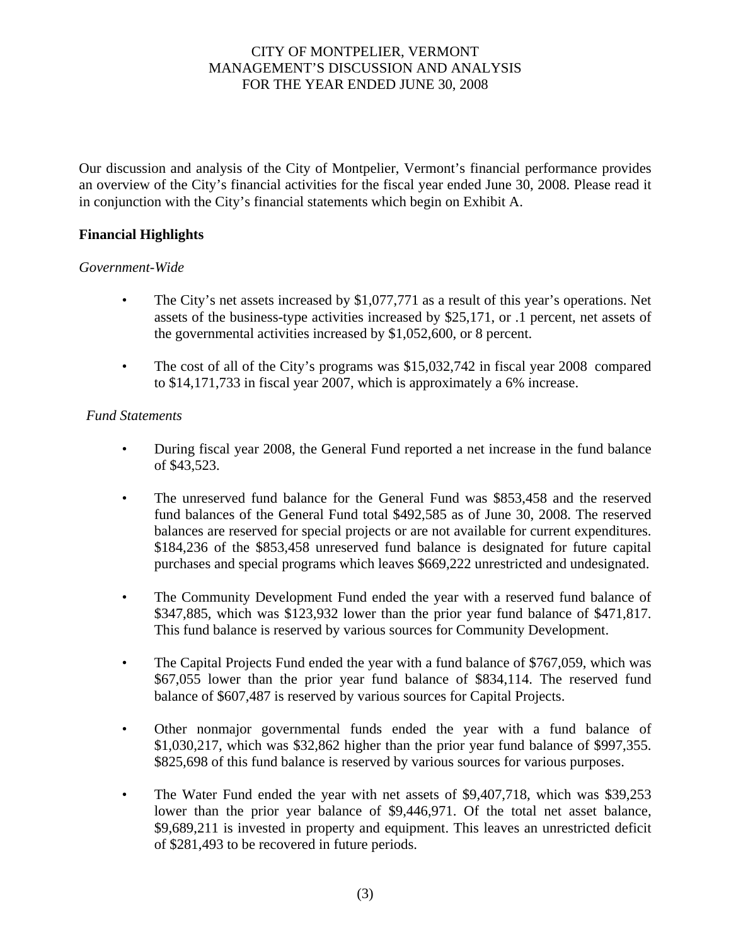Our discussion and analysis of the City of Montpelier, Vermont's financial performance provides an overview of the City's financial activities for the fiscal year ended June 30, 2008. Please read it in conjunction with the City's financial statements which begin on Exhibit A.

## **Financial Highlights**

#### *Government-Wide*

- The City's net assets increased by \$1,077,771 as a result of this year's operations. Net assets of the business-type activities increased by \$25,171, or .1 percent, net assets of the governmental activities increased by \$1,052,600, or 8 percent.
- The cost of all of the City's programs was \$15,032,742 in fiscal year 2008 compared to \$14,171,733 in fiscal year 2007, which is approximately a 6% increase.

#### *Fund Statements*

- During fiscal year 2008, the General Fund reported a net increase in the fund balance of \$43,523.
- The unreserved fund balance for the General Fund was \$853,458 and the reserved fund balances of the General Fund total \$492,585 as of June 30, 2008. The reserved balances are reserved for special projects or are not available for current expenditures. \$184,236 of the \$853,458 unreserved fund balance is designated for future capital purchases and special programs which leaves \$669,222 unrestricted and undesignated.
- The Community Development Fund ended the year with a reserved fund balance of \$347,885, which was \$123,932 lower than the prior year fund balance of \$471,817. This fund balance is reserved by various sources for Community Development.
- The Capital Projects Fund ended the year with a fund balance of \$767,059, which was \$67,055 lower than the prior year fund balance of \$834,114. The reserved fund balance of \$607,487 is reserved by various sources for Capital Projects.
- Other nonmajor governmental funds ended the year with a fund balance of \$1,030,217, which was \$32,862 higher than the prior year fund balance of \$997,355. \$825,698 of this fund balance is reserved by various sources for various purposes.
- The Water Fund ended the year with net assets of \$9,407,718, which was \$39,253 lower than the prior year balance of \$9,446,971. Of the total net asset balance, \$9,689,211 is invested in property and equipment. This leaves an unrestricted deficit of \$281,493 to be recovered in future periods.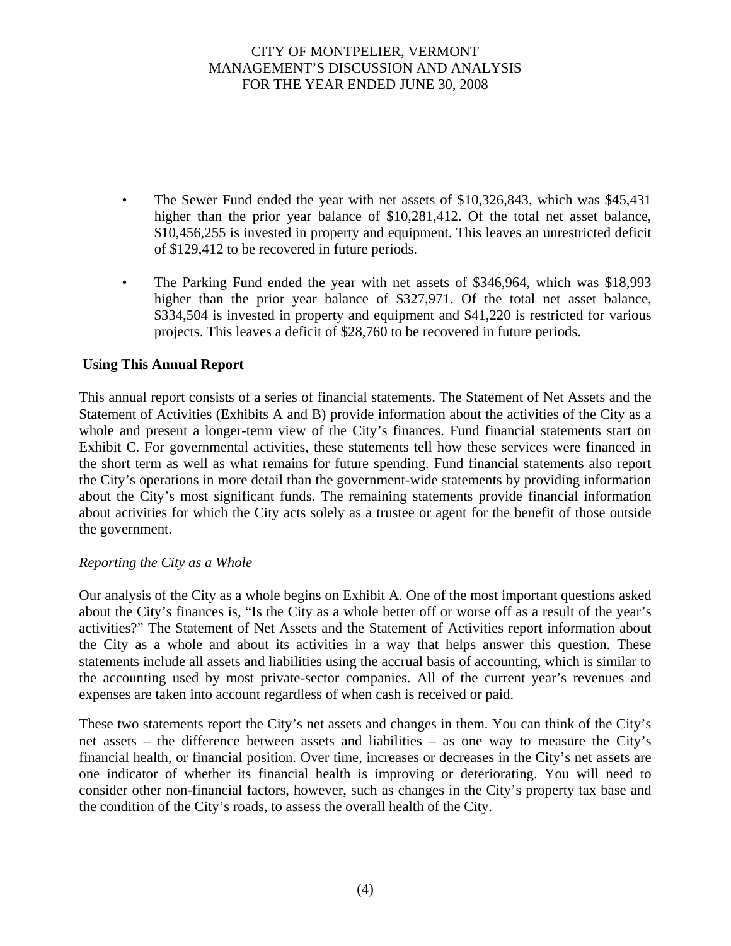- The Sewer Fund ended the year with net assets of \$10,326,843, which was \$45,431 higher than the prior year balance of \$10,281,412. Of the total net asset balance, \$10,456,255 is invested in property and equipment. This leaves an unrestricted deficit of \$129,412 to be recovered in future periods.
- The Parking Fund ended the year with net assets of \$346,964, which was \$18,993 higher than the prior year balance of \$327,971. Of the total net asset balance, \$334,504 is invested in property and equipment and \$41,220 is restricted for various projects. This leaves a deficit of \$28,760 to be recovered in future periods.

## **Using This Annual Report**

This annual report consists of a series of financial statements. The Statement of Net Assets and the Statement of Activities (Exhibits A and B) provide information about the activities of the City as a whole and present a longer-term view of the City's finances. Fund financial statements start on Exhibit C. For governmental activities, these statements tell how these services were financed in the short term as well as what remains for future spending. Fund financial statements also report the City's operations in more detail than the government-wide statements by providing information about the City's most significant funds. The remaining statements provide financial information about activities for which the City acts solely as a trustee or agent for the benefit of those outside the government.

#### *Reporting the City as a Whole*

Our analysis of the City as a whole begins on Exhibit A. One of the most important questions asked about the City's finances is, "Is the City as a whole better off or worse off as a result of the year's activities?" The Statement of Net Assets and the Statement of Activities report information about the City as a whole and about its activities in a way that helps answer this question. These statements include all assets and liabilities using the accrual basis of accounting, which is similar to the accounting used by most private-sector companies. All of the current year's revenues and expenses are taken into account regardless of when cash is received or paid.

These two statements report the City's net assets and changes in them. You can think of the City's net assets – the difference between assets and liabilities – as one way to measure the City's financial health, or financial position. Over time, increases or decreases in the City's net assets are one indicator of whether its financial health is improving or deteriorating. You will need to consider other non-financial factors, however, such as changes in the City's property tax base and the condition of the City's roads, to assess the overall health of the City.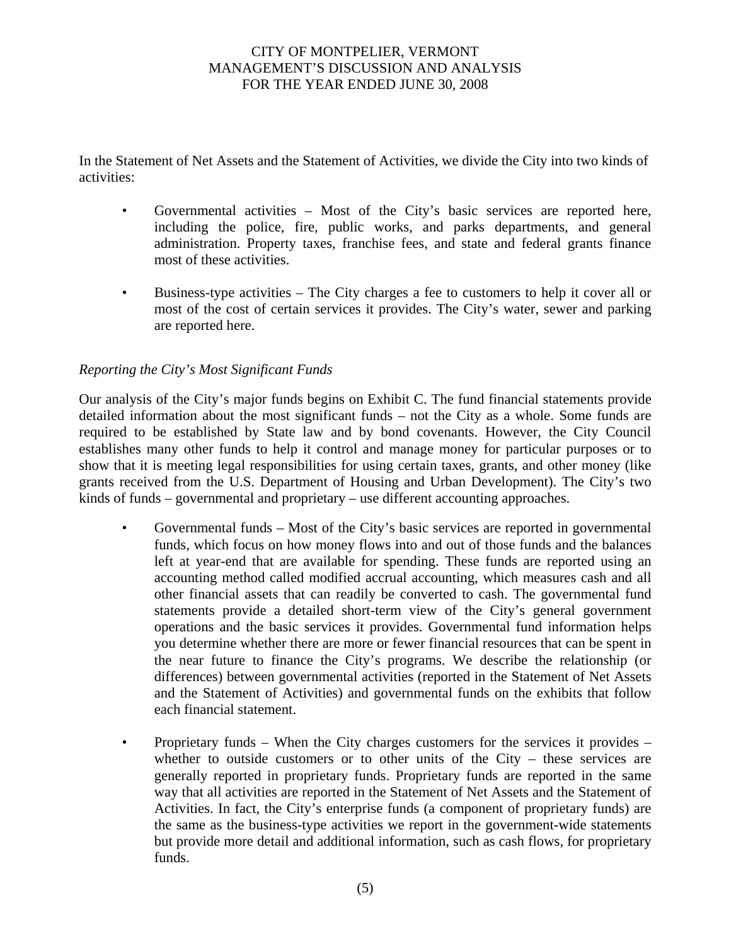In the Statement of Net Assets and the Statement of Activities, we divide the City into two kinds of activities:

- Governmental activities Most of the City's basic services are reported here, including the police, fire, public works, and parks departments, and general administration. Property taxes, franchise fees, and state and federal grants finance most of these activities.
- Business-type activities The City charges a fee to customers to help it cover all or most of the cost of certain services it provides. The City's water, sewer and parking are reported here.

## *Reporting the City's Most Significant Funds*

Our analysis of the City's major funds begins on Exhibit C. The fund financial statements provide detailed information about the most significant funds – not the City as a whole. Some funds are required to be established by State law and by bond covenants. However, the City Council establishes many other funds to help it control and manage money for particular purposes or to show that it is meeting legal responsibilities for using certain taxes, grants, and other money (like grants received from the U.S. Department of Housing and Urban Development). The City's two kinds of funds – governmental and proprietary – use different accounting approaches.

- Governmental funds Most of the City's basic services are reported in governmental funds, which focus on how money flows into and out of those funds and the balances left at year-end that are available for spending. These funds are reported using an accounting method called modified accrual accounting, which measures cash and all other financial assets that can readily be converted to cash. The governmental fund statements provide a detailed short-term view of the City's general government operations and the basic services it provides. Governmental fund information helps you determine whether there are more or fewer financial resources that can be spent in the near future to finance the City's programs. We describe the relationship (or differences) between governmental activities (reported in the Statement of Net Assets and the Statement of Activities) and governmental funds on the exhibits that follow each financial statement.
- Proprietary funds When the City charges customers for the services it provides whether to outside customers or to other units of the City – these services are generally reported in proprietary funds. Proprietary funds are reported in the same way that all activities are reported in the Statement of Net Assets and the Statement of Activities. In fact, the City's enterprise funds (a component of proprietary funds) are the same as the business-type activities we report in the government-wide statements but provide more detail and additional information, such as cash flows, for proprietary funds.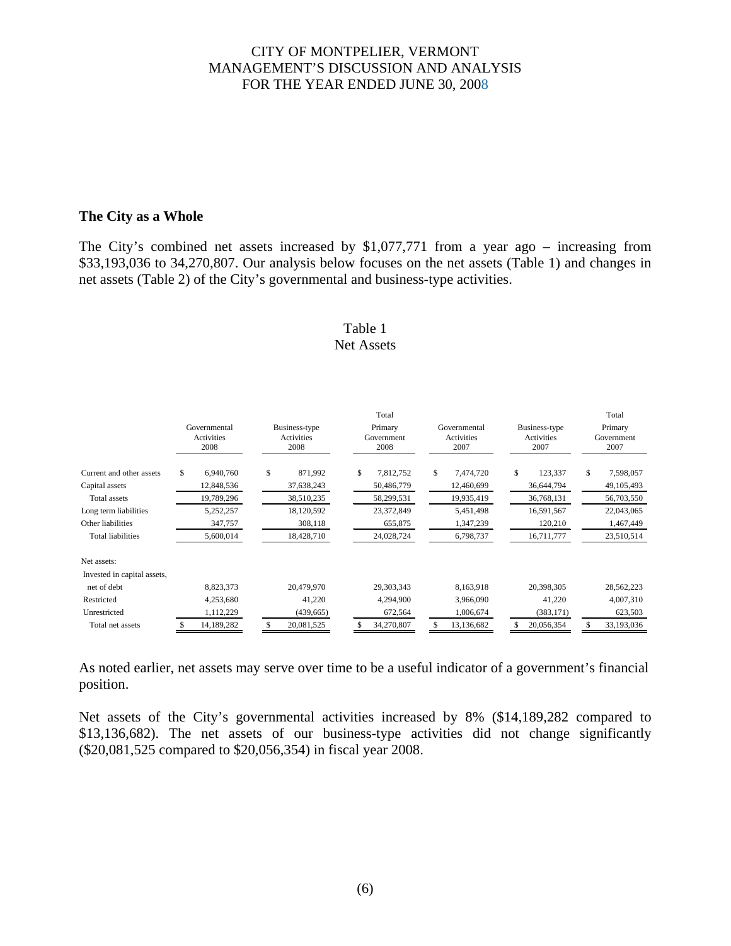#### **The City as a Whole**

The City's combined net assets increased by \$1,077,771 from a year ago – increasing from \$33,193,036 to 34,270,807. Our analysis below focuses on the net assets (Table 1) and changes in net assets (Table 2) of the City's governmental and business-type activities.

|                             |                                           |                                            |              | Total                         |    |                                           |    |                                            | Total                         |
|-----------------------------|-------------------------------------------|--------------------------------------------|--------------|-------------------------------|----|-------------------------------------------|----|--------------------------------------------|-------------------------------|
|                             | Governmental<br><b>Activities</b><br>2008 | Business-type<br><b>Activities</b><br>2008 |              | Primary<br>Government<br>2008 |    | Governmental<br><b>Activities</b><br>2007 |    | Business-type<br><b>Activities</b><br>2007 | Primary<br>Government<br>2007 |
| Current and other assets    | \$<br>6,940,760                           | \$<br>871,992                              | $\mathbb{S}$ | 7,812,752                     | \$ | 7,474,720                                 | \$ | 123,337                                    | \$<br>7,598,057               |
| Capital assets              | 12,848,536                                | 37,638,243                                 |              | 50,486,779                    |    | 12,460,699                                |    | 36,644,794                                 | 49, 105, 493                  |
| Total assets                | 19,789,296                                | 38,510,235                                 |              | 58,299,531                    |    | 19,935,419                                |    | 36,768,131                                 | 56,703,550                    |
| Long term liabilities       | 5,252,257                                 | 18,120,592                                 |              | 23,372,849                    |    | 5,451,498                                 |    | 16,591,567                                 | 22,043,065                    |
| Other liabilities           | 347,757                                   | 308,118                                    |              | 655,875                       |    | 1,347,239                                 |    | 120,210                                    | 1,467,449                     |
| <b>Total liabilities</b>    | 5,600,014                                 | 18,428,710                                 |              | 24,028,724                    |    | 6,798,737                                 |    | 16,711,777                                 | 23,510,514                    |
| Net assets:                 |                                           |                                            |              |                               |    |                                           |    |                                            |                               |
| Invested in capital assets, |                                           |                                            |              |                               |    |                                           |    |                                            |                               |
| net of debt                 | 8,823,373                                 | 20,479,970                                 |              | 29,303,343                    |    | 8,163,918                                 |    | 20,398,305                                 | 28,562,223                    |
| Restricted                  | 4,253,680                                 | 41,220                                     |              | 4,294,900                     |    | 3,966,090                                 |    | 41,220                                     | 4,007,310                     |
| Unrestricted                | 1,112,229                                 | (439, 665)                                 |              | 672,564                       |    | 1,006,674                                 |    | (383, 171)                                 | 623,503                       |
| Total net assets            | 14,189,282                                | \$<br>20,081,525                           |              | 34,270,807                    |    | 13,136,682                                | S  | 20,056,354                                 | \$<br>33,193,036              |

#### Table 1 Net Assets

As noted earlier, net assets may serve over time to be a useful indicator of a government's financial position.

Net assets of the City's governmental activities increased by 8% (\$14,189,282 compared to \$13,136,682). The net assets of our business-type activities did not change significantly (\$20,081,525 compared to \$20,056,354) in fiscal year 2008.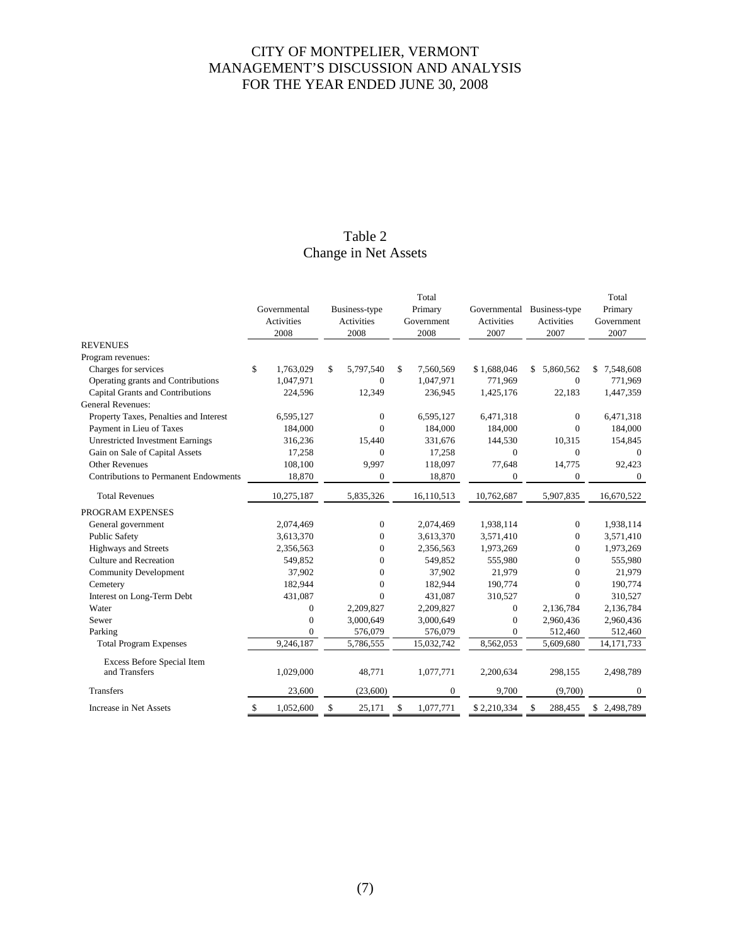# Table 2 Change in Net Assets

|                                             |     | Governmental<br><b>Activities</b><br>2008 | Business-type<br>Activities<br>2008 | Total<br>Primary<br>Government<br>2008 | Governmental<br><b>Activities</b><br>2007 | Business-type<br>Activities<br>2007 | Total<br>Primary<br>Government<br>2007 |
|---------------------------------------------|-----|-------------------------------------------|-------------------------------------|----------------------------------------|-------------------------------------------|-------------------------------------|----------------------------------------|
| <b>REVENUES</b>                             |     |                                           |                                     |                                        |                                           |                                     |                                        |
| Program revenues:                           |     |                                           |                                     |                                        |                                           |                                     |                                        |
| Charges for services                        | \$. | 1,763,029                                 | \$<br>5,797,540                     | \$<br>7,560,569                        | \$1,688,046                               | 5,860,562<br>\$.                    | \$7,548,608                            |
| Operating grants and Contributions          |     | 1,047,971                                 | $\Omega$                            | 1,047,971                              | 771,969                                   | $\Omega$                            | 771,969                                |
| Capital Grants and Contributions            |     | 224,596                                   | 12,349                              | 236,945                                | 1,425,176                                 | 22,183                              | 1,447,359                              |
| <b>General Revenues:</b>                    |     |                                           |                                     |                                        |                                           |                                     |                                        |
| Property Taxes, Penalties and Interest      |     | 6,595,127                                 | $\mathbf{0}$                        | 6,595,127                              | 6,471,318                                 | $\overline{0}$                      | 6,471,318                              |
| Payment in Lieu of Taxes                    |     | 184,000                                   | $\Omega$                            | 184,000                                | 184,000                                   | $\theta$                            | 184,000                                |
| <b>Unrestricted Investment Earnings</b>     |     | 316,236                                   | 15,440                              | 331,676                                | 144,530                                   | 10,315                              | 154,845                                |
| Gain on Sale of Capital Assets              |     | 17,258                                    | $\Omega$                            | 17,258                                 | $\mathbf{0}$                              | $\theta$                            | $\Omega$                               |
| <b>Other Revenues</b>                       |     | 108,100                                   | 9,997                               | 118,097                                | 77,648                                    | 14,775                              | 92,423                                 |
| Contributions to Permanent Endowments       |     | 18,870                                    | $\Omega$                            | 18,870                                 | $\Omega$                                  | $\theta$                            | $\Omega$                               |
| <b>Total Revenues</b>                       |     | 10,275,187                                | 5,835,326                           | 16,110,513                             | 10,762,687                                | 5,907,835                           | 16,670,522                             |
| PROGRAM EXPENSES                            |     |                                           |                                     |                                        |                                           |                                     |                                        |
| General government                          |     | 2,074,469                                 | $\Omega$                            | 2,074,469                              | 1,938,114                                 | $\Omega$                            | 1,938,114                              |
| <b>Public Safety</b>                        |     | 3,613,370                                 | $\Omega$                            | 3,613,370                              | 3,571,410                                 | $\Omega$                            | 3,571,410                              |
| <b>Highways and Streets</b>                 |     | 2,356,563                                 | $\mathbf{0}$                        | 2,356,563                              | 1,973,269                                 | $\theta$                            | 1,973,269                              |
| <b>Culture and Recreation</b>               |     | 549,852                                   | $\overline{0}$                      | 549.852                                | 555,980                                   | $\theta$                            | 555,980                                |
| <b>Community Development</b>                |     | 37,902                                    | $\overline{0}$                      | 37,902                                 | 21,979                                    | $\theta$                            | 21,979                                 |
| Cemetery                                    |     | 182,944                                   | $\overline{0}$                      | 182,944                                | 190,774                                   | $\theta$                            | 190,774                                |
| Interest on Long-Term Debt                  |     | 431,087                                   | $\mathbf{0}$                        | 431,087                                | 310,527                                   | $\theta$                            | 310,527                                |
| Water                                       |     | $\mathbf{0}$                              | 2,209,827                           | 2,209,827                              | $\mathbf{0}$                              | 2,136,784                           | 2,136,784                              |
| Sewer                                       |     | $\mathbf{0}$                              | 3,000,649                           | 3,000,649                              | $\mathbf{0}$                              | 2,960,436                           | 2,960,436                              |
| Parking                                     |     | $\mathbf{0}$                              | 576,079                             | 576,079                                | $\mathbf{0}$                              | 512,460                             | 512,460                                |
| <b>Total Program Expenses</b>               |     | 9,246,187                                 | 5,786,555                           | 15,032,742                             | 8,562,053                                 | 5,609,680                           | 14, 171, 733                           |
| Excess Before Special Item<br>and Transfers |     | 1,029,000                                 | 48,771                              | 1,077,771                              | 2,200,634                                 | 298,155                             | 2,498,789                              |
| <b>Transfers</b>                            |     | 23,600                                    | (23,600)                            | $\Omega$                               | 9.700                                     | (9,700)                             | $\Omega$                               |
| Increase in Net Assets                      | \$  | 1,052,600                                 | \$<br>25,171                        | \$<br>1,077,771                        | \$2,210,334                               | \$<br>288,455                       | \$2,498,789                            |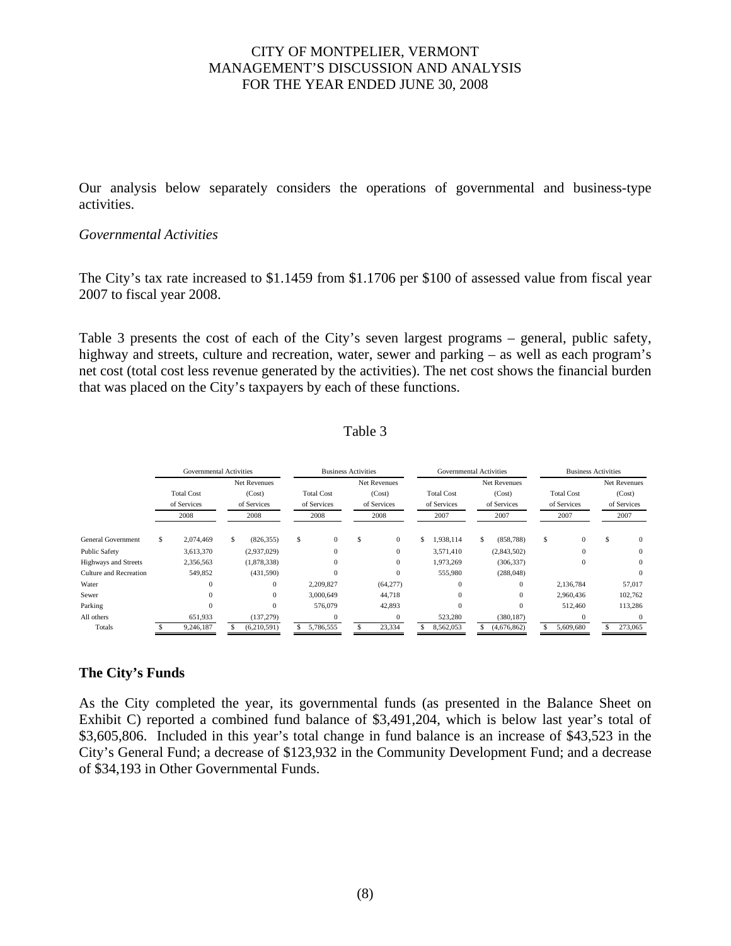Our analysis below separately considers the operations of governmental and business-type activities.

#### *Governmental Activities*

The City's tax rate increased to \$1.1459 from \$1.1706 per \$100 of assessed value from fiscal year 2007 to fiscal year 2008.

Table 3 presents the cost of each of the City's seven largest programs – general, public safety, highway and streets, culture and recreation, water, sewer and parking – as well as each program's net cost (total cost less revenue generated by the activities). The net cost shows the financial burden that was placed on the City's taxpayers by each of these functions.

#### Table 3

|                             |   | Governmental Activities |              | <b>Business Activities</b> |                   |   |              | <b>Governmental Activities</b> |                   |    |                     | <b>Business Activities</b> |                   |             |              |  |
|-----------------------------|---|-------------------------|--------------|----------------------------|-------------------|---|--------------|--------------------------------|-------------------|----|---------------------|----------------------------|-------------------|-------------|--------------|--|
|                             |   |                         | Net Revenues |                            |                   |   | Net Revenues |                                |                   |    | <b>Net Revenues</b> |                            |                   |             | Net Revenues |  |
|                             |   | <b>Total Cost</b>       | (Cost)       |                            | <b>Total Cost</b> |   | (Cost)       |                                | <b>Total Cost</b> |    | (Cost)              |                            | <b>Total Cost</b> |             | (Cost)       |  |
|                             |   | of Services             | of Services  |                            | of Services       |   | of Services  |                                | of Services       |    | of Services         |                            | of Services       | of Services |              |  |
|                             |   | 2008                    | 2008         |                            | 2008              |   | 2008         |                                | 2007              |    | 2007                |                            | 2007              |             | 2007         |  |
| <b>General Government</b>   | S | 2,074,469               | (826, 355)   | \$                         | $\Omega$          | S | $\theta$     | S.                             | 1,938,114         | \$ | (858, 788)          | £.                         | $\mathbf{0}$      | S           | $\Omega$     |  |
| Public Safety               |   | 3,613,370               | (2,937,029)  |                            | $\Omega$          |   | $\mathbf{0}$ |                                | 3,571,410         |    | (2,843,502)         |                            | $\mathbf{0}$      |             | $\mathbf{0}$ |  |
| <b>Highways and Streets</b> |   | 2,356,563               | (1,878,338)  |                            | $\Omega$          |   | $\Omega$     |                                | 1,973,269         |    | (306, 337)          |                            | $\mathbf{0}$      |             | $\Omega$     |  |
| Culture and Recreation      |   | 549,852                 | (431,590)    |                            | 0                 |   | $\Omega$     |                                | 555,980           |    | (288, 048)          |                            |                   |             | $\Omega$     |  |
| Water                       |   | $^{(1)}$                | $\Omega$     |                            | 2.209.827         |   | (64,277)     |                                | $\Omega$          |    | $\Omega$            |                            | 2,136,784         |             | 57,017       |  |
| Sewer                       |   | 0                       | $\Omega$     |                            | 3,000,649         |   | 44,718       |                                | $\Omega$          |    | $\Omega$            |                            | 2,960,436         |             | 102,762      |  |
| Parking                     |   | 0                       | $\Omega$     |                            | 576,079           |   | 42,893       |                                | $\Omega$          |    | $\Omega$            |                            | 512,460           |             | 113,286      |  |
| All others                  |   | 651,933                 | (137, 279)   |                            |                   |   |              |                                | 523,280           |    | (380, 187)          |                            |                   |             |              |  |
| Totals                      |   | 9,246,187               | (6,210,591)  |                            | 5,786,555         |   | 23,334       |                                | 8,562,053         |    | (4,676,862)         |                            | 5,609,680         |             | 273,065      |  |

#### **The City's Funds**

As the City completed the year, its governmental funds (as presented in the Balance Sheet on Exhibit C) reported a combined fund balance of \$3,491,204, which is below last year's total of \$3,605,806. Included in this year's total change in fund balance is an increase of \$43,523 in the City's General Fund; a decrease of \$123,932 in the Community Development Fund; and a decrease of \$34,193 in Other Governmental Funds.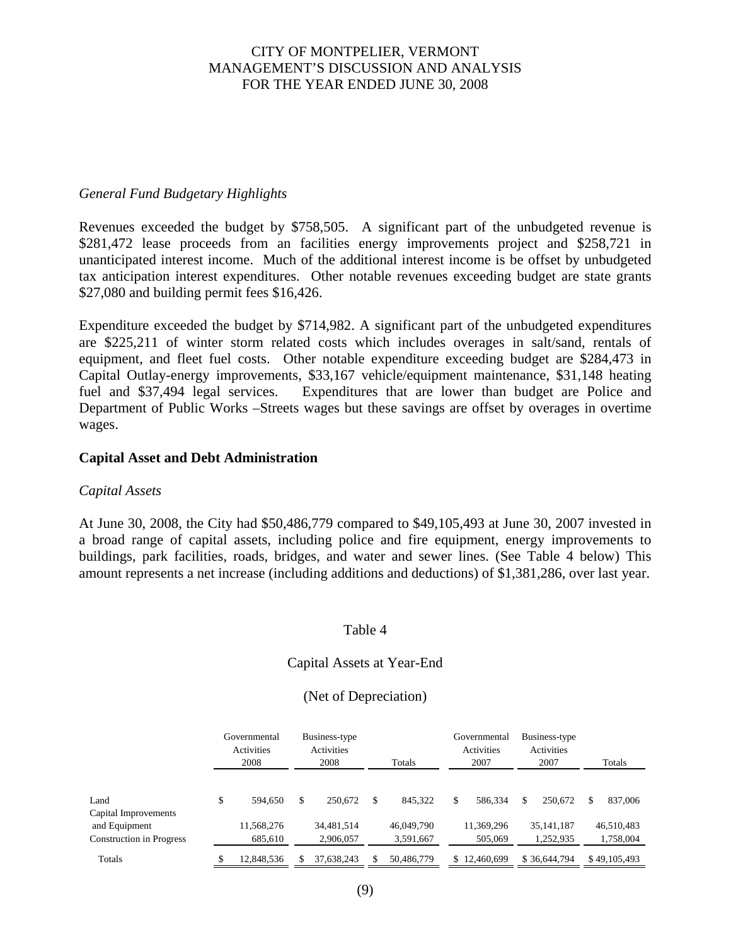#### *General Fund Budgetary Highlights*

Revenues exceeded the budget by \$758,505. A significant part of the unbudgeted revenue is \$281,472 lease proceeds from an facilities energy improvements project and \$258,721 in unanticipated interest income. Much of the additional interest income is be offset by unbudgeted tax anticipation interest expenditures. Other notable revenues exceeding budget are state grants \$27,080 and building permit fees \$16,426.

Expenditure exceeded the budget by \$714,982. A significant part of the unbudgeted expenditures are \$225,211 of winter storm related costs which includes overages in salt/sand, rentals of equipment, and fleet fuel costs. Other notable expenditure exceeding budget are \$284,473 in Capital Outlay-energy improvements, \$33,167 vehicle/equipment maintenance, \$31,148 heating fuel and \$37,494 legal services. Expenditures that are lower than budget are Police and Department of Public Works –Streets wages but these savings are offset by overages in overtime wages.

#### **Capital Asset and Debt Administration**

#### *Capital Assets*

At June 30, 2008, the City had \$50,486,779 compared to \$49,105,493 at June 30, 2007 invested in a broad range of capital assets, including police and fire equipment, energy improvements to buildings, park facilities, roads, bridges, and water and sewer lines. (See Table 4 below) This amount represents a net increase (including additions and deductions) of \$1,381,286, over last year.

#### Table 4

#### Capital Assets at Year-End

#### (Net of Depreciation)

|                                       | Governmental<br>Activities<br>2008 |            | Business-type<br>Activities<br>2008 |            |   | Totals     | Governmental<br>Activities<br>2007 |            |    | Business-type<br>Activities<br>2007 | Totals |              |  |
|---------------------------------------|------------------------------------|------------|-------------------------------------|------------|---|------------|------------------------------------|------------|----|-------------------------------------|--------|--------------|--|
| Land                                  | \$                                 | 594.650    | \$                                  | 250,672    | S | 845.322    | S                                  | 586.334    | \$ | 250.672                             | S      | 837,006      |  |
| Capital Improvements<br>and Equipment |                                    | 11,568,276 |                                     | 34,481,514 |   | 46,049,790 |                                    | 11.369.296 |    | 35, 141, 187                        |        | 46,510,483   |  |
| <b>Construction in Progress</b>       |                                    | 685,610    |                                     | 2,906,057  |   | 3,591,667  |                                    | 505,069    |    | 1,252,935                           |        | 1,758,004    |  |
| Totals                                |                                    | 12,848,536 |                                     | 37,638,243 |   | 50.486.779 |                                    | 12,460,699 |    | \$36,644,794                        |        | \$49,105,493 |  |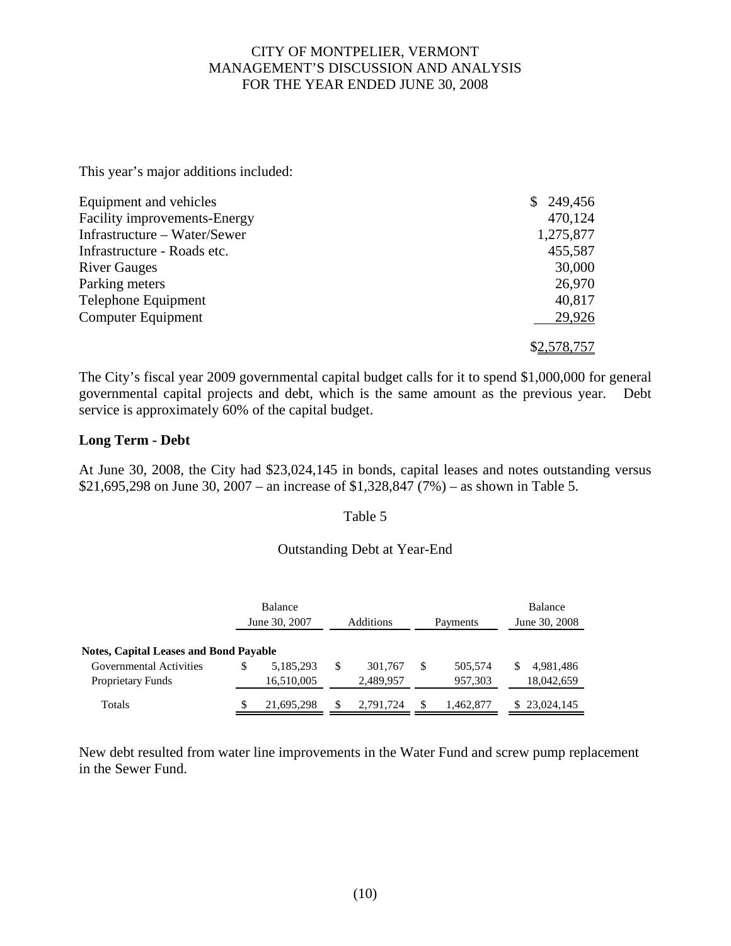This year's major additions included:

| Equipment and vehicles              | \$249,456   |
|-------------------------------------|-------------|
| <b>Facility improvements-Energy</b> | 470,124     |
| Infrastructure – Water/Sewer        | 1,275,877   |
| Infrastructure - Roads etc.         | 455,587     |
| <b>River Gauges</b>                 | 30,000      |
| Parking meters                      | 26,970      |
| Telephone Equipment                 | 40,817      |
| Computer Equipment                  | 29,926      |
|                                     | \$2,578,757 |

The City's fiscal year 2009 governmental capital budget calls for it to spend \$1,000,000 for general governmental capital projects and debt, which is the same amount as the previous year. Debt service is approximately 60% of the capital budget.

#### **Long Term - Debt**

At June 30, 2008, the City had \$23,024,145 in bonds, capital leases and notes outstanding versus \$21,695,298 on June 30, 2007 – an increase of \$1,328,847 (7%) – as shown in Table 5.

#### Table 5

#### Outstanding Debt at Year-End

|                                               | <b>Balance</b><br>June 30, 2007 | Additions     |   | Payments  |    | <b>Balance</b><br>June 30, 2008 |
|-----------------------------------------------|---------------------------------|---------------|---|-----------|----|---------------------------------|
| <b>Notes, Capital Leases and Bond Payable</b> |                                 |               |   |           |    |                                 |
| Governmental Activities                       | \$<br>5.185.293                 | \$<br>301.767 | S | 505,574   | S  | 4,981,486                       |
| <b>Proprietary Funds</b>                      | 16,510,005                      | 2,489,957     |   | 957,303   |    | 18,042,659                      |
| Totals                                        | 21,695,298                      | 2.791.724     |   | 1.462,877 | S. | 23,024,145                      |

New debt resulted from water line improvements in the Water Fund and screw pump replacement in the Sewer Fund.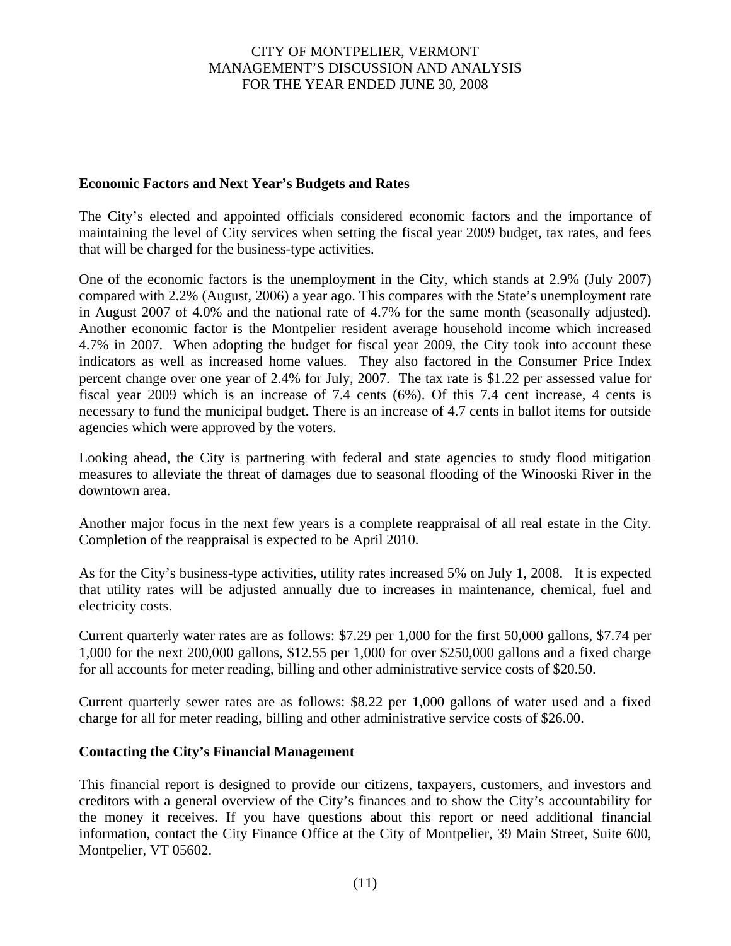### **Economic Factors and Next Year's Budgets and Rates**

The City's elected and appointed officials considered economic factors and the importance of maintaining the level of City services when setting the fiscal year 2009 budget, tax rates, and fees that will be charged for the business-type activities.

One of the economic factors is the unemployment in the City, which stands at 2.9% (July 2007) compared with 2.2% (August, 2006) a year ago. This compares with the State's unemployment rate in August 2007 of 4.0% and the national rate of 4.7% for the same month (seasonally adjusted). Another economic factor is the Montpelier resident average household income which increased 4.7% in 2007. When adopting the budget for fiscal year 2009, the City took into account these indicators as well as increased home values. They also factored in the Consumer Price Index percent change over one year of 2.4% for July, 2007. The tax rate is \$1.22 per assessed value for fiscal year 2009 which is an increase of 7.4 cents (6%). Of this 7.4 cent increase, 4 cents is necessary to fund the municipal budget. There is an increase of 4.7 cents in ballot items for outside agencies which were approved by the voters.

Looking ahead, the City is partnering with federal and state agencies to study flood mitigation measures to alleviate the threat of damages due to seasonal flooding of the Winooski River in the downtown area.

Another major focus in the next few years is a complete reappraisal of all real estate in the City. Completion of the reappraisal is expected to be April 2010.

As for the City's business-type activities, utility rates increased 5% on July 1, 2008. It is expected that utility rates will be adjusted annually due to increases in maintenance, chemical, fuel and electricity costs.

Current quarterly water rates are as follows: \$7.29 per 1,000 for the first 50,000 gallons, \$7.74 per 1,000 for the next 200,000 gallons, \$12.55 per 1,000 for over \$250,000 gallons and a fixed charge for all accounts for meter reading, billing and other administrative service costs of \$20.50.

Current quarterly sewer rates are as follows: \$8.22 per 1,000 gallons of water used and a fixed charge for all for meter reading, billing and other administrative service costs of \$26.00.

#### **Contacting the City's Financial Management**

This financial report is designed to provide our citizens, taxpayers, customers, and investors and creditors with a general overview of the City's finances and to show the City's accountability for the money it receives. If you have questions about this report or need additional financial information, contact the City Finance Office at the City of Montpelier, 39 Main Street, Suite 600, Montpelier, VT 05602.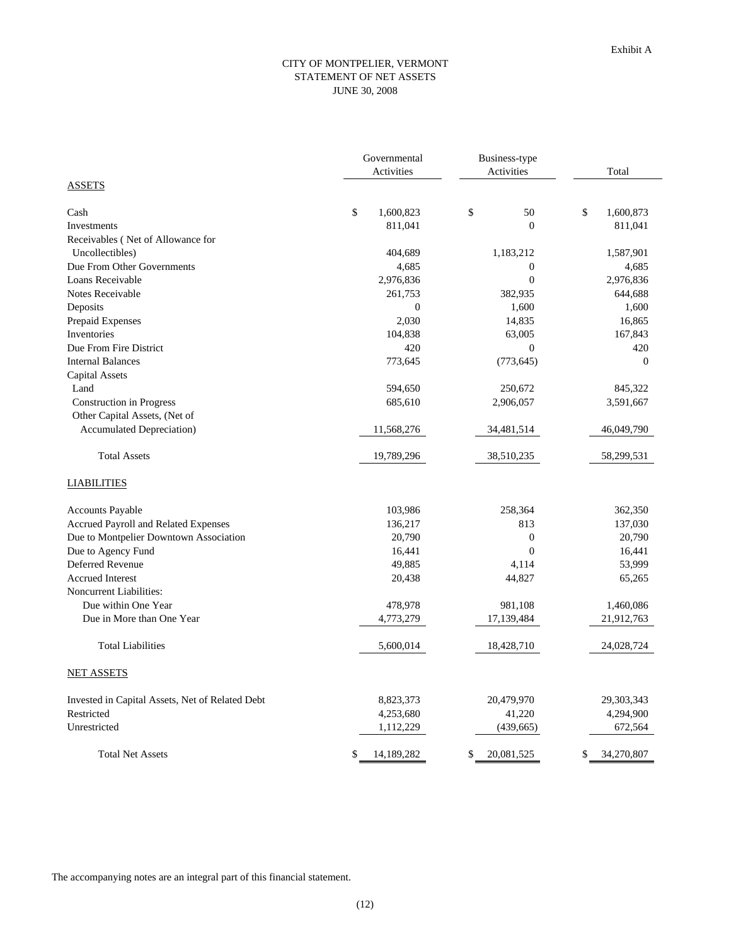#### CITY OF MONTPELIER, VERMONT STATEMENT OF NET ASSETS JUNE 30, 2008

|                                                 | Governmental     | Business-type    |                  |
|-------------------------------------------------|------------------|------------------|------------------|
|                                                 | Activities       | Activities       | Total            |
| <b>ASSETS</b>                                   |                  |                  |                  |
| Cash                                            | \$<br>1,600,823  | \$<br>50         | \$<br>1,600,873  |
| Investments                                     | 811,041          | $\mathbf{0}$     | 811,041          |
| Receivables (Net of Allowance for               |                  |                  |                  |
| Uncollectibles)                                 | 404,689          | 1,183,212        | 1,587,901        |
| Due From Other Governments                      | 4,685            | $\mathbf{0}$     | 4,685            |
| Loans Receivable                                | 2,976,836        | $\boldsymbol{0}$ | 2,976,836        |
| Notes Receivable                                | 261,753          | 382,935          | 644,688          |
| Deposits                                        | 0                | 1,600            | 1,600            |
| Prepaid Expenses                                | 2,030            | 14,835           | 16,865           |
| Inventories                                     | 104,838          | 63,005           | 167,843          |
| Due From Fire District                          | 420              | $\boldsymbol{0}$ | 420              |
| <b>Internal Balances</b>                        | 773,645          | (773, 645)       | $\mathbf{0}$     |
| <b>Capital Assets</b>                           |                  |                  |                  |
| Land                                            | 594,650          | 250,672          | 845,322          |
| Construction in Progress                        | 685,610          | 2,906,057        | 3,591,667        |
| Other Capital Assets, (Net of                   |                  |                  |                  |
| <b>Accumulated Depreciation)</b>                | 11,568,276       | 34,481,514       | 46,049,790       |
| <b>Total Assets</b>                             | 19,789,296       | 38,510,235       | 58,299,531       |
| <b>LIABILITIES</b>                              |                  |                  |                  |
| <b>Accounts Payable</b>                         | 103,986          | 258,364          | 362,350          |
| Accrued Payroll and Related Expenses            | 136,217          | 813              | 137,030          |
| Due to Montpelier Downtown Association          | 20,790           | $\boldsymbol{0}$ | 20,790           |
| Due to Agency Fund                              | 16,441           | $\overline{0}$   | 16,441           |
| Deferred Revenue                                | 49,885           | 4,114            | 53,999           |
| <b>Accrued Interest</b>                         | 20,438           | 44,827           | 65,265           |
| <b>Noncurrent Liabilities:</b>                  |                  |                  |                  |
| Due within One Year                             | 478,978          | 981,108          | 1,460,086        |
| Due in More than One Year                       | 4,773,279        | 17,139,484       | 21,912,763       |
| <b>Total Liabilities</b>                        | 5,600,014        | 18,428,710       | 24,028,724       |
| <b>NET ASSETS</b>                               |                  |                  |                  |
| Invested in Capital Assets, Net of Related Debt | 8,823,373        | 20,479,970       | 29,303,343       |
| Restricted                                      | 4,253,680        | 41,220           | 4,294,900        |
| Unrestricted                                    | 1,112,229        | (439,665)        | 672,564          |
| <b>Total Net Assets</b>                         | \$<br>14,189,282 | \$<br>20,081,525 | \$<br>34,270,807 |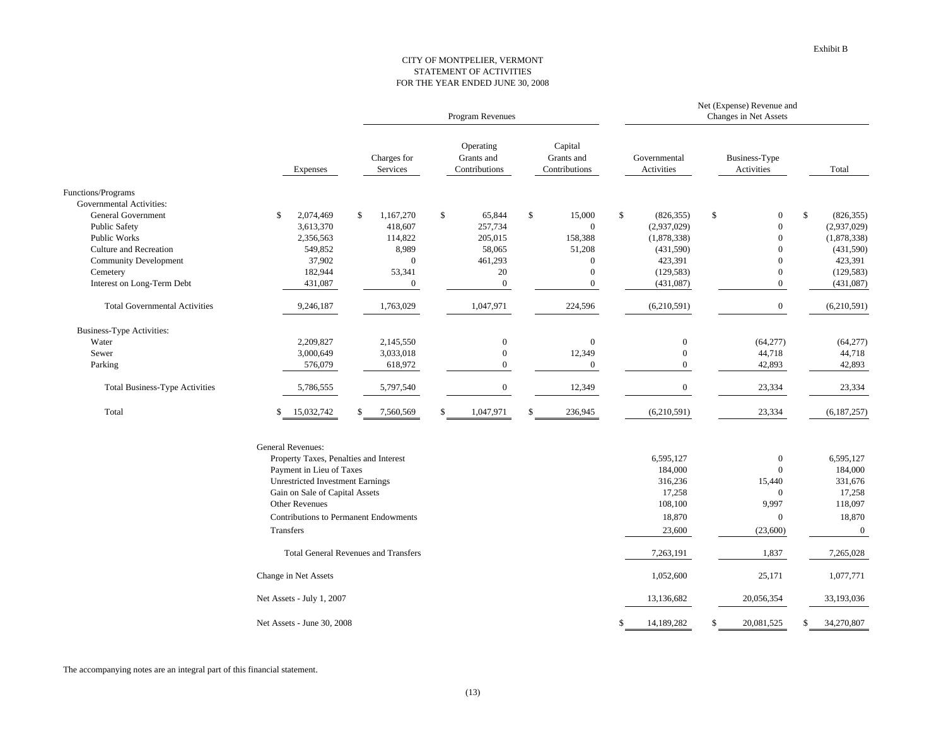#### CITY OF MONTPELIER, VERMONT STATEMENT OF ACTIVITIESFOR THE YEAR ENDED JUNE 30, 2008

|                                                |                                                                                                                                                                                               |                                             | Program Revenues                         |                  |                                        |                  |    |                                                                | Net (Expense) Revenue and<br>Changes in Net Assets |                                                                                     |    |                                                                |  |  |
|------------------------------------------------|-----------------------------------------------------------------------------------------------------------------------------------------------------------------------------------------------|---------------------------------------------|------------------------------------------|------------------|----------------------------------------|------------------|----|----------------------------------------------------------------|----------------------------------------------------|-------------------------------------------------------------------------------------|----|----------------------------------------------------------------|--|--|
|                                                | Expenses                                                                                                                                                                                      | Charges for<br>Services                     | Operating<br>Grants and<br>Contributions |                  | Capital<br>Grants and<br>Contributions |                  |    | Governmental<br>Activities                                     |                                                    | Business-Type<br>Activities                                                         |    | Total                                                          |  |  |
| Functions/Programs<br>Governmental Activities: |                                                                                                                                                                                               |                                             |                                          |                  |                                        |                  |    |                                                                |                                                    |                                                                                     |    |                                                                |  |  |
| <b>General Government</b>                      | 2,074,469<br>\$                                                                                                                                                                               | 1,167,270<br>\$                             | \$                                       | 65,844           | \$                                     | 15,000           | \$ | (826, 355)                                                     | \$                                                 | $\boldsymbol{0}$                                                                    | \$ | (826, 355)                                                     |  |  |
| <b>Public Safety</b>                           | 3,613,370                                                                                                                                                                                     | 418,607                                     |                                          | 257,734          |                                        | $\mathbf{0}$     |    | (2,937,029)                                                    |                                                    | $\boldsymbol{0}$                                                                    |    | (2,937,029)                                                    |  |  |
| Public Works                                   | 2,356,563                                                                                                                                                                                     | 114,822                                     |                                          | 205,015          |                                        | 158,388          |    | (1,878,338)                                                    |                                                    | $\mathbf{0}$                                                                        |    | (1,878,338)                                                    |  |  |
| Culture and Recreation                         | 549,852                                                                                                                                                                                       | 8,989                                       |                                          | 58,065           |                                        | 51,208           |    | (431,590)                                                      |                                                    | $\mathbf{0}$                                                                        |    | (431,590)                                                      |  |  |
| <b>Community Development</b>                   | 37,902                                                                                                                                                                                        | $\mathbf{0}$                                |                                          | 461,293          |                                        | $\boldsymbol{0}$ |    | 423,391                                                        |                                                    | $\boldsymbol{0}$                                                                    |    | 423,391                                                        |  |  |
| Cemetery                                       | 182,944                                                                                                                                                                                       | 53,341                                      |                                          | 20               |                                        | $\boldsymbol{0}$ |    | (129, 583)                                                     |                                                    | $\boldsymbol{0}$                                                                    |    | (129, 583)                                                     |  |  |
| Interest on Long-Term Debt                     | 431,087                                                                                                                                                                                       | $\boldsymbol{0}$                            |                                          | $\mathbf{0}$     |                                        | $\mathbf{0}$     |    | (431,087)                                                      |                                                    | $\overline{0}$                                                                      |    | (431,087)                                                      |  |  |
| <b>Total Governmental Activities</b>           | 9,246,187                                                                                                                                                                                     | 1,763,029                                   |                                          | 1,047,971        |                                        | 224,596          |    | (6,210,591)                                                    |                                                    | $\boldsymbol{0}$                                                                    |    | (6,210,591)                                                    |  |  |
| <b>Business-Type Activities:</b>               |                                                                                                                                                                                               |                                             |                                          |                  |                                        |                  |    |                                                                |                                                    |                                                                                     |    |                                                                |  |  |
| Water                                          | 2,209,827                                                                                                                                                                                     | 2,145,550                                   |                                          | $\mathbf{0}$     |                                        | $\mathbf{0}$     |    | $\boldsymbol{0}$                                               |                                                    | (64,277)                                                                            |    | (64, 277)                                                      |  |  |
| Sewer                                          | 3,000,649                                                                                                                                                                                     | 3,033,018                                   |                                          | $\mathbf{0}$     |                                        | 12,349           |    | $\boldsymbol{0}$                                               |                                                    | 44,718                                                                              |    | 44,718                                                         |  |  |
| Parking                                        | 576,079                                                                                                                                                                                       | 618,972                                     |                                          | $\mathbf{0}$     |                                        | $\mathbf{0}$     |    | $\mathbf{0}$                                                   |                                                    | 42,893                                                                              |    | 42,893                                                         |  |  |
| <b>Total Business-Type Activities</b>          | 5,786,555                                                                                                                                                                                     | 5,797,540                                   |                                          | $\boldsymbol{0}$ |                                        | 12,349           |    | $\boldsymbol{0}$                                               |                                                    | 23,334                                                                              |    | 23,334                                                         |  |  |
| Total                                          | 15,032,742<br>\$                                                                                                                                                                              | 7,560,569<br>\$                             | \$.                                      | 1,047,971        |                                        | 236,945          |    | (6,210,591)                                                    |                                                    | 23,334                                                                              |    | (6,187,257)                                                    |  |  |
|                                                | General Revenues:<br>Property Taxes, Penalties and Interest<br>Payment in Lieu of Taxes<br><b>Unrestricted Investment Earnings</b><br>Gain on Sale of Capital Assets<br><b>Other Revenues</b> | Contributions to Permanent Endowments       |                                          |                  |                                        |                  |    | 6,595,127<br>184,000<br>316,236<br>17,258<br>108,100<br>18,870 |                                                    | $\boldsymbol{0}$<br>$\theta$<br>15,440<br>$\mathbf{0}$<br>9,997<br>$\boldsymbol{0}$ |    | 6,595,127<br>184,000<br>331,676<br>17,258<br>118,097<br>18,870 |  |  |
|                                                | Transfers                                                                                                                                                                                     |                                             |                                          |                  |                                        |                  |    | 23,600                                                         |                                                    | (23,600)                                                                            |    | $\boldsymbol{0}$                                               |  |  |
|                                                |                                                                                                                                                                                               | <b>Total General Revenues and Transfers</b> |                                          |                  |                                        |                  |    | 7,263,191                                                      |                                                    | 1,837                                                                               |    | 7,265,028                                                      |  |  |
|                                                | Change in Net Assets                                                                                                                                                                          |                                             |                                          |                  |                                        |                  |    | 1,052,600                                                      |                                                    | 25,171                                                                              |    | 1,077,771                                                      |  |  |
|                                                | Net Assets - July 1, 2007                                                                                                                                                                     |                                             |                                          |                  |                                        |                  |    | 13,136,682                                                     |                                                    | 20,056,354                                                                          |    | 33,193,036                                                     |  |  |
|                                                | Net Assets - June 30, 2008                                                                                                                                                                    |                                             |                                          |                  |                                        |                  |    | 14,189,282                                                     | \$                                                 | 20,081,525                                                                          |    | 34,270,807                                                     |  |  |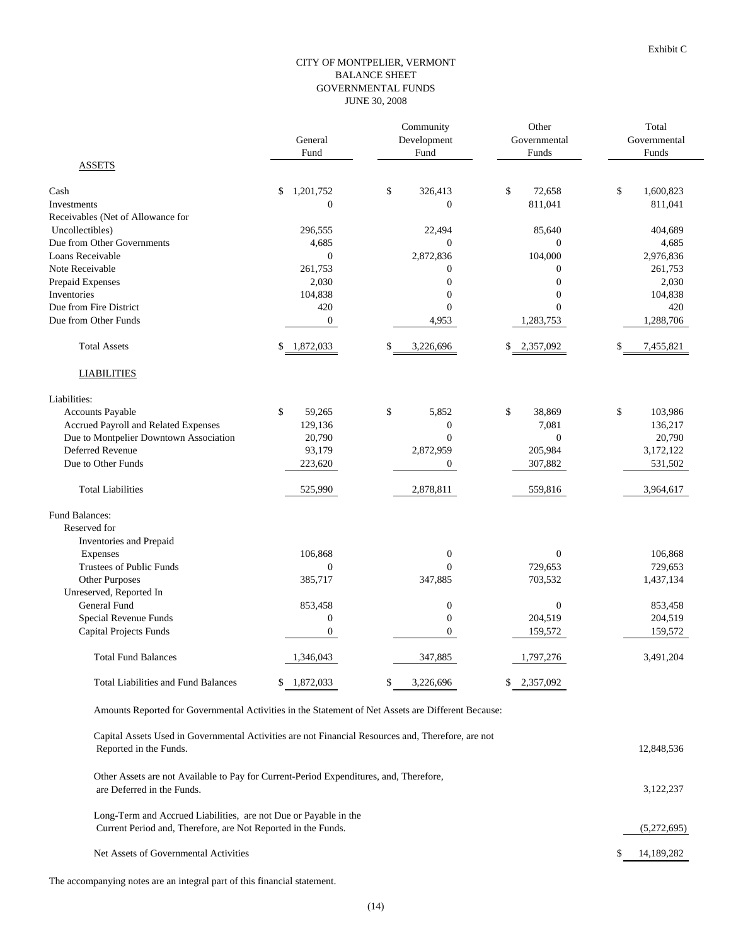#### CITY OF MONTPELIER, VERMONT BALANCE SHEET GOVERNMENTAL FUNDS JUNE 30, 2008

|                                            |                  | Community        | Other            | Total           |  |  |  |  |
|--------------------------------------------|------------------|------------------|------------------|-----------------|--|--|--|--|
|                                            | General          | Development      | Governmental     | Governmental    |  |  |  |  |
|                                            | Fund             | Fund             | Funds            | Funds           |  |  |  |  |
| <b>ASSETS</b>                              |                  |                  |                  |                 |  |  |  |  |
| Cash                                       | \$<br>1,201,752  | \$<br>326,413    | \$<br>72,658     | \$<br>1,600,823 |  |  |  |  |
| Investments                                | $\mathbf{0}$     | $\overline{0}$   | 811,041          | 811,041         |  |  |  |  |
| Receivables (Net of Allowance for          |                  |                  |                  |                 |  |  |  |  |
| Uncollectibles)                            | 296,555          | 22,494           | 85,640           | 404,689         |  |  |  |  |
| Due from Other Governments                 | 4,685            | $\Omega$         | $\Omega$         | 4,685           |  |  |  |  |
| Loans Receivable                           | $\boldsymbol{0}$ | 2,872,836        | 104,000          | 2,976,836       |  |  |  |  |
| Note Receivable                            | 261,753          | $\boldsymbol{0}$ | 0                | 261,753         |  |  |  |  |
| Prepaid Expenses                           | 2,030            | $\overline{0}$   | $\overline{0}$   | 2,030           |  |  |  |  |
| Inventories                                | 104,838          | $\overline{0}$   | $\overline{0}$   | 104,838         |  |  |  |  |
| Due from Fire District                     | 420              | $\overline{0}$   | $\theta$         | 420             |  |  |  |  |
| Due from Other Funds                       | $\mathbf{0}$     | 4,953            | 1,283,753        | 1,288,706       |  |  |  |  |
| <b>Total Assets</b>                        | \$<br>1,872,033  | \$<br>3,226,696  | \$<br>2,357,092  | \$<br>7,455,821 |  |  |  |  |
| <b>LIABILITIES</b>                         |                  |                  |                  |                 |  |  |  |  |
| Liabilities:                               |                  |                  |                  |                 |  |  |  |  |
| <b>Accounts Payable</b>                    | \$<br>59,265     | \$<br>5,852      | \$<br>38,869     | \$<br>103,986   |  |  |  |  |
| Accrued Payroll and Related Expenses       | 129,136          | $\overline{0}$   | 7,081            | 136,217         |  |  |  |  |
| Due to Montpelier Downtown Association     | 20,790           | $\theta$         | $\mathbf{0}$     | 20,790          |  |  |  |  |
| Deferred Revenue                           | 93,179           | 2,872,959        | 205,984          | 3,172,122       |  |  |  |  |
| Due to Other Funds                         | 223,620          | $\Omega$         | 307,882          | 531,502         |  |  |  |  |
| <b>Total Liabilities</b>                   | 525,990          | 2,878,811        | 559,816          | 3,964,617       |  |  |  |  |
| <b>Fund Balances:</b>                      |                  |                  |                  |                 |  |  |  |  |
| Reserved for                               |                  |                  |                  |                 |  |  |  |  |
| Inventories and Prepaid                    |                  |                  |                  |                 |  |  |  |  |
| Expenses                                   | 106,868          | $\boldsymbol{0}$ | $\boldsymbol{0}$ | 106,868         |  |  |  |  |
| Trustees of Public Funds                   | $\mathbf{0}$     | $\theta$         | 729,653          | 729,653         |  |  |  |  |
| Other Purposes                             | 385,717          | 347,885          | 703,532          | 1,437,134       |  |  |  |  |
| Unreserved, Reported In                    |                  |                  |                  |                 |  |  |  |  |
| <b>General Fund</b>                        | 853,458          | $\overline{0}$   | $\overline{0}$   | 853,458         |  |  |  |  |
| Special Revenue Funds                      | $\boldsymbol{0}$ | $\boldsymbol{0}$ | 204,519          | 204,519         |  |  |  |  |
| Capital Projects Funds                     | $\boldsymbol{0}$ | $\overline{0}$   | 159,572          | 159,572         |  |  |  |  |
| <b>Total Fund Balances</b>                 | 1,346,043        | 347,885          | 1,797,276        | 3,491,204       |  |  |  |  |
| <b>Total Liabilities and Fund Balances</b> | 1,872,033<br>\$  | 3,226,696<br>\$  | 2,357,092<br>\$  |                 |  |  |  |  |

Amounts Reported for Governmental Activities in the Statement of Net Assets are Different Because:

| Capital Assets Used in Governmental Activities are not Financial Resources and, Therefore, are not<br>Reported in the Funds.      | 12,848,536  |
|-----------------------------------------------------------------------------------------------------------------------------------|-------------|
| Other Assets are not Available to Pay for Current-Period Expenditures, and, Therefore,<br>are Deferred in the Funds.              | 3.122.237   |
| Long-Term and Accrued Liabilities, are not Due or Payable in the<br>Current Period and, Therefore, are Not Reported in the Funds. | (5,272,695) |
| Net Assets of Governmental Activities                                                                                             | 14,189,282  |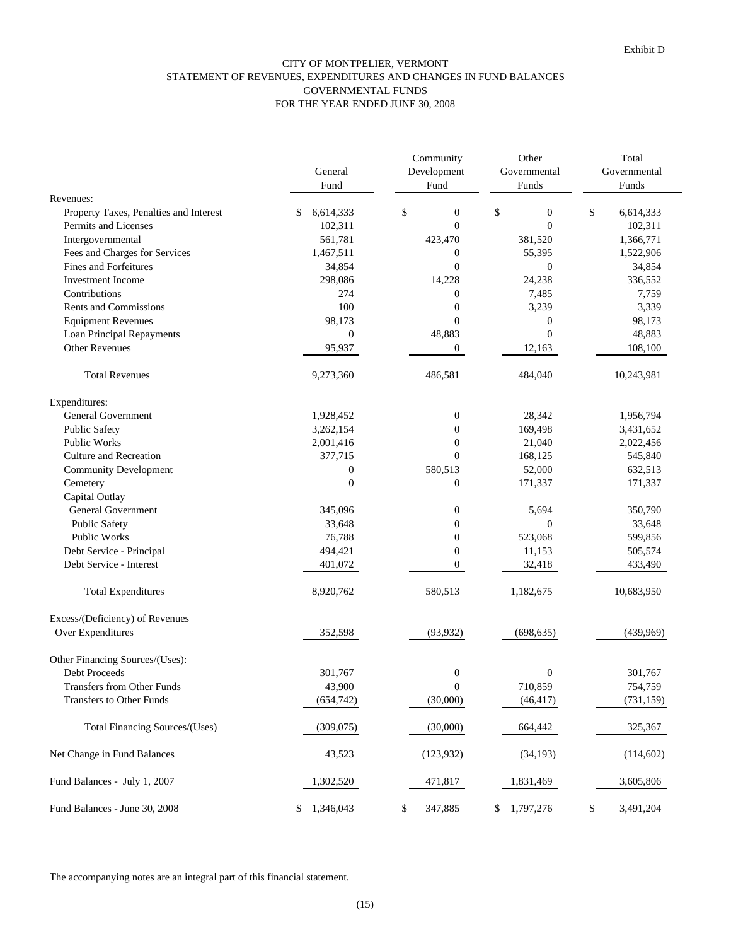#### CITY OF MONTPELIER, VERMONT STATEMENT OF REVENUES, EXPENDITURES AND CHANGES IN FUND BALANCES GOVERNMENTAL FUNDS FOR THE YEAR ENDED JUNE 30, 2008

|                                        |                  | Community              | Other                     | Total           |  |  |
|----------------------------------------|------------------|------------------------|---------------------------|-----------------|--|--|
|                                        | General          | Development            | Governmental              | Governmental    |  |  |
|                                        | Fund             | Fund                   | Funds                     | Funds           |  |  |
| Revenues:                              |                  |                        |                           |                 |  |  |
| Property Taxes, Penalties and Interest | 6,614,333<br>\$  | \$<br>$\boldsymbol{0}$ | \$<br>$\boldsymbol{0}$    | \$<br>6,614,333 |  |  |
| Permits and Licenses                   | 102,311          | $\overline{0}$         | $\overline{0}$            | 102,311         |  |  |
| Intergovernmental                      | 561,781          | 423,470                | 381,520                   | 1,366,771       |  |  |
| Fees and Charges for Services          | 1,467,511        | $\boldsymbol{0}$       | 55,395                    | 1,522,906       |  |  |
| Fines and Forfeitures                  | 34,854           | $\overline{0}$         | $\boldsymbol{0}$          | 34,854          |  |  |
| <b>Investment Income</b>               | 298,086          | 14,228                 | 24,238                    | 336,552         |  |  |
| Contributions                          | 274              | 0                      | 7,485                     | 7,759           |  |  |
| <b>Rents and Commissions</b>           | 100              | $\boldsymbol{0}$       | 3,239                     | 3,339           |  |  |
| <b>Equipment Revenues</b>              | 98.173           | $\overline{0}$         | 0                         | 98,173          |  |  |
| Loan Principal Repayments              | $\mathbf{0}$     | 48,883                 | $\overline{0}$            | 48,883          |  |  |
| <b>Other Revenues</b>                  | 95,937           | 0                      | 12,163                    | 108,100         |  |  |
| <b>Total Revenues</b>                  | 9,273,360        | 486,581                | 484,040                   | 10,243,981      |  |  |
| Expenditures:                          |                  |                        |                           |                 |  |  |
| General Government                     | 1,928,452        | $\boldsymbol{0}$       | 28,342                    | 1,956,794       |  |  |
| <b>Public Safety</b>                   | 3,262,154        | $\boldsymbol{0}$       | 169,498                   | 3,431,652       |  |  |
| <b>Public Works</b>                    | 2,001,416        | $\boldsymbol{0}$       | 21,040                    | 2,022,456       |  |  |
| Culture and Recreation                 | 377,715          | $\overline{0}$         | 168,125                   | 545,840         |  |  |
| <b>Community Development</b>           | $\boldsymbol{0}$ | 580,513                | 52,000                    | 632,513         |  |  |
| Cemetery                               | $\mathbf{0}$     | $\boldsymbol{0}$       | 171,337                   | 171,337         |  |  |
| Capital Outlay                         |                  |                        |                           |                 |  |  |
| <b>General Government</b>              | 345,096          | $\boldsymbol{0}$       | 5,694                     | 350,790         |  |  |
| <b>Public Safety</b>                   | 33,648           | $\boldsymbol{0}$       | $\boldsymbol{0}$          | 33,648          |  |  |
| <b>Public Works</b>                    | 76,788           | $\boldsymbol{0}$       | 523,068                   | 599,856         |  |  |
| Debt Service - Principal               | 494,421          | $\boldsymbol{0}$       | 11,153                    | 505,574         |  |  |
| Debt Service - Interest                | 401,072          | 0                      | 32,418                    | 433,490         |  |  |
| <b>Total Expenditures</b>              | 8,920,762        | 580,513                | 1,182,675                 | 10,683,950      |  |  |
| Excess/(Deficiency) of Revenues        |                  |                        |                           |                 |  |  |
| Over Expenditures                      | 352,598          | (93, 932)              | (698, 635)                | (439,969)       |  |  |
| Other Financing Sources/(Uses):        |                  |                        |                           |                 |  |  |
| Debt Proceeds                          | 301,767          | $\boldsymbol{0}$       | $\boldsymbol{0}$          | 301,767         |  |  |
| Transfers from Other Funds             | 43,900           | $\Omega$               | 710,859                   | 754,759         |  |  |
| Transfers to Other Funds               | (654, 742)       | (30,000)               | (46, 417)                 | (731, 159)      |  |  |
| <b>Total Financing Sources/(Uses)</b>  | (309,075)        | (30,000)               | 664,442                   | 325,367         |  |  |
| Net Change in Fund Balances            | 43,523           | (123, 932)             | (34, 193)                 | (114,602)       |  |  |
| Fund Balances - July 1, 2007           | 1,302,520        | 471,817                | 1,831,469                 | 3,605,806       |  |  |
| Fund Balances - June 30, 2008          | 1,346,043<br>\$  | \$<br>347,885          | 1,797,276<br>$\mathbb{S}$ | \$<br>3,491,204 |  |  |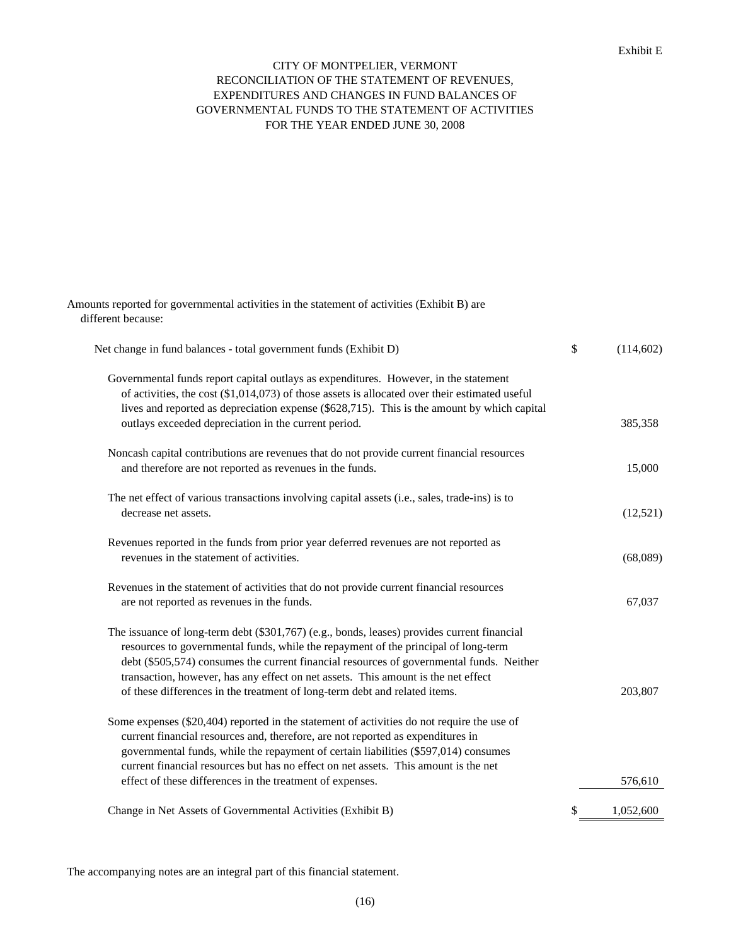#### FOR THE YEAR ENDED JUNE 30, 2008 CITY OF MONTPELIER, VERMONT RECONCILIATION OF THE STATEMENT OF REVENUES, EXPENDITURES AND CHANGES IN FUND BALANCES OF GOVERNMENTAL FUNDS TO THE STATEMENT OF ACTIVITIES

| Amounts reported for governmental activities in the statement of activities (Exhibit B) are<br>different because:                                                                                                                                                                                                                                                                                                                                |                  |
|--------------------------------------------------------------------------------------------------------------------------------------------------------------------------------------------------------------------------------------------------------------------------------------------------------------------------------------------------------------------------------------------------------------------------------------------------|------------------|
| Net change in fund balances - total government funds (Exhibit D)                                                                                                                                                                                                                                                                                                                                                                                 | \$<br>(114, 602) |
| Governmental funds report capital outlays as expenditures. However, in the statement<br>of activities, the cost $(\$1,014,073)$ of those assets is allocated over their estimated useful<br>lives and reported as depreciation expense (\$628,715). This is the amount by which capital<br>outlays exceeded depreciation in the current period.                                                                                                  | 385,358          |
| Noncash capital contributions are revenues that do not provide current financial resources<br>and therefore are not reported as revenues in the funds.                                                                                                                                                                                                                                                                                           | 15,000           |
| The net effect of various transactions involving capital assets (i.e., sales, trade-ins) is to<br>decrease net assets.                                                                                                                                                                                                                                                                                                                           | (12, 521)        |
| Revenues reported in the funds from prior year deferred revenues are not reported as<br>revenues in the statement of activities.                                                                                                                                                                                                                                                                                                                 | (68,089)         |
| Revenues in the statement of activities that do not provide current financial resources<br>are not reported as revenues in the funds.                                                                                                                                                                                                                                                                                                            | 67,037           |
| The issuance of long-term debt (\$301,767) (e.g., bonds, leases) provides current financial<br>resources to governmental funds, while the repayment of the principal of long-term<br>debt (\$505,574) consumes the current financial resources of governmental funds. Neither<br>transaction, however, has any effect on net assets. This amount is the net effect<br>of these differences in the treatment of long-term debt and related items. | 203,807          |
| Some expenses (\$20,404) reported in the statement of activities do not require the use of<br>current financial resources and, therefore, are not reported as expenditures in<br>governmental funds, while the repayment of certain liabilities (\$597,014) consumes<br>current financial resources but has no effect on net assets. This amount is the net<br>effect of these differences in the treatment of expenses.                         | 576,610          |
| Change in Net Assets of Governmental Activities (Exhibit B)                                                                                                                                                                                                                                                                                                                                                                                      | \$<br>1,052,600  |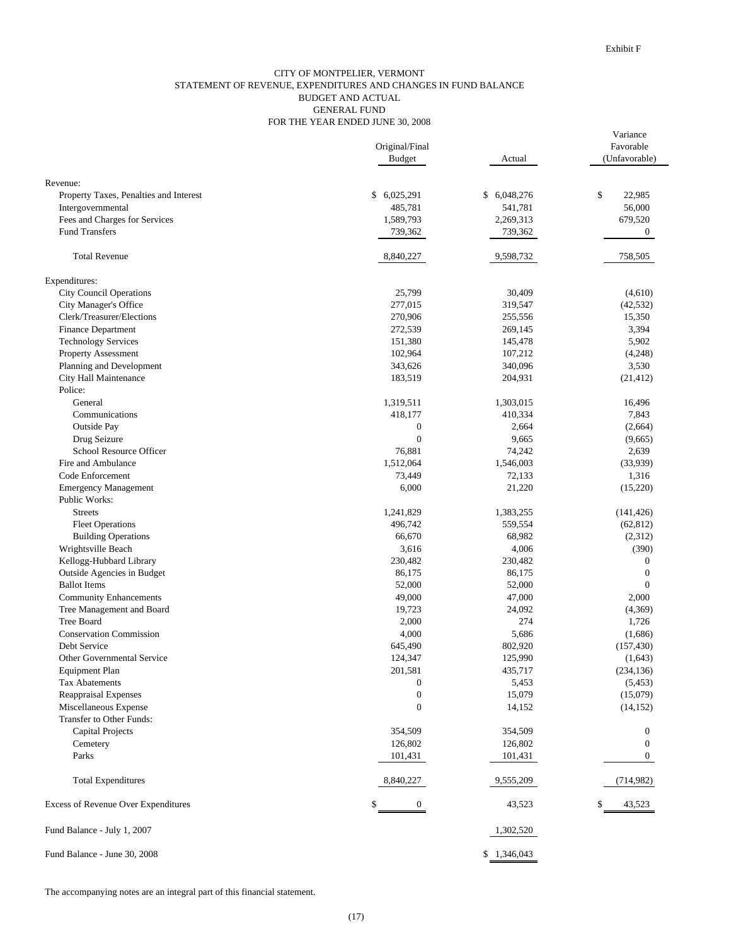#### CITY OF MONTPELIER, VERMONT STATEMENT OF REVENUE, EXPENDITURES AND CHANGES IN FUND BALANCE BUDGET AND ACTUAL GENERAL FUND FOR THE YEAR ENDED JUNE 30, 2008

|                                            |                    |              | Variance         |
|--------------------------------------------|--------------------|--------------|------------------|
|                                            | Original/Final     |              | Favorable        |
|                                            | <b>Budget</b>      | Actual       | (Unfavorable)    |
| Revenue:                                   |                    |              |                  |
| Property Taxes, Penalties and Interest     | \$6,025,291        | \$ 6,048,276 | \$<br>22,985     |
| Intergovernmental                          | 485,781            | 541,781      | 56,000           |
| Fees and Charges for Services              | 1,589,793          | 2,269,313    | 679,520          |
| <b>Fund Transfers</b>                      | 739,362            | 739,362      | 0                |
|                                            |                    |              |                  |
| <b>Total Revenue</b>                       | 8,840,227          | 9,598,732    | 758,505          |
| Expenditures:                              |                    |              |                  |
| <b>City Council Operations</b>             | 25,799             | 30,409       | (4,610)          |
| City Manager's Office                      | 277,015            | 319,547      | (42, 532)        |
| Clerk/Treasurer/Elections                  | 270,906            | 255,556      | 15,350           |
| Finance Department                         | 272,539            | 269,145      | 3,394            |
| <b>Technology Services</b>                 | 151,380            | 145,478      | 5,902            |
| <b>Property Assessment</b>                 | 102,964            | 107,212      | (4,248)          |
| Planning and Development                   | 343,626            | 340,096      | 3,530            |
| City Hall Maintenance                      | 183,519            | 204,931      | (21, 412)        |
| Police:                                    |                    |              |                  |
| General                                    | 1,319,511          | 1,303,015    | 16,496           |
| Communications                             | 418,177            | 410,334      | 7,843            |
| <b>Outside Pay</b>                         | $\boldsymbol{0}$   | 2,664        | (2,664)          |
| Drug Seizure                               | $\theta$           | 9,665        | (9,665)          |
| School Resource Officer                    | 76,881             | 74,242       | 2,639            |
| Fire and Ambulance                         | 1,512,064          | 1,546,003    | (33,939)         |
| Code Enforcement                           | 73,449             | 72,133       | 1,316            |
| <b>Emergency Management</b>                | 6,000              | 21,220       | (15,220)         |
| Public Works:                              |                    |              |                  |
| <b>Streets</b>                             | 1,241,829          | 1,383,255    | (141, 426)       |
| <b>Fleet Operations</b>                    | 496,742            | 559,554      | (62, 812)        |
| <b>Building Operations</b>                 | 66,670             | 68,982       | (2,312)          |
| Wrightsville Beach                         | 3,616              | 4,006        | (390)            |
| Kellogg-Hubbard Library                    | 230,482            | 230,482      | $\boldsymbol{0}$ |
| Outside Agencies in Budget                 | 86,175             | 86,175       | $\boldsymbol{0}$ |
| <b>Ballot</b> Items                        | 52,000             | 52,000       | $\overline{0}$   |
| <b>Community Enhancements</b>              | 49,000             | 47,000       | 2,000            |
| Tree Management and Board                  | 19,723             | 24,092       | (4,369)          |
| Tree Board                                 | 2,000              | 274          | 1,726            |
| <b>Conservation Commission</b>             | 4,000              | 5,686        | (1,686)          |
| Debt Service                               | 645,490            | 802,920      | (157, 430)       |
| <b>Other Governmental Service</b>          | 124,347            | 125,990      | (1,643)          |
| <b>Equipment Plan</b>                      | 201,581            | 435,717      | (234, 136)       |
| <b>Tax Abatements</b>                      | $\boldsymbol{0}$   | 5,453        | (5, 453)         |
| Reappraisal Expenses                       | $\boldsymbol{0}$   | 15,079       | (15,079)         |
| Miscellaneous Expense                      | $\boldsymbol{0}$   | 14,152       | (14, 152)        |
| Transfer to Other Funds:                   |                    |              |                  |
| Capital Projects                           | 354,509            | 354,509      | $\boldsymbol{0}$ |
| Cemetery                                   | 126,802            | 126,802      | $\boldsymbol{0}$ |
| Parks                                      | 101,431            | 101,431      | 0                |
|                                            |                    |              |                  |
| <b>Total Expenditures</b>                  | 8,840,227          | 9,555,209    | (714, 982)       |
| <b>Excess of Revenue Over Expenditures</b> | \$<br>$\mathbf{0}$ | 43,523       | \$<br>43,523     |
| Fund Balance - July 1, 2007                |                    | 1,302,520    |                  |
| Fund Balance - June 30, 2008               |                    | \$1,346,043  |                  |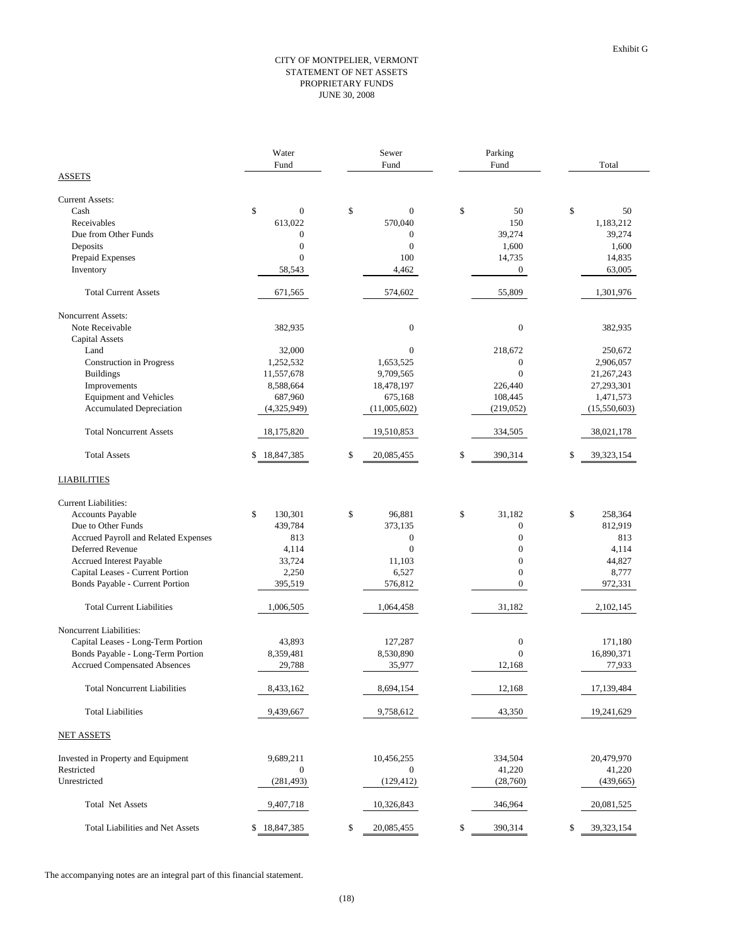#### CITY OF MONTPELIER, VERMONT STATEMENT OF NET ASSETS PROPRIETARY FUNDS JUNE 30, 2008

|                                         | Water<br>Fund      | Sewer<br>Fund          | Parking<br>Fund  | Total            |  |
|-----------------------------------------|--------------------|------------------------|------------------|------------------|--|
| <b>ASSETS</b>                           |                    |                        |                  |                  |  |
| <b>Current Assets:</b>                  |                    |                        |                  |                  |  |
| Cash                                    | \$<br>$\mathbf{0}$ | \$<br>$\boldsymbol{0}$ | \$<br>50         | \$<br>50         |  |
| Receivables                             | 613,022            | 570,040                | 150              | 1,183,212        |  |
| Due from Other Funds                    | $\overline{0}$     | $\mathbf{0}$           | 39,274           | 39,274           |  |
| Deposits                                | $\overline{0}$     | $\mathbf{0}$           | 1,600            | 1,600            |  |
| Prepaid Expenses                        | $\theta$           | 100                    | 14,735           | 14,835           |  |
| Inventory                               | 58,543             | 4,462                  | $\boldsymbol{0}$ | 63,005           |  |
| <b>Total Current Assets</b>             | 671,565            | 574,602                | 55,809           | 1,301,976        |  |
| Noncurrent Assets:                      |                    |                        |                  |                  |  |
| Note Receivable                         | 382,935            | $\boldsymbol{0}$       | $\overline{0}$   | 382,935          |  |
| <b>Capital Assets</b>                   |                    |                        |                  |                  |  |
| Land                                    | 32,000             | $\boldsymbol{0}$       | 218,672          | 250,672          |  |
| <b>Construction</b> in Progress         | 1,252,532          | 1,653,525              | $\mathbf{0}$     | 2,906,057        |  |
| <b>Buildings</b>                        | 11,557,678         | 9,709,565              | $\mathbf{0}$     | 21, 267, 243     |  |
| Improvements                            | 8,588,664          | 18,478,197             | 226,440          | 27,293,301       |  |
| <b>Equipment and Vehicles</b>           | 687,960            | 675,168                | 108,445          | 1,471,573        |  |
| <b>Accumulated Depreciation</b>         | (4,325,949)        | (11,005,602)           | (219, 052)       | (15, 550, 603)   |  |
| <b>Total Noncurrent Assets</b>          | 18,175,820         | 19,510,853             | 334,505          | 38,021,178       |  |
| <b>Total Assets</b>                     | \$<br>18,847,385   | \$<br>20,085,455       | \$<br>390,314    | \$<br>39,323,154 |  |
| <b>LIABILITIES</b>                      |                    |                        |                  |                  |  |
| <b>Current Liabilities:</b>             |                    |                        |                  |                  |  |
| Accounts Payable                        | \$<br>130,301      | \$<br>96,881           | \$<br>31,182     | \$<br>258,364    |  |
| Due to Other Funds                      | 439,784            | 373,135                | $\mathbf{0}$     | 812,919          |  |
| Accrued Payroll and Related Expenses    | 813                | $\boldsymbol{0}$       | $\overline{0}$   | 813              |  |
| Deferred Revenue                        | 4,114              | $\mathbf{0}$           | $\mathbf{0}$     | 4,114            |  |
| Accrued Interest Payable                | 33,724             | 11,103                 | $\mathbf{0}$     | 44,827           |  |
| Capital Leases - Current Portion        | 2,250              | 6,527                  | $\mathbf{0}$     | 8,777            |  |
| Bonds Payable - Current Portion         | 395,519            | 576,812                | $\mathbf{0}$     | 972,331          |  |
| <b>Total Current Liabilities</b>        | 1,006,505          | 1,064,458              | 31,182           | 2,102,145        |  |
| Noncurrent Liabilities:                 |                    |                        |                  |                  |  |
| Capital Leases - Long-Term Portion      | 43,893             | 127,287                | $\boldsymbol{0}$ | 171,180          |  |
| Bonds Payable - Long-Term Portion       | 8,359,481          | 8,530,890              | $\Omega$         | 16,890,371       |  |
| <b>Accrued Compensated Absences</b>     | 29,788             | 35,977                 | 12,168           | 77,933           |  |
| <b>Total Noncurrent Liabilities</b>     | 8,433,162          | 8,694,154              | 12,168           | 17,139,484       |  |
| <b>Total Liabilities</b>                | 9,439,667          | 9,758,612              | 43,350           | 19,241,629       |  |
| <b>NET ASSETS</b>                       |                    |                        |                  |                  |  |
| Invested in Property and Equipment      | 9,689,211          | 10,456,255             | 334,504          | 20,479,970       |  |
| Restricted                              | $\mathbf{0}$       | 0                      | 41,220           | 41,220           |  |
| Unrestricted                            | (281, 493)         | (129, 412)             | (28,760)         | (439, 665)       |  |
| <b>Total Net Assets</b>                 | 9,407,718          | 10,326,843             | 346,964          | 20,081,525       |  |
| <b>Total Liabilities and Net Assets</b> | \$18,847,385       | \$<br>20,085,455       | \$<br>390,314    | \$<br>39,323,154 |  |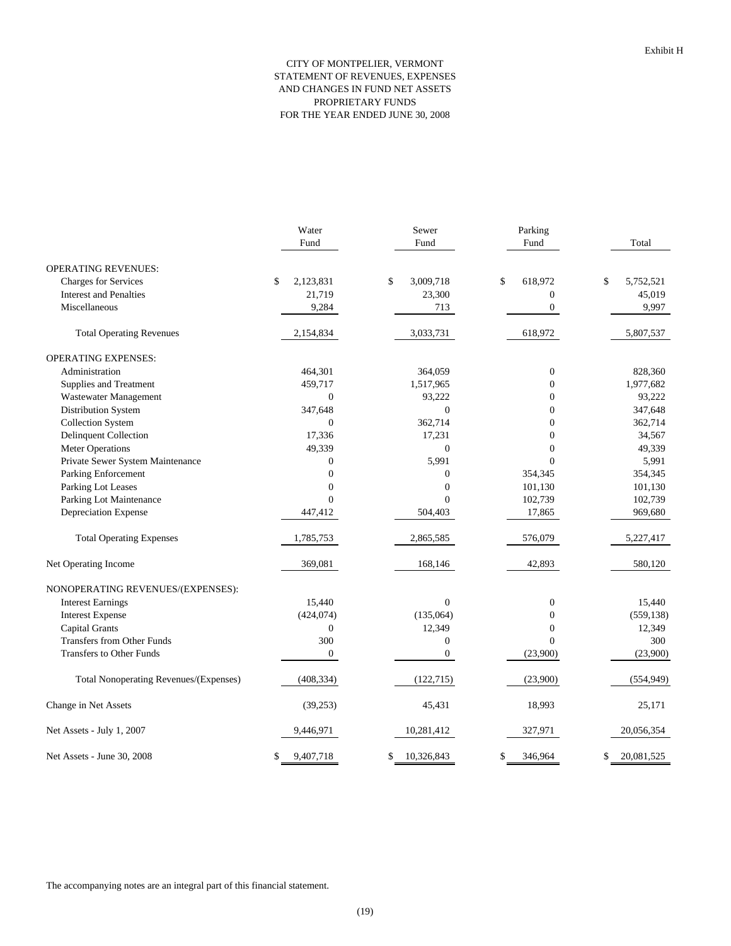#### CITY OF MONTPELIER, VERMONT STATEMENT OF REVENUES, EXPENSES AND CHANGES IN FUND NET ASSETS PROPRIETARY FUNDS FOR THE YEAR ENDED JUNE 30, 2008

|                                        | Water            | Sewer            | Parking          |                  |
|----------------------------------------|------------------|------------------|------------------|------------------|
|                                        | Fund             | Fund             | Fund             | Total            |
| <b>OPERATING REVENUES:</b>             |                  |                  |                  |                  |
| Charges for Services                   | \$<br>2,123,831  | \$<br>3,009,718  | \$<br>618,972    | \$<br>5,752,521  |
| <b>Interest and Penalties</b>          | 21,719           | 23,300           | $\mathbf{0}$     | 45,019           |
| Miscellaneous                          | 9,284            | 713              | $\boldsymbol{0}$ | 9,997            |
| <b>Total Operating Revenues</b>        | 2,154,834        | 3,033,731        | 618,972          | 5,807,537        |
| <b>OPERATING EXPENSES:</b>             |                  |                  |                  |                  |
| Administration                         | 464,301          | 364,059          | $\boldsymbol{0}$ | 828,360          |
| Supplies and Treatment                 | 459,717          | 1,517,965        | $\boldsymbol{0}$ | 1,977,682        |
| Wastewater Management                  | $\mathbf{0}$     | 93,222           | $\mathbf{0}$     | 93,222           |
| Distribution System                    | 347,648          | $\theta$         | $\mathbf{0}$     | 347,648          |
| <b>Collection System</b>               | $\mathbf{0}$     | 362,714          | $\mathbf{0}$     | 362,714          |
| Delinquent Collection                  | 17,336           | 17,231           | $\boldsymbol{0}$ | 34,567           |
| Meter Operations                       | 49,339           | $\overline{0}$   | $\boldsymbol{0}$ | 49,339           |
| Private Sewer System Maintenance       | $\overline{0}$   | 5,991            | $\theta$         | 5,991            |
| Parking Enforcement                    | $\overline{0}$   | $\overline{0}$   | 354,345          | 354,345          |
| Parking Lot Leases                     | $\boldsymbol{0}$ | $\mathbf{0}$     | 101,130          | 101,130          |
| Parking Lot Maintenance                | $\Omega$         | $\Omega$         | 102,739          | 102,739          |
| Depreciation Expense                   | 447,412          | 504,403          | 17,865           | 969,680          |
| <b>Total Operating Expenses</b>        | 1,785,753        | 2,865,585        | 576,079          | 5,227,417        |
| Net Operating Income                   | 369,081          | 168,146          | 42,893           | 580.120          |
| NONOPERATING REVENUES/(EXPENSES):      |                  |                  |                  |                  |
| <b>Interest Earnings</b>               | 15,440           | $\mathbf{0}$     | $\boldsymbol{0}$ | 15,440           |
| <b>Interest Expense</b>                | (424, 074)       | (135,064)        | $\boldsymbol{0}$ | (559, 138)       |
| <b>Capital Grants</b>                  | $\boldsymbol{0}$ | 12,349           | $\boldsymbol{0}$ | 12,349           |
| <b>Transfers from Other Funds</b>      | 300              | $\overline{0}$   | $\Omega$         | 300              |
| <b>Transfers to Other Funds</b>        | $\overline{0}$   | $\overline{0}$   | (23,900)         | (23,900)         |
| Total Nonoperating Revenues/(Expenses) | (408, 334)       | (122, 715)       | (23,900)         | (554, 949)       |
| Change in Net Assets                   | (39, 253)        | 45,431           | 18,993           | 25,171           |
| Net Assets - July 1, 2007              | 9,446,971        | 10,281,412       | 327,971          | 20,056,354       |
| Net Assets - June 30, 2008             | 9,407,718<br>\$  | \$<br>10,326,843 | \$<br>346,964    | \$<br>20,081,525 |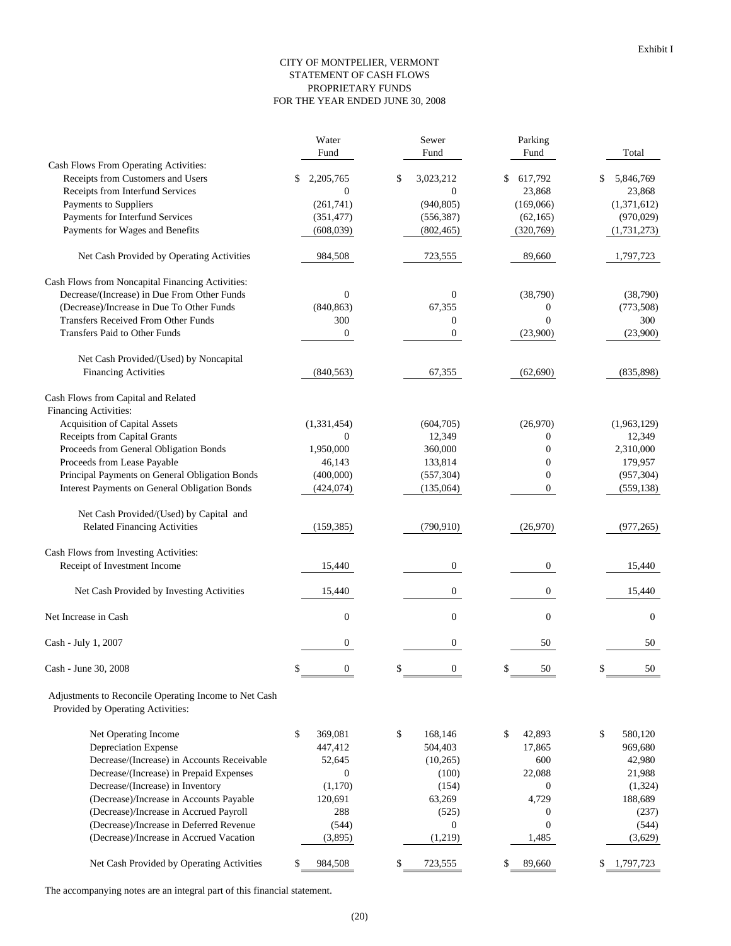#### CITY OF MONTPELIER, VERMONT STATEMENT OF CASH FLOWS PROPRIETARY FUNDS FOR THE YEAR ENDED JUNE 30, 2008

|                                                                                            | Water<br>Fund                 | Sewer<br>Fund              | Parking<br>Fund                | Total                     |
|--------------------------------------------------------------------------------------------|-------------------------------|----------------------------|--------------------------------|---------------------------|
| Cash Flows From Operating Activities:                                                      |                               |                            |                                |                           |
| Receipts from Customers and Users                                                          | 2,205,765<br>\$               | \$<br>3,023,212            | 617,792<br>\$                  | \$<br>5,846,769           |
| Receipts from Interfund Services<br>Payments to Suppliers                                  | $\boldsymbol{0}$<br>(261,741) | $\mathbf{0}$<br>(940, 805) | 23,868<br>(169,066)            | 23,868                    |
| Payments for Interfund Services                                                            | (351, 477)                    | (556, 387)                 | (62, 165)                      | (1,371,612)<br>(970, 029) |
| Payments for Wages and Benefits                                                            | (608, 039)                    | (802, 465)                 | (320,769)                      | (1,731,273)               |
|                                                                                            |                               |                            |                                |                           |
| Net Cash Provided by Operating Activities                                                  | 984,508                       | 723,555                    | 89,660                         | 1,797,723                 |
| Cash Flows from Noncapital Financing Activities:                                           |                               |                            |                                |                           |
| Decrease/(Increase) in Due From Other Funds                                                | $\boldsymbol{0}$              | $\overline{0}$             | (38,790)                       | (38,790)                  |
| (Decrease)/Increase in Due To Other Funds                                                  | (840, 863)                    | 67,355                     | $\boldsymbol{0}$               | (773, 508)                |
| <b>Transfers Received From Other Funds</b>                                                 | 300                           | $\boldsymbol{0}$           | $\overline{0}$                 | 300                       |
| Transfers Paid to Other Funds                                                              | 0                             | 0                          | (23,900)                       | (23,900)                  |
| Net Cash Provided/(Used) by Noncapital                                                     |                               |                            |                                |                           |
| <b>Financing Activities</b>                                                                | (840, 563)                    | 67,355                     | (62,690)                       | (835, 898)                |
| Cash Flows from Capital and Related                                                        |                               |                            |                                |                           |
| Financing Activities:                                                                      |                               |                            |                                |                           |
| <b>Acquisition of Capital Assets</b>                                                       | (1,331,454)                   | (604, 705)                 | (26,970)                       | (1,963,129)               |
| Receipts from Capital Grants                                                               | $\boldsymbol{0}$              | 12,349                     | 0                              | 12,349                    |
| Proceeds from General Obligation Bonds<br>Proceeds from Lease Payable                      | 1,950,000<br>46,143           | 360,000<br>133,814         | $\mathbf{0}$<br>$\overline{0}$ | 2,310,000<br>179,957      |
| Principal Payments on General Obligation Bonds                                             | (400,000)                     | (557, 304)                 | $\mathbf{0}$                   | (957, 304)                |
| <b>Interest Payments on General Obligation Bonds</b>                                       | (424, 074)                    | (135,064)                  | 0                              | (559, 138)                |
|                                                                                            |                               |                            |                                |                           |
| Net Cash Provided/(Used) by Capital and<br><b>Related Financing Activities</b>             | (159, 385)                    | (790, 910)                 | (26,970)                       | (977, 265)                |
| Cash Flows from Investing Activities:                                                      |                               |                            |                                |                           |
| Receipt of Investment Income                                                               | 15,440                        | $\boldsymbol{0}$           | $\boldsymbol{0}$               | 15,440                    |
|                                                                                            |                               |                            |                                |                           |
| Net Cash Provided by Investing Activities                                                  | 15,440                        | $\overline{0}$             | $\overline{0}$                 | 15,440                    |
| Net Increase in Cash                                                                       | $\boldsymbol{0}$              | $\boldsymbol{0}$           | $\boldsymbol{0}$               | $\boldsymbol{0}$          |
| Cash - July 1, 2007                                                                        | $\boldsymbol{0}$              | $\boldsymbol{0}$           | 50                             | 50                        |
| Cash - June 30, 2008                                                                       | \$<br>$\boldsymbol{0}$        | \$<br>$\boldsymbol{0}$     | \$<br>50                       | \$<br>50                  |
| Adjustments to Reconcile Operating Income to Net Cash<br>Provided by Operating Activities: |                               |                            |                                |                           |
| Net Operating Income                                                                       | \$<br>369,081                 | \$<br>168,146              | 42,893<br>\$                   | \$<br>580,120             |
| <b>Depreciation Expense</b>                                                                | 447,412                       | 504,403                    | 17,865                         | 969,680                   |
| Decrease/(Increase) in Accounts Receivable                                                 | 52,645                        | (10,265)                   | 600                            | 42,980                    |
| Decrease/(Increase) in Prepaid Expenses                                                    | $\mathbf{0}$                  | (100)                      | 22,088                         | 21,988                    |
| Decrease/(Increase) in Inventory                                                           | (1,170)                       | (154)                      | $\boldsymbol{0}$               | (1, 324)                  |
| (Decrease)/Increase in Accounts Payable                                                    | 120,691                       | 63,269                     | 4,729                          | 188,689                   |
| (Decrease)/Increase in Accrued Payroll                                                     | 288                           | (525)                      | 0                              | (237)                     |
| (Decrease)/Increase in Deferred Revenue                                                    | (544)                         | $\overline{0}$             | $\mathbf{0}$                   | (544)                     |
| (Decrease)/Increase in Accrued Vacation                                                    | (3,895)                       | (1,219)                    | 1,485                          | (3,629)                   |
| Net Cash Provided by Operating Activities                                                  | 984,508<br>\$                 | 723,555<br>\$              | 89,660<br>\$                   | 1,797,723<br>\$           |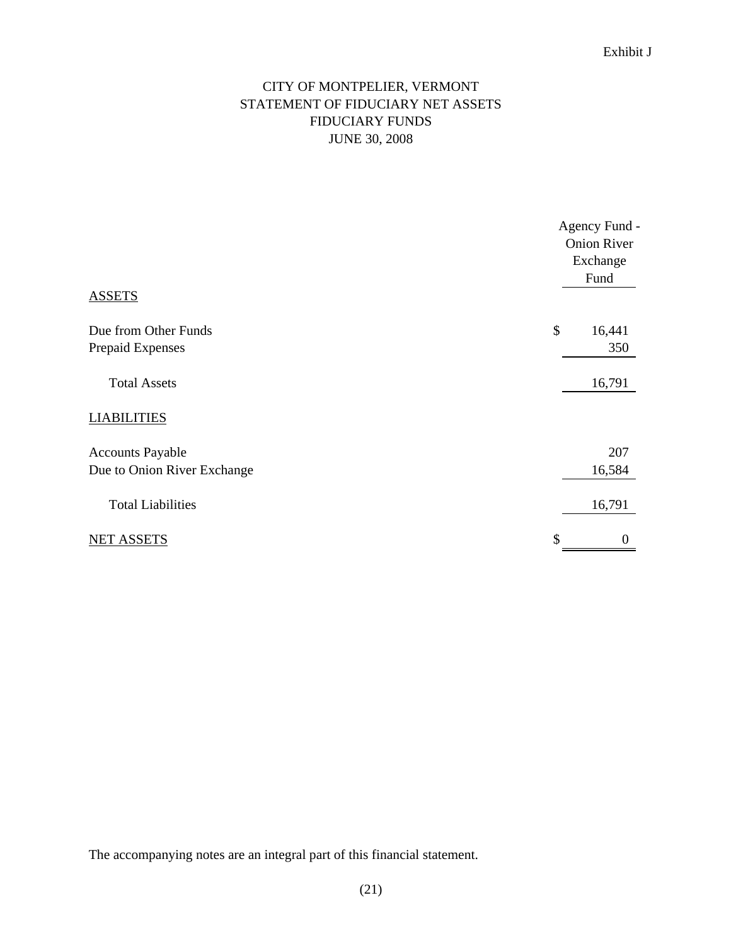# CITY OF MONTPELIER, VERMONT STATEMENT OF FIDUCIARY NET ASSETS FIDUCIARY FUNDS JUNE 30, 2008

| <b>ASSETS</b>               | Agency Fund -<br><b>Onion River</b><br>Exchange<br>Fund |  |  |
|-----------------------------|---------------------------------------------------------|--|--|
| Due from Other Funds        | \$<br>16,441                                            |  |  |
| Prepaid Expenses            | 350                                                     |  |  |
| <b>Total Assets</b>         | 16,791                                                  |  |  |
| <b>LIABILITIES</b>          |                                                         |  |  |
| <b>Accounts Payable</b>     | 207                                                     |  |  |
| Due to Onion River Exchange | 16,584                                                  |  |  |
| <b>Total Liabilities</b>    | 16,791                                                  |  |  |
| <b>NET ASSETS</b>           | \$<br>$\boldsymbol{0}$                                  |  |  |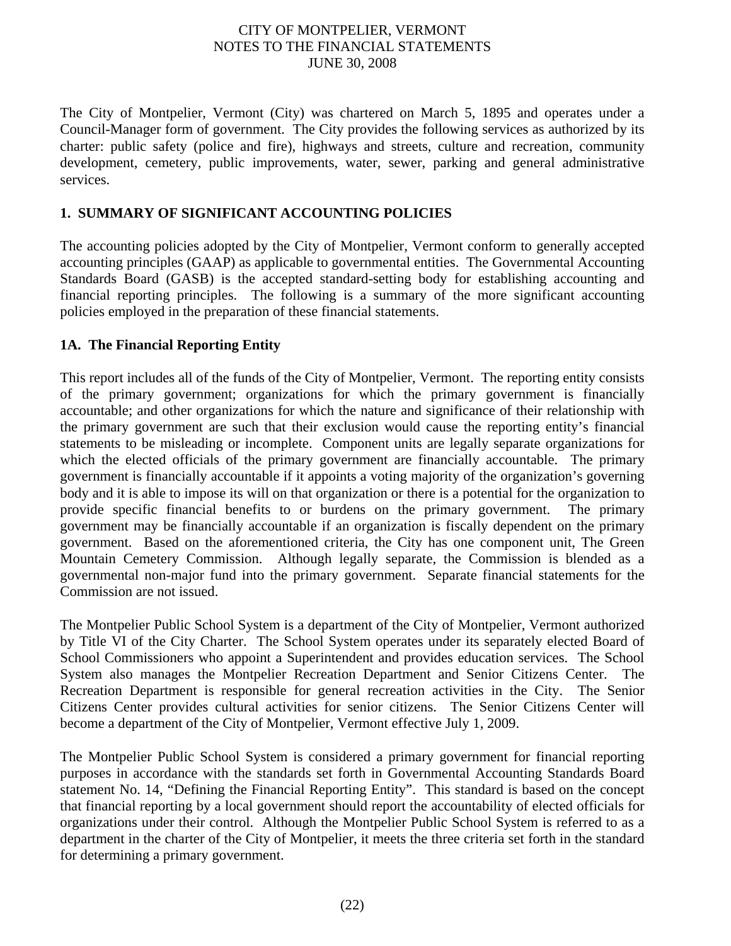The City of Montpelier, Vermont (City) was chartered on March 5, 1895 and operates under a Council-Manager form of government. The City provides the following services as authorized by its charter: public safety (police and fire), highways and streets, culture and recreation, community development, cemetery, public improvements, water, sewer, parking and general administrative services.

## **1. SUMMARY OF SIGNIFICANT ACCOUNTING POLICIES**

The accounting policies adopted by the City of Montpelier, Vermont conform to generally accepted accounting principles (GAAP) as applicable to governmental entities. The Governmental Accounting Standards Board (GASB) is the accepted standard-setting body for establishing accounting and financial reporting principles. The following is a summary of the more significant accounting policies employed in the preparation of these financial statements.

## **1A. The Financial Reporting Entity**

This report includes all of the funds of the City of Montpelier, Vermont. The reporting entity consists of the primary government; organizations for which the primary government is financially accountable; and other organizations for which the nature and significance of their relationship with the primary government are such that their exclusion would cause the reporting entity's financial statements to be misleading or incomplete. Component units are legally separate organizations for which the elected officials of the primary government are financially accountable. The primary government is financially accountable if it appoints a voting majority of the organization's governing body and it is able to impose its will on that organization or there is a potential for the organization to provide specific financial benefits to or burdens on the primary government. The primary government may be financially accountable if an organization is fiscally dependent on the primary government. Based on the aforementioned criteria, the City has one component unit, The Green Mountain Cemetery Commission. Although legally separate, the Commission is blended as a governmental non-major fund into the primary government. Separate financial statements for the Commission are not issued.

The Montpelier Public School System is a department of the City of Montpelier, Vermont authorized by Title VI of the City Charter. The School System operates under its separately elected Board of School Commissioners who appoint a Superintendent and provides education services. The School System also manages the Montpelier Recreation Department and Senior Citizens Center. The Recreation Department is responsible for general recreation activities in the City. The Senior Citizens Center provides cultural activities for senior citizens. The Senior Citizens Center will become a department of the City of Montpelier, Vermont effective July 1, 2009.

The Montpelier Public School System is considered a primary government for financial reporting purposes in accordance with the standards set forth in Governmental Accounting Standards Board statement No. 14, "Defining the Financial Reporting Entity". This standard is based on the concept that financial reporting by a local government should report the accountability of elected officials for organizations under their control. Although the Montpelier Public School System is referred to as a department in the charter of the City of Montpelier, it meets the three criteria set forth in the standard for determining a primary government.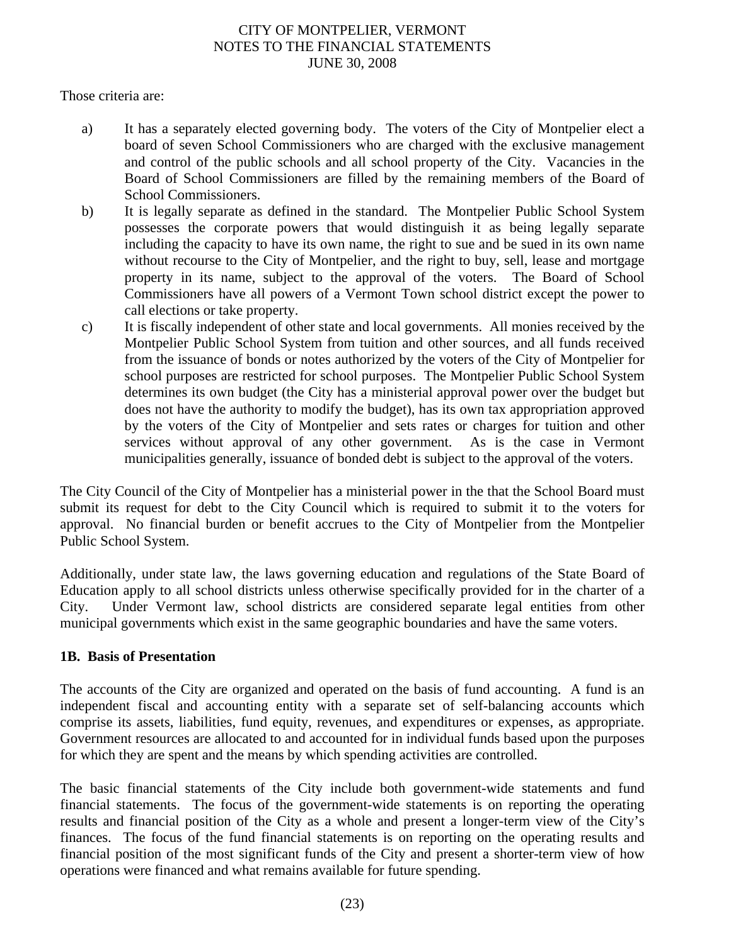Those criteria are:

- a) It has a separately elected governing body. The voters of the City of Montpelier elect a board of seven School Commissioners who are charged with the exclusive management and control of the public schools and all school property of the City. Vacancies in the Board of School Commissioners are filled by the remaining members of the Board of School Commissioners.
- b) It is legally separate as defined in the standard. The Montpelier Public School System possesses the corporate powers that would distinguish it as being legally separate including the capacity to have its own name, the right to sue and be sued in its own name without recourse to the City of Montpelier, and the right to buy, sell, lease and mortgage property in its name, subject to the approval of the voters. The Board of School Commissioners have all powers of a Vermont Town school district except the power to call elections or take property.
- c) It is fiscally independent of other state and local governments. All monies received by the Montpelier Public School System from tuition and other sources, and all funds received from the issuance of bonds or notes authorized by the voters of the City of Montpelier for school purposes are restricted for school purposes. The Montpelier Public School System determines its own budget (the City has a ministerial approval power over the budget but does not have the authority to modify the budget), has its own tax appropriation approved by the voters of the City of Montpelier and sets rates or charges for tuition and other services without approval of any other government. As is the case in Vermont municipalities generally, issuance of bonded debt is subject to the approval of the voters.

The City Council of the City of Montpelier has a ministerial power in the that the School Board must submit its request for debt to the City Council which is required to submit it to the voters for approval. No financial burden or benefit accrues to the City of Montpelier from the Montpelier Public School System.

Additionally, under state law, the laws governing education and regulations of the State Board of Education apply to all school districts unless otherwise specifically provided for in the charter of a City. Under Vermont law, school districts are considered separate legal entities from other municipal governments which exist in the same geographic boundaries and have the same voters.

#### **1B. Basis of Presentation**

The accounts of the City are organized and operated on the basis of fund accounting. A fund is an independent fiscal and accounting entity with a separate set of self-balancing accounts which comprise its assets, liabilities, fund equity, revenues, and expenditures or expenses, as appropriate. Government resources are allocated to and accounted for in individual funds based upon the purposes for which they are spent and the means by which spending activities are controlled.

The basic financial statements of the City include both government-wide statements and fund financial statements. The focus of the government-wide statements is on reporting the operating results and financial position of the City as a whole and present a longer-term view of the City's finances. The focus of the fund financial statements is on reporting on the operating results and financial position of the most significant funds of the City and present a shorter-term view of how operations were financed and what remains available for future spending.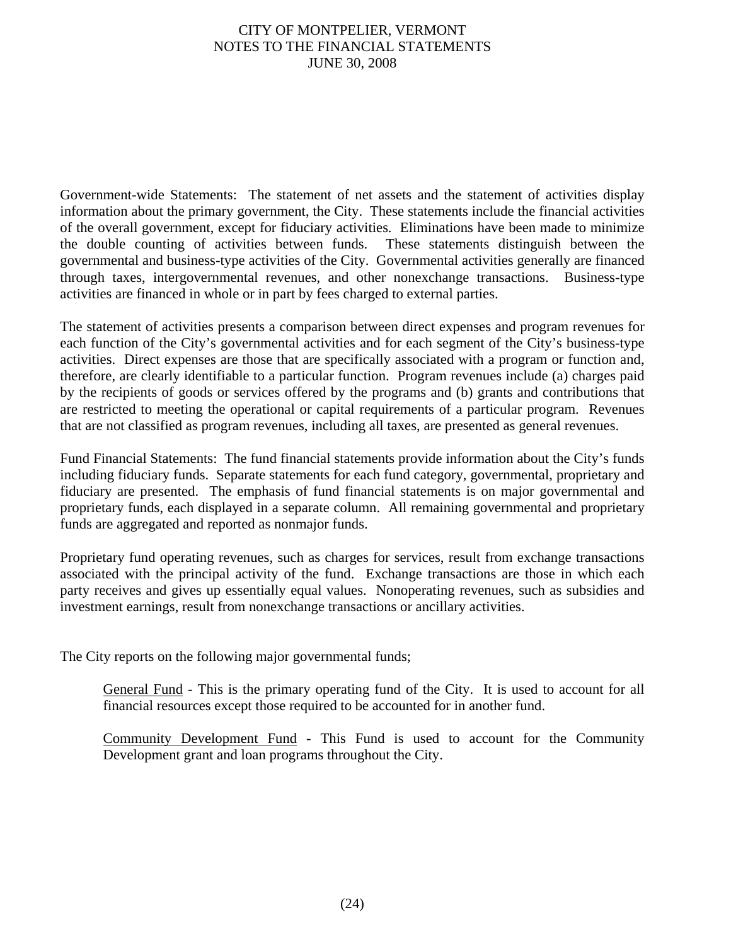Government-wide Statements: The statement of net assets and the statement of activities display information about the primary government, the City. These statements include the financial activities of the overall government, except for fiduciary activities. Eliminations have been made to minimize the double counting of activities between funds. These statements distinguish between the governmental and business-type activities of the City. Governmental activities generally are financed through taxes, intergovernmental revenues, and other nonexchange transactions. Business-type activities are financed in whole or in part by fees charged to external parties.

The statement of activities presents a comparison between direct expenses and program revenues for each function of the City's governmental activities and for each segment of the City's business-type activities. Direct expenses are those that are specifically associated with a program or function and, therefore, are clearly identifiable to a particular function. Program revenues include (a) charges paid by the recipients of goods or services offered by the programs and (b) grants and contributions that are restricted to meeting the operational or capital requirements of a particular program. Revenues that are not classified as program revenues, including all taxes, are presented as general revenues.

Fund Financial Statements: The fund financial statements provide information about the City's funds including fiduciary funds. Separate statements for each fund category, governmental, proprietary and fiduciary are presented. The emphasis of fund financial statements is on major governmental and proprietary funds, each displayed in a separate column. All remaining governmental and proprietary funds are aggregated and reported as nonmajor funds.

Proprietary fund operating revenues, such as charges for services, result from exchange transactions associated with the principal activity of the fund. Exchange transactions are those in which each party receives and gives up essentially equal values. Nonoperating revenues, such as subsidies and investment earnings, result from nonexchange transactions or ancillary activities.

The City reports on the following major governmental funds;

General Fund - This is the primary operating fund of the City. It is used to account for all financial resources except those required to be accounted for in another fund.

Community Development Fund - This Fund is used to account for the Community Development grant and loan programs throughout the City.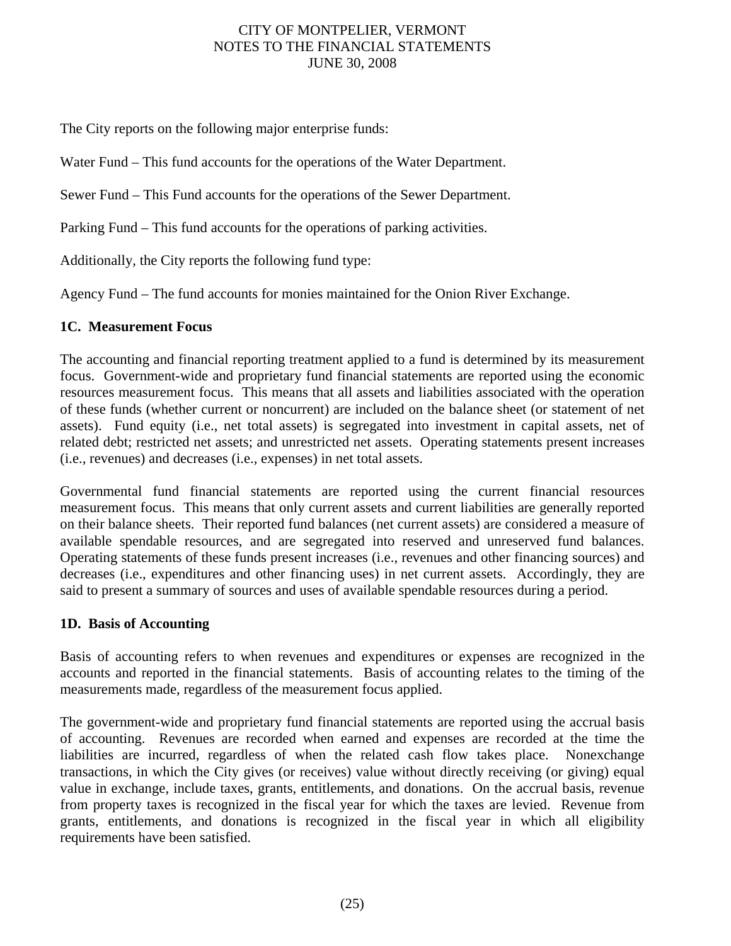The City reports on the following major enterprise funds:

Water Fund – This fund accounts for the operations of the Water Department.

Sewer Fund – This Fund accounts for the operations of the Sewer Department.

Parking Fund – This fund accounts for the operations of parking activities.

Additionally, the City reports the following fund type:

Agency Fund – The fund accounts for monies maintained for the Onion River Exchange.

#### **1C. Measurement Focus**

The accounting and financial reporting treatment applied to a fund is determined by its measurement focus. Government-wide and proprietary fund financial statements are reported using the economic resources measurement focus. This means that all assets and liabilities associated with the operation of these funds (whether current or noncurrent) are included on the balance sheet (or statement of net assets). Fund equity (i.e., net total assets) is segregated into investment in capital assets, net of related debt; restricted net assets; and unrestricted net assets. Operating statements present increases (i.e., revenues) and decreases (i.e., expenses) in net total assets.

Governmental fund financial statements are reported using the current financial resources measurement focus. This means that only current assets and current liabilities are generally reported on their balance sheets. Their reported fund balances (net current assets) are considered a measure of available spendable resources, and are segregated into reserved and unreserved fund balances. Operating statements of these funds present increases (i.e., revenues and other financing sources) and decreases (i.e., expenditures and other financing uses) in net current assets. Accordingly, they are said to present a summary of sources and uses of available spendable resources during a period.

#### **1D. Basis of Accounting**

Basis of accounting refers to when revenues and expenditures or expenses are recognized in the accounts and reported in the financial statements. Basis of accounting relates to the timing of the measurements made, regardless of the measurement focus applied.

The government-wide and proprietary fund financial statements are reported using the accrual basis of accounting. Revenues are recorded when earned and expenses are recorded at the time the liabilities are incurred, regardless of when the related cash flow takes place. Nonexchange transactions, in which the City gives (or receives) value without directly receiving (or giving) equal value in exchange, include taxes, grants, entitlements, and donations. On the accrual basis, revenue from property taxes is recognized in the fiscal year for which the taxes are levied. Revenue from grants, entitlements, and donations is recognized in the fiscal year in which all eligibility requirements have been satisfied.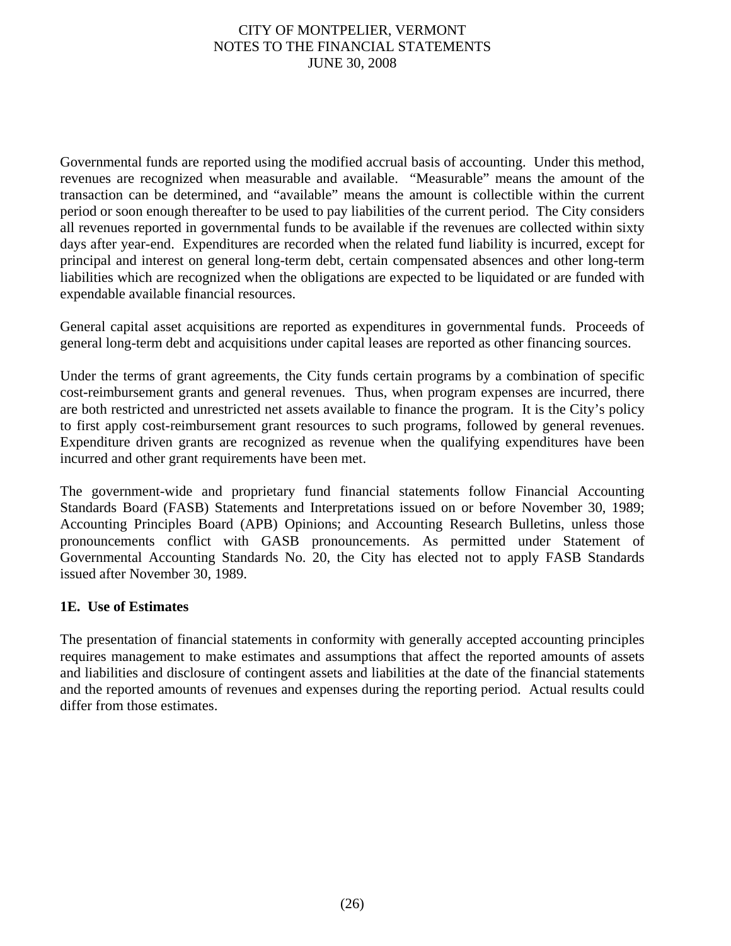Governmental funds are reported using the modified accrual basis of accounting. Under this method, revenues are recognized when measurable and available. "Measurable" means the amount of the transaction can be determined, and "available" means the amount is collectible within the current period or soon enough thereafter to be used to pay liabilities of the current period. The City considers all revenues reported in governmental funds to be available if the revenues are collected within sixty days after year-end. Expenditures are recorded when the related fund liability is incurred, except for principal and interest on general long-term debt, certain compensated absences and other long-term liabilities which are recognized when the obligations are expected to be liquidated or are funded with expendable available financial resources.

General capital asset acquisitions are reported as expenditures in governmental funds. Proceeds of general long-term debt and acquisitions under capital leases are reported as other financing sources.

Under the terms of grant agreements, the City funds certain programs by a combination of specific cost-reimbursement grants and general revenues. Thus, when program expenses are incurred, there are both restricted and unrestricted net assets available to finance the program. It is the City's policy to first apply cost-reimbursement grant resources to such programs, followed by general revenues. Expenditure driven grants are recognized as revenue when the qualifying expenditures have been incurred and other grant requirements have been met.

The government-wide and proprietary fund financial statements follow Financial Accounting Standards Board (FASB) Statements and Interpretations issued on or before November 30, 1989; Accounting Principles Board (APB) Opinions; and Accounting Research Bulletins, unless those pronouncements conflict with GASB pronouncements. As permitted under Statement of Governmental Accounting Standards No. 20, the City has elected not to apply FASB Standards issued after November 30, 1989.

#### **1E. Use of Estimates**

The presentation of financial statements in conformity with generally accepted accounting principles requires management to make estimates and assumptions that affect the reported amounts of assets and liabilities and disclosure of contingent assets and liabilities at the date of the financial statements and the reported amounts of revenues and expenses during the reporting period. Actual results could differ from those estimates.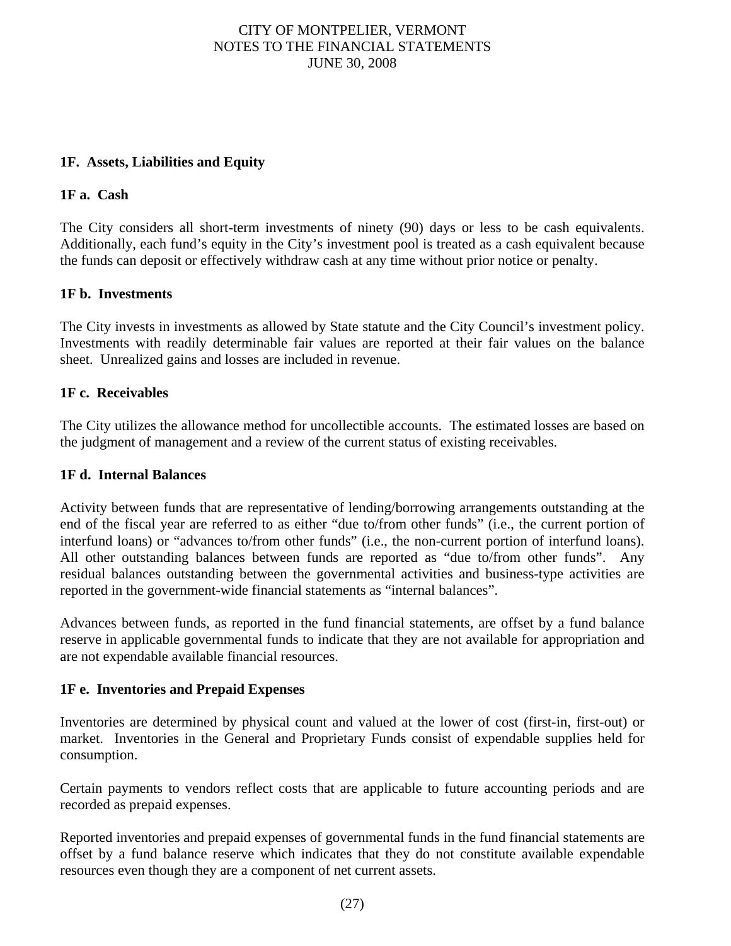# **1F. Assets, Liabilities and Equity**

## **1F a. Cash**

The City considers all short-term investments of ninety (90) days or less to be cash equivalents. Additionally, each fund's equity in the City's investment pool is treated as a cash equivalent because the funds can deposit or effectively withdraw cash at any time without prior notice or penalty.

## **1F b. Investments**

The City invests in investments as allowed by State statute and the City Council's investment policy. Investments with readily determinable fair values are reported at their fair values on the balance sheet. Unrealized gains and losses are included in revenue.

## **1F c. Receivables**

The City utilizes the allowance method for uncollectible accounts. The estimated losses are based on the judgment of management and a review of the current status of existing receivables.

### **1F d. Internal Balances**

Activity between funds that are representative of lending/borrowing arrangements outstanding at the end of the fiscal year are referred to as either "due to/from other funds" (i.e., the current portion of interfund loans) or "advances to/from other funds" (i.e., the non-current portion of interfund loans). All other outstanding balances between funds are reported as "due to/from other funds". Any residual balances outstanding between the governmental activities and business-type activities are reported in the government-wide financial statements as "internal balances".

Advances between funds, as reported in the fund financial statements, are offset by a fund balance reserve in applicable governmental funds to indicate that they are not available for appropriation and are not expendable available financial resources.

## **1F e. Inventories and Prepaid Expenses**

Inventories are determined by physical count and valued at the lower of cost (first-in, first-out) or market. Inventories in the General and Proprietary Funds consist of expendable supplies held for consumption.

Certain payments to vendors reflect costs that are applicable to future accounting periods and are recorded as prepaid expenses.

Reported inventories and prepaid expenses of governmental funds in the fund financial statements are offset by a fund balance reserve which indicates that they do not constitute available expendable resources even though they are a component of net current assets.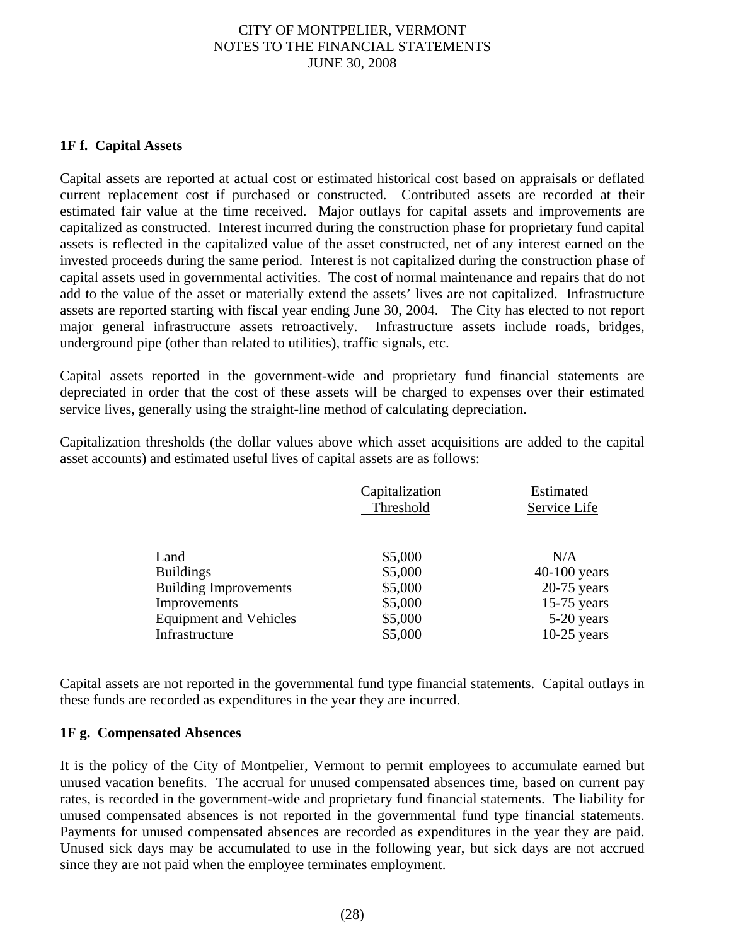#### **1F f. Capital Assets**

Capital assets are reported at actual cost or estimated historical cost based on appraisals or deflated current replacement cost if purchased or constructed. Contributed assets are recorded at their estimated fair value at the time received. Major outlays for capital assets and improvements are capitalized as constructed. Interest incurred during the construction phase for proprietary fund capital assets is reflected in the capitalized value of the asset constructed, net of any interest earned on the invested proceeds during the same period. Interest is not capitalized during the construction phase of capital assets used in governmental activities. The cost of normal maintenance and repairs that do not add to the value of the asset or materially extend the assets' lives are not capitalized. Infrastructure assets are reported starting with fiscal year ending June 30, 2004. The City has elected to not report major general infrastructure assets retroactively. Infrastructure assets include roads, bridges, underground pipe (other than related to utilities), traffic signals, etc.

Capital assets reported in the government-wide and proprietary fund financial statements are depreciated in order that the cost of these assets will be charged to expenses over their estimated service lives, generally using the straight-line method of calculating depreciation.

Capitalization thresholds (the dollar values above which asset acquisitions are added to the capital asset accounts) and estimated useful lives of capital assets are as follows:

| Capitalization | Estimated      |
|----------------|----------------|
|                | Service Life   |
|                |                |
| \$5,000        | N/A            |
| \$5,000        | $40-100$ years |
| \$5,000        | $20-75$ years  |
| \$5,000        | $15-75$ years  |
| \$5,000        | 5-20 years     |
| \$5,000        | $10-25$ years  |
|                | Threshold      |

Capital assets are not reported in the governmental fund type financial statements. Capital outlays in these funds are recorded as expenditures in the year they are incurred.

#### **1F g. Compensated Absences**

It is the policy of the City of Montpelier, Vermont to permit employees to accumulate earned but unused vacation benefits. The accrual for unused compensated absences time, based on current pay rates, is recorded in the government-wide and proprietary fund financial statements. The liability for unused compensated absences is not reported in the governmental fund type financial statements. Payments for unused compensated absences are recorded as expenditures in the year they are paid. Unused sick days may be accumulated to use in the following year, but sick days are not accrued since they are not paid when the employee terminates employment.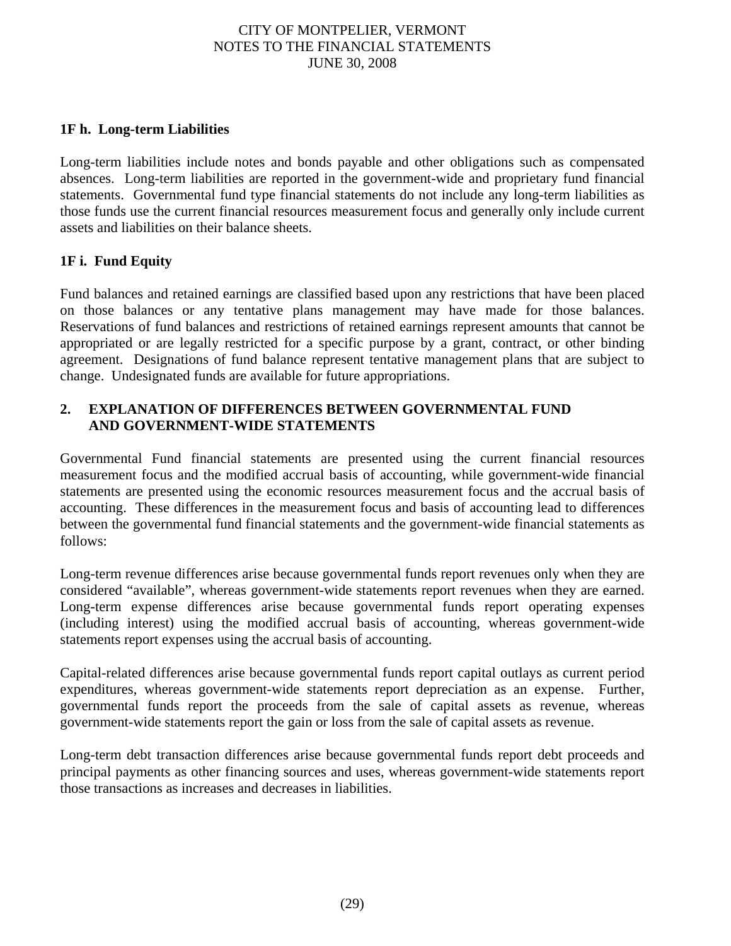## **1F h. Long-term Liabilities**

Long-term liabilities include notes and bonds payable and other obligations such as compensated absences. Long-term liabilities are reported in the government-wide and proprietary fund financial statements. Governmental fund type financial statements do not include any long-term liabilities as those funds use the current financial resources measurement focus and generally only include current assets and liabilities on their balance sheets.

## **1F i. Fund Equity**

Fund balances and retained earnings are classified based upon any restrictions that have been placed on those balances or any tentative plans management may have made for those balances. Reservations of fund balances and restrictions of retained earnings represent amounts that cannot be appropriated or are legally restricted for a specific purpose by a grant, contract, or other binding agreement. Designations of fund balance represent tentative management plans that are subject to change. Undesignated funds are available for future appropriations.

## **2. EXPLANATION OF DIFFERENCES BETWEEN GOVERNMENTAL FUND AND GOVERNMENT-WIDE STATEMENTS**

Governmental Fund financial statements are presented using the current financial resources measurement focus and the modified accrual basis of accounting, while government-wide financial statements are presented using the economic resources measurement focus and the accrual basis of accounting. These differences in the measurement focus and basis of accounting lead to differences between the governmental fund financial statements and the government-wide financial statements as follows:

Long-term revenue differences arise because governmental funds report revenues only when they are considered "available", whereas government-wide statements report revenues when they are earned. Long-term expense differences arise because governmental funds report operating expenses (including interest) using the modified accrual basis of accounting, whereas government-wide statements report expenses using the accrual basis of accounting.

Capital-related differences arise because governmental funds report capital outlays as current period expenditures, whereas government-wide statements report depreciation as an expense. Further, governmental funds report the proceeds from the sale of capital assets as revenue, whereas government-wide statements report the gain or loss from the sale of capital assets as revenue.

Long-term debt transaction differences arise because governmental funds report debt proceeds and principal payments as other financing sources and uses, whereas government-wide statements report those transactions as increases and decreases in liabilities.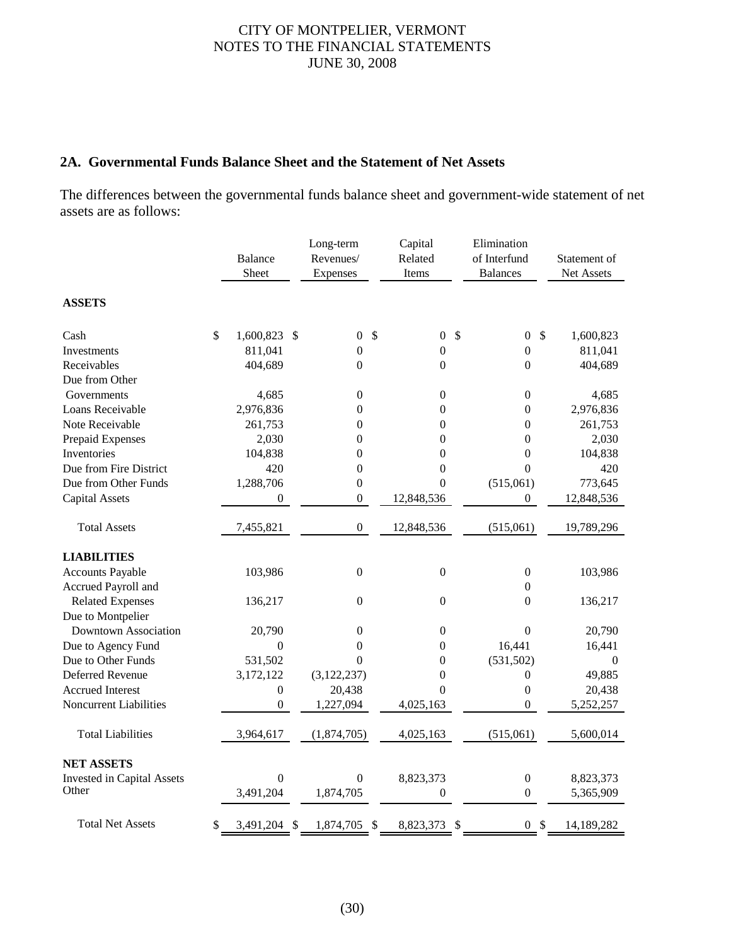# **2A. Governmental Funds Balance Sheet and the Statement of Net Assets**

The differences between the governmental funds balance sheet and government-wide statement of net assets are as follows:

|                             |               | <b>Balance</b><br>Sheet | Long-term<br>Revenues/<br>Expenses |                           | Capital<br>Related<br>Items |                           | Elimination<br>of Interfund<br><b>Balances</b> | Statement of<br>Net Assets |
|-----------------------------|---------------|-------------------------|------------------------------------|---------------------------|-----------------------------|---------------------------|------------------------------------------------|----------------------------|
| <b>ASSETS</b>               |               |                         |                                    |                           |                             |                           |                                                |                            |
| Cash                        | $\mathsf{\$}$ | 1,600,823 \$            | $\boldsymbol{0}$                   | $\boldsymbol{\mathsf{S}}$ | $\boldsymbol{0}$            | $\boldsymbol{\mathsf{S}}$ | $\mathcal{S}$<br>$\boldsymbol{0}$              | 1,600,823                  |
| Investments                 |               | 811,041                 | $\theta$                           |                           | $\boldsymbol{0}$            |                           | $\boldsymbol{0}$                               | 811,041                    |
| Receivables                 |               | 404,689                 | $\theta$                           |                           | $\theta$                    |                           | $\theta$                                       | 404,689                    |
| Due from Other              |               |                         |                                    |                           |                             |                           |                                                |                            |
| Governments                 |               | 4,685                   | $\boldsymbol{0}$                   |                           | $\boldsymbol{0}$            |                           | $\boldsymbol{0}$                               | 4,685                      |
| Loans Receivable            |               | 2,976,836               | $\boldsymbol{0}$                   |                           | $\boldsymbol{0}$            |                           | $\boldsymbol{0}$                               | 2,976,836                  |
| Note Receivable             |               | 261,753                 | 0                                  |                           | $\boldsymbol{0}$            |                           | $\boldsymbol{0}$                               | 261,753                    |
| Prepaid Expenses            |               | 2,030                   | $\overline{0}$                     |                           | $\overline{0}$              |                           | $\boldsymbol{0}$                               | 2,030                      |
| Inventories                 |               | 104,838                 | 0                                  |                           | $\boldsymbol{0}$            |                           | $\theta$                                       | 104,838                    |
| Due from Fire District      |               | 420                     | $\theta$                           |                           | $\theta$                    |                           | $\theta$                                       | 420                        |
| Due from Other Funds        |               | 1,288,706               | $\boldsymbol{0}$                   |                           | $\theta$                    |                           | (515,061)                                      | 773,645                    |
| <b>Capital Assets</b>       |               | 0                       | $\boldsymbol{0}$                   |                           | 12,848,536                  |                           | $\theta$                                       | 12,848,536                 |
| <b>Total Assets</b>         |               | 7,455,821               | $\boldsymbol{0}$                   |                           | 12,848,536                  |                           | (515,061)                                      | 19,789,296                 |
| <b>LIABILITIES</b>          |               |                         |                                    |                           |                             |                           |                                                |                            |
| <b>Accounts Payable</b>     |               | 103,986                 | $\theta$                           |                           | $\theta$                    |                           | $\theta$                                       | 103,986                    |
| Accrued Payroll and         |               |                         |                                    |                           |                             |                           | $\boldsymbol{0}$                               |                            |
| <b>Related Expenses</b>     |               | 136,217                 | $\boldsymbol{0}$                   |                           | $\boldsymbol{0}$            |                           | $\boldsymbol{0}$                               | 136,217                    |
| Due to Montpelier           |               |                         |                                    |                           |                             |                           |                                                |                            |
| <b>Downtown Association</b> |               | 20,790                  | $\theta$                           |                           | $\boldsymbol{0}$            |                           | $\theta$                                       | 20,790                     |
| Due to Agency Fund          |               | $\theta$                | $\theta$                           |                           | $\theta$                    |                           | 16,441                                         | 16,441                     |
| Due to Other Funds          |               | 531,502                 | $\theta$                           |                           | $\theta$                    |                           | (531, 502)                                     | $\theta$                   |
| Deferred Revenue            |               | 3,172,122               | (3, 122, 237)                      |                           | $\boldsymbol{0}$            |                           | $\boldsymbol{0}$                               | 49,885                     |
| <b>Accrued Interest</b>     |               | $\boldsymbol{0}$        | 20,438                             |                           | $\theta$                    |                           | $\theta$                                       | 20,438                     |
| Noncurrent Liabilities      |               | $\theta$                | 1,227,094                          |                           | 4,025,163                   |                           | $\theta$                                       | 5,252,257                  |
| <b>Total Liabilities</b>    |               | 3,964,617               | (1,874,705)                        |                           | 4,025,163                   |                           | (515,061)                                      | 5,600,014                  |
| <b>NET ASSETS</b>           |               |                         |                                    |                           |                             |                           |                                                |                            |
| Invested in Capital Assets  |               | $\boldsymbol{0}$        | $\overline{0}$                     |                           | 8,823,373                   |                           | $\boldsymbol{0}$                               | 8,823,373                  |
| Other                       |               | 3,491,204               | 1,874,705                          |                           | $\boldsymbol{0}$            |                           | $\boldsymbol{0}$                               | 5,365,909                  |
| <b>Total Net Assets</b>     | \$            | 3,491,204 \$            | 1,874,705                          | \$                        | 8,823,373                   | \$                        | $\mathcal{S}$<br>$\overline{0}$                | 14,189,282                 |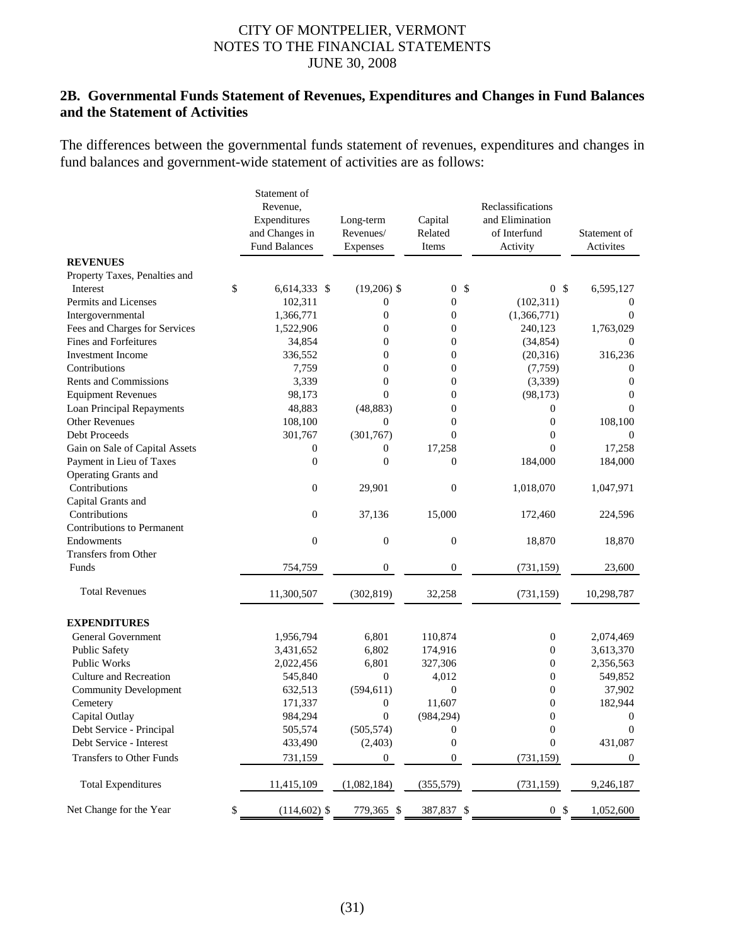## **2B. Governmental Funds Statement of Revenues, Expenditures and Changes in Fund Balances and the Statement of Activities**

The differences between the governmental funds statement of revenues, expenditures and changes in fund balances and government-wide statement of activities are as follows:

| Reclassifications<br>Revenue.<br>and Elimination<br>Expenditures<br>Long-term<br>Capital<br>Revenues/<br>Related<br>of Interfund<br>and Changes in<br>Statement of<br><b>Fund Balances</b><br>Expenses<br>Items<br>Activity<br>Activites<br>Property Taxes, Penalties and<br>\$<br>$(19,206)$ \$<br>0 <sup>5</sup><br>0 <sup>5</sup><br>Interest<br>6,614,333 \$<br>6,595,127<br>Permits and Licenses<br>(102, 311)<br>102,311<br>$\boldsymbol{0}$<br>$\boldsymbol{0}$<br>$\boldsymbol{0}$<br>1,366,771<br>$\boldsymbol{0}$<br>$\boldsymbol{0}$<br>(1,366,771)<br>$\Omega$<br>Intergovernmental<br>Fees and Charges for Services<br>1,522,906<br>$\overline{0}$<br>$\boldsymbol{0}$<br>240,123<br>1,763,029<br><b>Fines and Forfeitures</b><br>$\overline{0}$<br>34,854<br>$\overline{0}$<br>(34, 854)<br>$\Omega$<br><b>Investment Income</b><br>336,552<br>$\overline{0}$<br>$\mathbf{0}$<br>316,236<br>(20,316)<br>Contributions<br>7,759<br>$\overline{0}$<br>$\theta$<br>(7,759)<br>$\theta$<br><b>Rents and Commissions</b><br>3,339<br>$\boldsymbol{0}$<br>$\theta$<br>(3,339)<br>$\boldsymbol{0}$<br>$\overline{0}$<br><b>Equipment Revenues</b><br>98,173<br>$\boldsymbol{0}$<br>(98, 173)<br>$\theta$<br>48,883<br>(48, 883)<br>$\theta$<br>$\Omega$<br>Loan Principal Repayments<br>$\mathbf{0}$<br>108,100<br>$\mathbf{0}$<br>108,100<br><b>Other Revenues</b><br>$\mathbf{0}$<br>$\theta$<br>$\mathbf{0}$<br>Debt Proceeds<br>301,767<br>(301,767)<br>$\theta$<br>$\theta$<br>Gain on Sale of Capital Assets<br>$\boldsymbol{0}$<br>17,258<br>$\theta$<br>17,258<br>$\boldsymbol{0}$<br>$\boldsymbol{0}$<br>Payment in Lieu of Taxes<br>$\overline{0}$<br>$\overline{0}$<br>184,000<br>184,000<br>Operating Grants and<br>$\mathbf{0}$<br>Contributions<br>29,901<br>$\boldsymbol{0}$<br>1,018,070<br>1,047,971<br>Capital Grants and<br>Contributions<br>$\boldsymbol{0}$<br>37,136<br>15,000<br>224,596<br>172,460<br><b>Contributions to Permanent</b><br>$\mathbf{0}$<br>$\overline{0}$<br>$\overline{0}$<br>Endowments<br>18,870<br>18,870<br>Transfers from Other<br>$\theta$<br>$\mathbf{0}$<br>Funds<br>754,759<br>23,600<br>(731, 159)<br><b>Total Revenues</b><br>11,300,507<br>(302, 819)<br>10,298,787<br>32,258<br>(731, 159)<br><b>EXPENDITURES</b><br>6,801<br>General Government<br>1,956,794<br>110,874<br>$\boldsymbol{0}$<br>2,074,469<br>6,802<br><b>Public Safety</b><br>3,431,652<br>174,916<br>$\boldsymbol{0}$<br>3,613,370<br><b>Public Works</b><br>6,801<br>327,306<br>$\boldsymbol{0}$<br>2,022,456<br>2,356,563<br>$\mathbf{0}$<br>Culture and Recreation<br>545,840<br>4,012<br>$\boldsymbol{0}$<br>549,852<br>$\boldsymbol{0}$<br>632,513<br>(594, 611)<br>$\boldsymbol{0}$<br>37,902<br><b>Community Development</b><br>171,337<br>11,607<br>$\boldsymbol{0}$<br>182,944<br>Cemetery<br>$\boldsymbol{0}$<br>$\overline{0}$<br>$\mathbf{0}$<br>984,294<br>(984, 294)<br>$\boldsymbol{0}$<br>Capital Outlay<br>(505, 574)<br>505,574<br>Debt Service - Principal<br>$\boldsymbol{0}$<br>$\boldsymbol{0}$<br>$\boldsymbol{0}$<br>431,087<br>Debt Service - Interest<br>433,490<br>(2,403)<br>$\boldsymbol{0}$<br>$\boldsymbol{0}$<br>Transfers to Other Funds<br>731,159<br>$\boldsymbol{0}$<br>(731, 159)<br>$\boldsymbol{0}$<br>$\mathbf{0}$<br><b>Total Expenditures</b><br>(1,082,184)<br>(355,579)<br>11,415,109<br>(731, 159)<br>9,246,187 |                         | Statement of |  |  |  |
|--------------------------------------------------------------------------------------------------------------------------------------------------------------------------------------------------------------------------------------------------------------------------------------------------------------------------------------------------------------------------------------------------------------------------------------------------------------------------------------------------------------------------------------------------------------------------------------------------------------------------------------------------------------------------------------------------------------------------------------------------------------------------------------------------------------------------------------------------------------------------------------------------------------------------------------------------------------------------------------------------------------------------------------------------------------------------------------------------------------------------------------------------------------------------------------------------------------------------------------------------------------------------------------------------------------------------------------------------------------------------------------------------------------------------------------------------------------------------------------------------------------------------------------------------------------------------------------------------------------------------------------------------------------------------------------------------------------------------------------------------------------------------------------------------------------------------------------------------------------------------------------------------------------------------------------------------------------------------------------------------------------------------------------------------------------------------------------------------------------------------------------------------------------------------------------------------------------------------------------------------------------------------------------------------------------------------------------------------------------------------------------------------------------------------------------------------------------------------------------------------------------------------------------------------------------------------------------------------------------------------------------------------------------------------------------------------------------------------------------------------------------------------------------------------------------------------------------------------------------------------------------------------------------------------------------------------------------------------------------------------------------------------------------------------------------------------------------------------------------------------------------------------------------------------------------------------------------------------------------------------------------------------------------------------------------------------------------------------------------------------------------------|-------------------------|--------------|--|--|--|
|                                                                                                                                                                                                                                                                                                                                                                                                                                                                                                                                                                                                                                                                                                                                                                                                                                                                                                                                                                                                                                                                                                                                                                                                                                                                                                                                                                                                                                                                                                                                                                                                                                                                                                                                                                                                                                                                                                                                                                                                                                                                                                                                                                                                                                                                                                                                                                                                                                                                                                                                                                                                                                                                                                                                                                                                                                                                                                                                                                                                                                                                                                                                                                                                                                                                                                                                                                                            |                         |              |  |  |  |
|                                                                                                                                                                                                                                                                                                                                                                                                                                                                                                                                                                                                                                                                                                                                                                                                                                                                                                                                                                                                                                                                                                                                                                                                                                                                                                                                                                                                                                                                                                                                                                                                                                                                                                                                                                                                                                                                                                                                                                                                                                                                                                                                                                                                                                                                                                                                                                                                                                                                                                                                                                                                                                                                                                                                                                                                                                                                                                                                                                                                                                                                                                                                                                                                                                                                                                                                                                                            |                         |              |  |  |  |
|                                                                                                                                                                                                                                                                                                                                                                                                                                                                                                                                                                                                                                                                                                                                                                                                                                                                                                                                                                                                                                                                                                                                                                                                                                                                                                                                                                                                                                                                                                                                                                                                                                                                                                                                                                                                                                                                                                                                                                                                                                                                                                                                                                                                                                                                                                                                                                                                                                                                                                                                                                                                                                                                                                                                                                                                                                                                                                                                                                                                                                                                                                                                                                                                                                                                                                                                                                                            |                         |              |  |  |  |
|                                                                                                                                                                                                                                                                                                                                                                                                                                                                                                                                                                                                                                                                                                                                                                                                                                                                                                                                                                                                                                                                                                                                                                                                                                                                                                                                                                                                                                                                                                                                                                                                                                                                                                                                                                                                                                                                                                                                                                                                                                                                                                                                                                                                                                                                                                                                                                                                                                                                                                                                                                                                                                                                                                                                                                                                                                                                                                                                                                                                                                                                                                                                                                                                                                                                                                                                                                                            |                         |              |  |  |  |
|                                                                                                                                                                                                                                                                                                                                                                                                                                                                                                                                                                                                                                                                                                                                                                                                                                                                                                                                                                                                                                                                                                                                                                                                                                                                                                                                                                                                                                                                                                                                                                                                                                                                                                                                                                                                                                                                                                                                                                                                                                                                                                                                                                                                                                                                                                                                                                                                                                                                                                                                                                                                                                                                                                                                                                                                                                                                                                                                                                                                                                                                                                                                                                                                                                                                                                                                                                                            | <b>REVENUES</b>         |              |  |  |  |
|                                                                                                                                                                                                                                                                                                                                                                                                                                                                                                                                                                                                                                                                                                                                                                                                                                                                                                                                                                                                                                                                                                                                                                                                                                                                                                                                                                                                                                                                                                                                                                                                                                                                                                                                                                                                                                                                                                                                                                                                                                                                                                                                                                                                                                                                                                                                                                                                                                                                                                                                                                                                                                                                                                                                                                                                                                                                                                                                                                                                                                                                                                                                                                                                                                                                                                                                                                                            |                         |              |  |  |  |
|                                                                                                                                                                                                                                                                                                                                                                                                                                                                                                                                                                                                                                                                                                                                                                                                                                                                                                                                                                                                                                                                                                                                                                                                                                                                                                                                                                                                                                                                                                                                                                                                                                                                                                                                                                                                                                                                                                                                                                                                                                                                                                                                                                                                                                                                                                                                                                                                                                                                                                                                                                                                                                                                                                                                                                                                                                                                                                                                                                                                                                                                                                                                                                                                                                                                                                                                                                                            |                         |              |  |  |  |
|                                                                                                                                                                                                                                                                                                                                                                                                                                                                                                                                                                                                                                                                                                                                                                                                                                                                                                                                                                                                                                                                                                                                                                                                                                                                                                                                                                                                                                                                                                                                                                                                                                                                                                                                                                                                                                                                                                                                                                                                                                                                                                                                                                                                                                                                                                                                                                                                                                                                                                                                                                                                                                                                                                                                                                                                                                                                                                                                                                                                                                                                                                                                                                                                                                                                                                                                                                                            |                         |              |  |  |  |
|                                                                                                                                                                                                                                                                                                                                                                                                                                                                                                                                                                                                                                                                                                                                                                                                                                                                                                                                                                                                                                                                                                                                                                                                                                                                                                                                                                                                                                                                                                                                                                                                                                                                                                                                                                                                                                                                                                                                                                                                                                                                                                                                                                                                                                                                                                                                                                                                                                                                                                                                                                                                                                                                                                                                                                                                                                                                                                                                                                                                                                                                                                                                                                                                                                                                                                                                                                                            |                         |              |  |  |  |
|                                                                                                                                                                                                                                                                                                                                                                                                                                                                                                                                                                                                                                                                                                                                                                                                                                                                                                                                                                                                                                                                                                                                                                                                                                                                                                                                                                                                                                                                                                                                                                                                                                                                                                                                                                                                                                                                                                                                                                                                                                                                                                                                                                                                                                                                                                                                                                                                                                                                                                                                                                                                                                                                                                                                                                                                                                                                                                                                                                                                                                                                                                                                                                                                                                                                                                                                                                                            |                         |              |  |  |  |
|                                                                                                                                                                                                                                                                                                                                                                                                                                                                                                                                                                                                                                                                                                                                                                                                                                                                                                                                                                                                                                                                                                                                                                                                                                                                                                                                                                                                                                                                                                                                                                                                                                                                                                                                                                                                                                                                                                                                                                                                                                                                                                                                                                                                                                                                                                                                                                                                                                                                                                                                                                                                                                                                                                                                                                                                                                                                                                                                                                                                                                                                                                                                                                                                                                                                                                                                                                                            |                         |              |  |  |  |
|                                                                                                                                                                                                                                                                                                                                                                                                                                                                                                                                                                                                                                                                                                                                                                                                                                                                                                                                                                                                                                                                                                                                                                                                                                                                                                                                                                                                                                                                                                                                                                                                                                                                                                                                                                                                                                                                                                                                                                                                                                                                                                                                                                                                                                                                                                                                                                                                                                                                                                                                                                                                                                                                                                                                                                                                                                                                                                                                                                                                                                                                                                                                                                                                                                                                                                                                                                                            |                         |              |  |  |  |
|                                                                                                                                                                                                                                                                                                                                                                                                                                                                                                                                                                                                                                                                                                                                                                                                                                                                                                                                                                                                                                                                                                                                                                                                                                                                                                                                                                                                                                                                                                                                                                                                                                                                                                                                                                                                                                                                                                                                                                                                                                                                                                                                                                                                                                                                                                                                                                                                                                                                                                                                                                                                                                                                                                                                                                                                                                                                                                                                                                                                                                                                                                                                                                                                                                                                                                                                                                                            |                         |              |  |  |  |
|                                                                                                                                                                                                                                                                                                                                                                                                                                                                                                                                                                                                                                                                                                                                                                                                                                                                                                                                                                                                                                                                                                                                                                                                                                                                                                                                                                                                                                                                                                                                                                                                                                                                                                                                                                                                                                                                                                                                                                                                                                                                                                                                                                                                                                                                                                                                                                                                                                                                                                                                                                                                                                                                                                                                                                                                                                                                                                                                                                                                                                                                                                                                                                                                                                                                                                                                                                                            |                         |              |  |  |  |
|                                                                                                                                                                                                                                                                                                                                                                                                                                                                                                                                                                                                                                                                                                                                                                                                                                                                                                                                                                                                                                                                                                                                                                                                                                                                                                                                                                                                                                                                                                                                                                                                                                                                                                                                                                                                                                                                                                                                                                                                                                                                                                                                                                                                                                                                                                                                                                                                                                                                                                                                                                                                                                                                                                                                                                                                                                                                                                                                                                                                                                                                                                                                                                                                                                                                                                                                                                                            |                         |              |  |  |  |
|                                                                                                                                                                                                                                                                                                                                                                                                                                                                                                                                                                                                                                                                                                                                                                                                                                                                                                                                                                                                                                                                                                                                                                                                                                                                                                                                                                                                                                                                                                                                                                                                                                                                                                                                                                                                                                                                                                                                                                                                                                                                                                                                                                                                                                                                                                                                                                                                                                                                                                                                                                                                                                                                                                                                                                                                                                                                                                                                                                                                                                                                                                                                                                                                                                                                                                                                                                                            |                         |              |  |  |  |
|                                                                                                                                                                                                                                                                                                                                                                                                                                                                                                                                                                                                                                                                                                                                                                                                                                                                                                                                                                                                                                                                                                                                                                                                                                                                                                                                                                                                                                                                                                                                                                                                                                                                                                                                                                                                                                                                                                                                                                                                                                                                                                                                                                                                                                                                                                                                                                                                                                                                                                                                                                                                                                                                                                                                                                                                                                                                                                                                                                                                                                                                                                                                                                                                                                                                                                                                                                                            |                         |              |  |  |  |
|                                                                                                                                                                                                                                                                                                                                                                                                                                                                                                                                                                                                                                                                                                                                                                                                                                                                                                                                                                                                                                                                                                                                                                                                                                                                                                                                                                                                                                                                                                                                                                                                                                                                                                                                                                                                                                                                                                                                                                                                                                                                                                                                                                                                                                                                                                                                                                                                                                                                                                                                                                                                                                                                                                                                                                                                                                                                                                                                                                                                                                                                                                                                                                                                                                                                                                                                                                                            |                         |              |  |  |  |
|                                                                                                                                                                                                                                                                                                                                                                                                                                                                                                                                                                                                                                                                                                                                                                                                                                                                                                                                                                                                                                                                                                                                                                                                                                                                                                                                                                                                                                                                                                                                                                                                                                                                                                                                                                                                                                                                                                                                                                                                                                                                                                                                                                                                                                                                                                                                                                                                                                                                                                                                                                                                                                                                                                                                                                                                                                                                                                                                                                                                                                                                                                                                                                                                                                                                                                                                                                                            |                         |              |  |  |  |
|                                                                                                                                                                                                                                                                                                                                                                                                                                                                                                                                                                                                                                                                                                                                                                                                                                                                                                                                                                                                                                                                                                                                                                                                                                                                                                                                                                                                                                                                                                                                                                                                                                                                                                                                                                                                                                                                                                                                                                                                                                                                                                                                                                                                                                                                                                                                                                                                                                                                                                                                                                                                                                                                                                                                                                                                                                                                                                                                                                                                                                                                                                                                                                                                                                                                                                                                                                                            |                         |              |  |  |  |
|                                                                                                                                                                                                                                                                                                                                                                                                                                                                                                                                                                                                                                                                                                                                                                                                                                                                                                                                                                                                                                                                                                                                                                                                                                                                                                                                                                                                                                                                                                                                                                                                                                                                                                                                                                                                                                                                                                                                                                                                                                                                                                                                                                                                                                                                                                                                                                                                                                                                                                                                                                                                                                                                                                                                                                                                                                                                                                                                                                                                                                                                                                                                                                                                                                                                                                                                                                                            |                         |              |  |  |  |
|                                                                                                                                                                                                                                                                                                                                                                                                                                                                                                                                                                                                                                                                                                                                                                                                                                                                                                                                                                                                                                                                                                                                                                                                                                                                                                                                                                                                                                                                                                                                                                                                                                                                                                                                                                                                                                                                                                                                                                                                                                                                                                                                                                                                                                                                                                                                                                                                                                                                                                                                                                                                                                                                                                                                                                                                                                                                                                                                                                                                                                                                                                                                                                                                                                                                                                                                                                                            |                         |              |  |  |  |
|                                                                                                                                                                                                                                                                                                                                                                                                                                                                                                                                                                                                                                                                                                                                                                                                                                                                                                                                                                                                                                                                                                                                                                                                                                                                                                                                                                                                                                                                                                                                                                                                                                                                                                                                                                                                                                                                                                                                                                                                                                                                                                                                                                                                                                                                                                                                                                                                                                                                                                                                                                                                                                                                                                                                                                                                                                                                                                                                                                                                                                                                                                                                                                                                                                                                                                                                                                                            |                         |              |  |  |  |
|                                                                                                                                                                                                                                                                                                                                                                                                                                                                                                                                                                                                                                                                                                                                                                                                                                                                                                                                                                                                                                                                                                                                                                                                                                                                                                                                                                                                                                                                                                                                                                                                                                                                                                                                                                                                                                                                                                                                                                                                                                                                                                                                                                                                                                                                                                                                                                                                                                                                                                                                                                                                                                                                                                                                                                                                                                                                                                                                                                                                                                                                                                                                                                                                                                                                                                                                                                                            |                         |              |  |  |  |
|                                                                                                                                                                                                                                                                                                                                                                                                                                                                                                                                                                                                                                                                                                                                                                                                                                                                                                                                                                                                                                                                                                                                                                                                                                                                                                                                                                                                                                                                                                                                                                                                                                                                                                                                                                                                                                                                                                                                                                                                                                                                                                                                                                                                                                                                                                                                                                                                                                                                                                                                                                                                                                                                                                                                                                                                                                                                                                                                                                                                                                                                                                                                                                                                                                                                                                                                                                                            |                         |              |  |  |  |
|                                                                                                                                                                                                                                                                                                                                                                                                                                                                                                                                                                                                                                                                                                                                                                                                                                                                                                                                                                                                                                                                                                                                                                                                                                                                                                                                                                                                                                                                                                                                                                                                                                                                                                                                                                                                                                                                                                                                                                                                                                                                                                                                                                                                                                                                                                                                                                                                                                                                                                                                                                                                                                                                                                                                                                                                                                                                                                                                                                                                                                                                                                                                                                                                                                                                                                                                                                                            |                         |              |  |  |  |
|                                                                                                                                                                                                                                                                                                                                                                                                                                                                                                                                                                                                                                                                                                                                                                                                                                                                                                                                                                                                                                                                                                                                                                                                                                                                                                                                                                                                                                                                                                                                                                                                                                                                                                                                                                                                                                                                                                                                                                                                                                                                                                                                                                                                                                                                                                                                                                                                                                                                                                                                                                                                                                                                                                                                                                                                                                                                                                                                                                                                                                                                                                                                                                                                                                                                                                                                                                                            |                         |              |  |  |  |
|                                                                                                                                                                                                                                                                                                                                                                                                                                                                                                                                                                                                                                                                                                                                                                                                                                                                                                                                                                                                                                                                                                                                                                                                                                                                                                                                                                                                                                                                                                                                                                                                                                                                                                                                                                                                                                                                                                                                                                                                                                                                                                                                                                                                                                                                                                                                                                                                                                                                                                                                                                                                                                                                                                                                                                                                                                                                                                                                                                                                                                                                                                                                                                                                                                                                                                                                                                                            |                         |              |  |  |  |
|                                                                                                                                                                                                                                                                                                                                                                                                                                                                                                                                                                                                                                                                                                                                                                                                                                                                                                                                                                                                                                                                                                                                                                                                                                                                                                                                                                                                                                                                                                                                                                                                                                                                                                                                                                                                                                                                                                                                                                                                                                                                                                                                                                                                                                                                                                                                                                                                                                                                                                                                                                                                                                                                                                                                                                                                                                                                                                                                                                                                                                                                                                                                                                                                                                                                                                                                                                                            |                         |              |  |  |  |
|                                                                                                                                                                                                                                                                                                                                                                                                                                                                                                                                                                                                                                                                                                                                                                                                                                                                                                                                                                                                                                                                                                                                                                                                                                                                                                                                                                                                                                                                                                                                                                                                                                                                                                                                                                                                                                                                                                                                                                                                                                                                                                                                                                                                                                                                                                                                                                                                                                                                                                                                                                                                                                                                                                                                                                                                                                                                                                                                                                                                                                                                                                                                                                                                                                                                                                                                                                                            |                         |              |  |  |  |
|                                                                                                                                                                                                                                                                                                                                                                                                                                                                                                                                                                                                                                                                                                                                                                                                                                                                                                                                                                                                                                                                                                                                                                                                                                                                                                                                                                                                                                                                                                                                                                                                                                                                                                                                                                                                                                                                                                                                                                                                                                                                                                                                                                                                                                                                                                                                                                                                                                                                                                                                                                                                                                                                                                                                                                                                                                                                                                                                                                                                                                                                                                                                                                                                                                                                                                                                                                                            |                         |              |  |  |  |
|                                                                                                                                                                                                                                                                                                                                                                                                                                                                                                                                                                                                                                                                                                                                                                                                                                                                                                                                                                                                                                                                                                                                                                                                                                                                                                                                                                                                                                                                                                                                                                                                                                                                                                                                                                                                                                                                                                                                                                                                                                                                                                                                                                                                                                                                                                                                                                                                                                                                                                                                                                                                                                                                                                                                                                                                                                                                                                                                                                                                                                                                                                                                                                                                                                                                                                                                                                                            |                         |              |  |  |  |
|                                                                                                                                                                                                                                                                                                                                                                                                                                                                                                                                                                                                                                                                                                                                                                                                                                                                                                                                                                                                                                                                                                                                                                                                                                                                                                                                                                                                                                                                                                                                                                                                                                                                                                                                                                                                                                                                                                                                                                                                                                                                                                                                                                                                                                                                                                                                                                                                                                                                                                                                                                                                                                                                                                                                                                                                                                                                                                                                                                                                                                                                                                                                                                                                                                                                                                                                                                                            |                         |              |  |  |  |
|                                                                                                                                                                                                                                                                                                                                                                                                                                                                                                                                                                                                                                                                                                                                                                                                                                                                                                                                                                                                                                                                                                                                                                                                                                                                                                                                                                                                                                                                                                                                                                                                                                                                                                                                                                                                                                                                                                                                                                                                                                                                                                                                                                                                                                                                                                                                                                                                                                                                                                                                                                                                                                                                                                                                                                                                                                                                                                                                                                                                                                                                                                                                                                                                                                                                                                                                                                                            |                         |              |  |  |  |
|                                                                                                                                                                                                                                                                                                                                                                                                                                                                                                                                                                                                                                                                                                                                                                                                                                                                                                                                                                                                                                                                                                                                                                                                                                                                                                                                                                                                                                                                                                                                                                                                                                                                                                                                                                                                                                                                                                                                                                                                                                                                                                                                                                                                                                                                                                                                                                                                                                                                                                                                                                                                                                                                                                                                                                                                                                                                                                                                                                                                                                                                                                                                                                                                                                                                                                                                                                                            |                         |              |  |  |  |
|                                                                                                                                                                                                                                                                                                                                                                                                                                                                                                                                                                                                                                                                                                                                                                                                                                                                                                                                                                                                                                                                                                                                                                                                                                                                                                                                                                                                                                                                                                                                                                                                                                                                                                                                                                                                                                                                                                                                                                                                                                                                                                                                                                                                                                                                                                                                                                                                                                                                                                                                                                                                                                                                                                                                                                                                                                                                                                                                                                                                                                                                                                                                                                                                                                                                                                                                                                                            |                         |              |  |  |  |
|                                                                                                                                                                                                                                                                                                                                                                                                                                                                                                                                                                                                                                                                                                                                                                                                                                                                                                                                                                                                                                                                                                                                                                                                                                                                                                                                                                                                                                                                                                                                                                                                                                                                                                                                                                                                                                                                                                                                                                                                                                                                                                                                                                                                                                                                                                                                                                                                                                                                                                                                                                                                                                                                                                                                                                                                                                                                                                                                                                                                                                                                                                                                                                                                                                                                                                                                                                                            |                         |              |  |  |  |
|                                                                                                                                                                                                                                                                                                                                                                                                                                                                                                                                                                                                                                                                                                                                                                                                                                                                                                                                                                                                                                                                                                                                                                                                                                                                                                                                                                                                                                                                                                                                                                                                                                                                                                                                                                                                                                                                                                                                                                                                                                                                                                                                                                                                                                                                                                                                                                                                                                                                                                                                                                                                                                                                                                                                                                                                                                                                                                                                                                                                                                                                                                                                                                                                                                                                                                                                                                                            |                         |              |  |  |  |
|                                                                                                                                                                                                                                                                                                                                                                                                                                                                                                                                                                                                                                                                                                                                                                                                                                                                                                                                                                                                                                                                                                                                                                                                                                                                                                                                                                                                                                                                                                                                                                                                                                                                                                                                                                                                                                                                                                                                                                                                                                                                                                                                                                                                                                                                                                                                                                                                                                                                                                                                                                                                                                                                                                                                                                                                                                                                                                                                                                                                                                                                                                                                                                                                                                                                                                                                                                                            |                         |              |  |  |  |
|                                                                                                                                                                                                                                                                                                                                                                                                                                                                                                                                                                                                                                                                                                                                                                                                                                                                                                                                                                                                                                                                                                                                                                                                                                                                                                                                                                                                                                                                                                                                                                                                                                                                                                                                                                                                                                                                                                                                                                                                                                                                                                                                                                                                                                                                                                                                                                                                                                                                                                                                                                                                                                                                                                                                                                                                                                                                                                                                                                                                                                                                                                                                                                                                                                                                                                                                                                                            |                         |              |  |  |  |
|                                                                                                                                                                                                                                                                                                                                                                                                                                                                                                                                                                                                                                                                                                                                                                                                                                                                                                                                                                                                                                                                                                                                                                                                                                                                                                                                                                                                                                                                                                                                                                                                                                                                                                                                                                                                                                                                                                                                                                                                                                                                                                                                                                                                                                                                                                                                                                                                                                                                                                                                                                                                                                                                                                                                                                                                                                                                                                                                                                                                                                                                                                                                                                                                                                                                                                                                                                                            |                         |              |  |  |  |
|                                                                                                                                                                                                                                                                                                                                                                                                                                                                                                                                                                                                                                                                                                                                                                                                                                                                                                                                                                                                                                                                                                                                                                                                                                                                                                                                                                                                                                                                                                                                                                                                                                                                                                                                                                                                                                                                                                                                                                                                                                                                                                                                                                                                                                                                                                                                                                                                                                                                                                                                                                                                                                                                                                                                                                                                                                                                                                                                                                                                                                                                                                                                                                                                                                                                                                                                                                                            |                         |              |  |  |  |
|                                                                                                                                                                                                                                                                                                                                                                                                                                                                                                                                                                                                                                                                                                                                                                                                                                                                                                                                                                                                                                                                                                                                                                                                                                                                                                                                                                                                                                                                                                                                                                                                                                                                                                                                                                                                                                                                                                                                                                                                                                                                                                                                                                                                                                                                                                                                                                                                                                                                                                                                                                                                                                                                                                                                                                                                                                                                                                                                                                                                                                                                                                                                                                                                                                                                                                                                                                                            |                         |              |  |  |  |
| \$<br>$(114,602)$ \$<br>387,837 \$<br>$0 \text{ }$ \$<br>1,052,600<br>779,365 \$                                                                                                                                                                                                                                                                                                                                                                                                                                                                                                                                                                                                                                                                                                                                                                                                                                                                                                                                                                                                                                                                                                                                                                                                                                                                                                                                                                                                                                                                                                                                                                                                                                                                                                                                                                                                                                                                                                                                                                                                                                                                                                                                                                                                                                                                                                                                                                                                                                                                                                                                                                                                                                                                                                                                                                                                                                                                                                                                                                                                                                                                                                                                                                                                                                                                                                           | Net Change for the Year |              |  |  |  |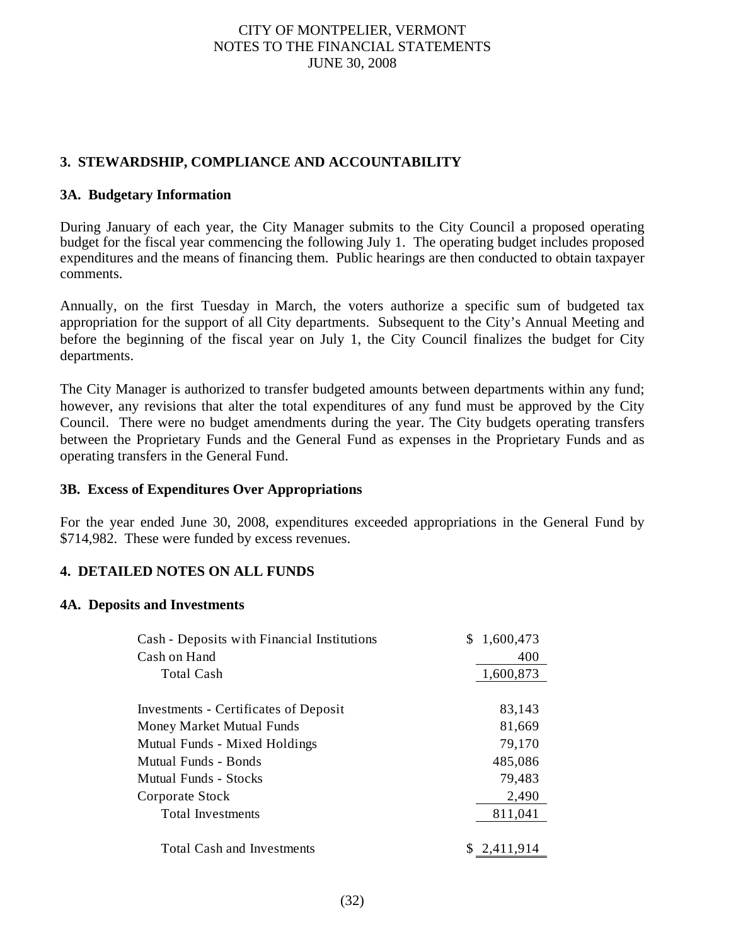## **3. STEWARDSHIP, COMPLIANCE AND ACCOUNTABILITY**

### **3A. Budgetary Information**

During January of each year, the City Manager submits to the City Council a proposed operating budget for the fiscal year commencing the following July 1. The operating budget includes proposed expenditures and the means of financing them. Public hearings are then conducted to obtain taxpayer comments.

Annually, on the first Tuesday in March, the voters authorize a specific sum of budgeted tax appropriation for the support of all City departments. Subsequent to the City's Annual Meeting and before the beginning of the fiscal year on July 1, the City Council finalizes the budget for City departments.

The City Manager is authorized to transfer budgeted amounts between departments within any fund; however, any revisions that alter the total expenditures of any fund must be approved by the City Council. There were no budget amendments during the year. The City budgets operating transfers between the Proprietary Funds and the General Fund as expenses in the Proprietary Funds and as operating transfers in the General Fund.

## **3B. Excess of Expenditures Over Appropriations**

For the year ended June 30, 2008, expenditures exceeded appropriations in the General Fund by \$714,982. These were funded by excess revenues.

## **4. DETAILED NOTES ON ALL FUNDS**

#### **4A. Deposits and Investments**

| Cash - Deposits with Financial Institutions | 1,600,473<br>S. |
|---------------------------------------------|-----------------|
| Cash on Hand                                | 400             |
| Total Cash                                  | 1,600,873       |
| Investments - Certificates of Deposit       | 83,143          |
| Money Market Mutual Funds                   | 81,669          |
| Mutual Funds - Mixed Holdings               | 79,170          |
| Mutual Funds - Bonds                        | 485,086         |
| Mutual Funds - Stocks                       | 79,483          |
| Corporate Stock                             | 2,490           |
| <b>Total Investments</b>                    | 811,041         |
| <b>Total Cash and Investments</b>           | \$ 2,411,914    |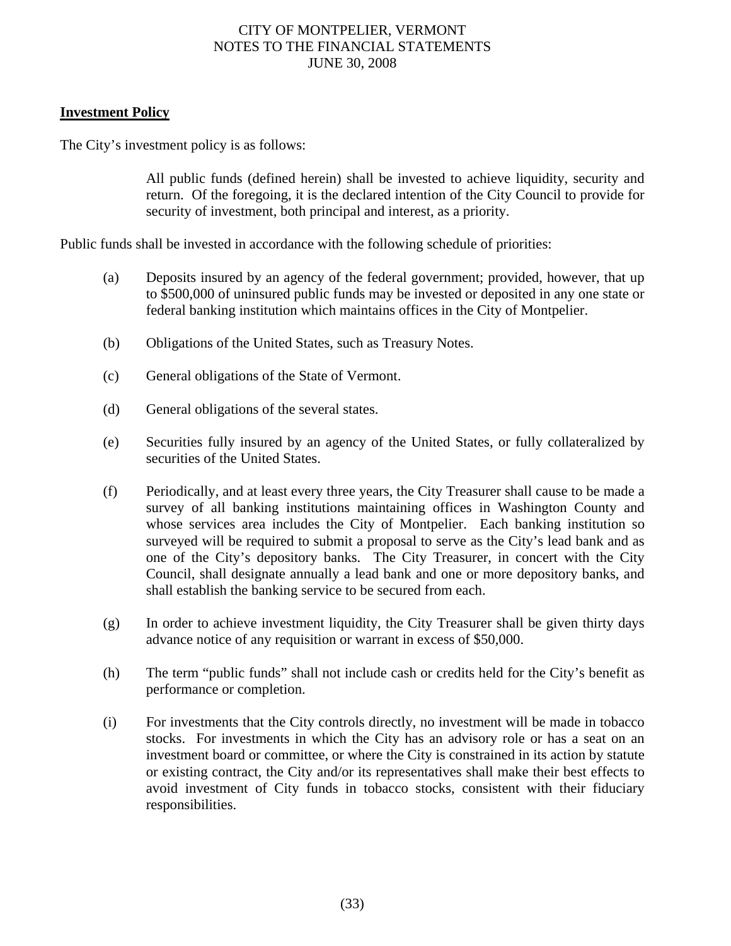## **Investment Policy**

The City's investment policy is as follows:

All public funds (defined herein) shall be invested to achieve liquidity, security and return. Of the foregoing, it is the declared intention of the City Council to provide for security of investment, both principal and interest, as a priority.

Public funds shall be invested in accordance with the following schedule of priorities:

- (a) Deposits insured by an agency of the federal government; provided, however, that up to \$500,000 of uninsured public funds may be invested or deposited in any one state or federal banking institution which maintains offices in the City of Montpelier.
- (b) Obligations of the United States, such as Treasury Notes.
- (c) General obligations of the State of Vermont.
- (d) General obligations of the several states.
- (e) Securities fully insured by an agency of the United States, or fully collateralized by securities of the United States.
- (f) Periodically, and at least every three years, the City Treasurer shall cause to be made a survey of all banking institutions maintaining offices in Washington County and whose services area includes the City of Montpelier. Each banking institution so surveyed will be required to submit a proposal to serve as the City's lead bank and as one of the City's depository banks. The City Treasurer, in concert with the City Council, shall designate annually a lead bank and one or more depository banks, and shall establish the banking service to be secured from each.
- (g) In order to achieve investment liquidity, the City Treasurer shall be given thirty days advance notice of any requisition or warrant in excess of \$50,000.
- (h) The term "public funds" shall not include cash or credits held for the City's benefit as performance or completion.
- (i) For investments that the City controls directly, no investment will be made in tobacco stocks. For investments in which the City has an advisory role or has a seat on an investment board or committee, or where the City is constrained in its action by statute or existing contract, the City and/or its representatives shall make their best effects to avoid investment of City funds in tobacco stocks, consistent with their fiduciary responsibilities.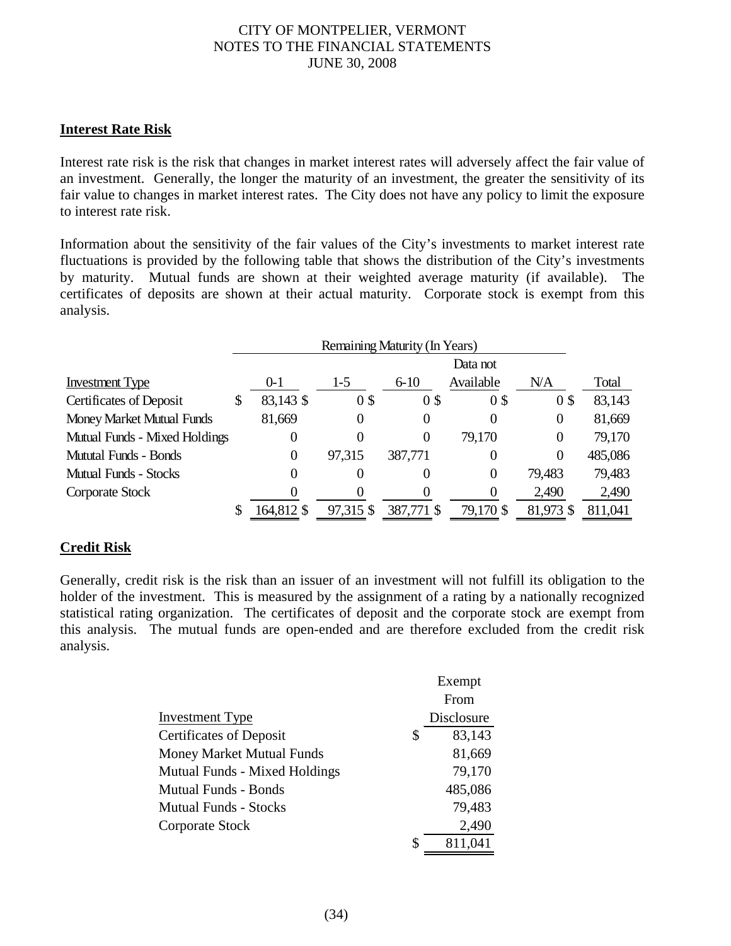#### **Interest Rate Risk**

Interest rate risk is the risk that changes in market interest rates will adversely affect the fair value of an investment. Generally, the longer the maturity of an investment, the greater the sensitivity of its fair value to changes in market interest rates. The City does not have any policy to limit the exposure to interest rate risk.

Information about the sensitivity of the fair values of the City's investments to market interest rate fluctuations is provided by the following table that shows the distribution of the City's investments by maturity. Mutual funds are shown at their weighted average maturity (if available). The certificates of deposits are shown at their actual maturity. Corporate stock is exempt from this analysis.

|                               | Remaining Maturity (In Years) |                |                |                   |                |         |  |  |  |
|-------------------------------|-------------------------------|----------------|----------------|-------------------|----------------|---------|--|--|--|
|                               |                               |                |                | Data not          |                |         |  |  |  |
| <b>Investment Type</b>        | $0-1$                         | $1-5$          | $6-10$         | Available         | N/A            | Total   |  |  |  |
| Certificates of Deposit       | 83,143 \$                     | 0 <sup>3</sup> | 0 <sup>3</sup> | 0 <sup>3</sup>    | 0 <sup>3</sup> | 83,143  |  |  |  |
| Money Market Mutual Funds     | 81,669                        | $\Omega$       | $\Omega$       | 0                 | $\Omega$       | 81,669  |  |  |  |
| Mutual Funds - Mixed Holdings | 0                             | $\theta$       | $\theta$       | 79,170            | $\theta$       | 79,170  |  |  |  |
| Mututal Funds - Bonds         | $\overline{0}$                | 97,315         | 387,771        | 0                 | $\theta$       | 485,086 |  |  |  |
| Mutual Funds - Stocks         | $\theta$                      | 0              | $\theta$       | $\theta$          | 79,483         | 79,483  |  |  |  |
| Corporate Stock               |                               |                |                | $\mathbf{\Omega}$ | 2,490          | 2,490   |  |  |  |
|                               | 164,812 \$                    | 97,315 \$      | 387,771 \$     | 79,170 \$         | 81,973 \$      | 811,041 |  |  |  |

#### **Credit Risk**

Generally, credit risk is the risk than an issuer of an investment will not fulfill its obligation to the holder of the investment. This is measured by the assignment of a rating by a nationally recognized statistical rating organization. The certificates of deposit and the corporate stock are exempt from this analysis. The mutual funds are open-ended and are therefore excluded from the credit risk analysis.

|                                  |    | Exempt     |
|----------------------------------|----|------------|
|                                  |    | From       |
| Investment Type                  |    | Disclosure |
| <b>Certificates of Deposit</b>   | \$ | 83,143     |
| <b>Money Market Mutual Funds</b> |    | 81,669     |
| Mutual Funds - Mixed Holdings    |    | 79,170     |
| <b>Mutual Funds - Bonds</b>      |    | 485,086    |
| <b>Mutual Funds - Stocks</b>     |    | 79,483     |
| Corporate Stock                  |    | 2,490      |
|                                  | S  | 811,041    |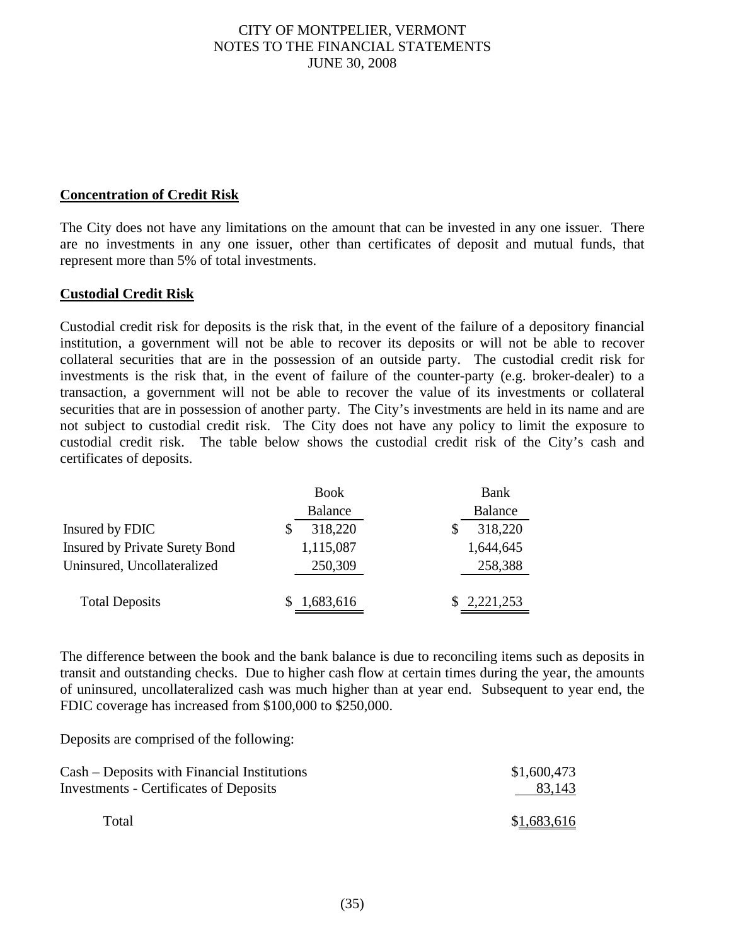### **Concentration of Credit Risk**

The City does not have any limitations on the amount that can be invested in any one issuer. There are no investments in any one issuer, other than certificates of deposit and mutual funds, that represent more than 5% of total investments.

## **Custodial Credit Risk**

Custodial credit risk for deposits is the risk that, in the event of the failure of a depository financial institution, a government will not be able to recover its deposits or will not be able to recover collateral securities that are in the possession of an outside party. The custodial credit risk for investments is the risk that, in the event of failure of the counter-party (e.g. broker-dealer) to a transaction, a government will not be able to recover the value of its investments or collateral securities that are in possession of another party. The City's investments are held in its name and are not subject to custodial credit risk. The City does not have any policy to limit the exposure to custodial credit risk. The table below shows the custodial credit risk of the City's cash and certificates of deposits.

|                                       | <b>Book</b>    | Bank           |
|---------------------------------------|----------------|----------------|
|                                       | <b>Balance</b> | <b>Balance</b> |
| Insured by FDIC                       | 318,220<br>\$  | 318,220        |
| <b>Insured by Private Surety Bond</b> | 1,115,087      | 1,644,645      |
| Uninsured, Uncollateralized           | 250,309        | 258,388        |
|                                       |                |                |
| <b>Total Deposits</b>                 | 1,683,616      | \$2,221,253    |
|                                       |                |                |

The difference between the book and the bank balance is due to reconciling items such as deposits in transit and outstanding checks. Due to higher cash flow at certain times during the year, the amounts of uninsured, uncollateralized cash was much higher than at year end. Subsequent to year end, the FDIC coverage has increased from \$100,000 to \$250,000.

Deposits are comprised of the following:

| Cash – Deposits with Financial Institutions | \$1,600,473 |
|---------------------------------------------|-------------|
| Investments - Certificates of Deposits      | 83,143      |
| Total                                       | \$1,683,616 |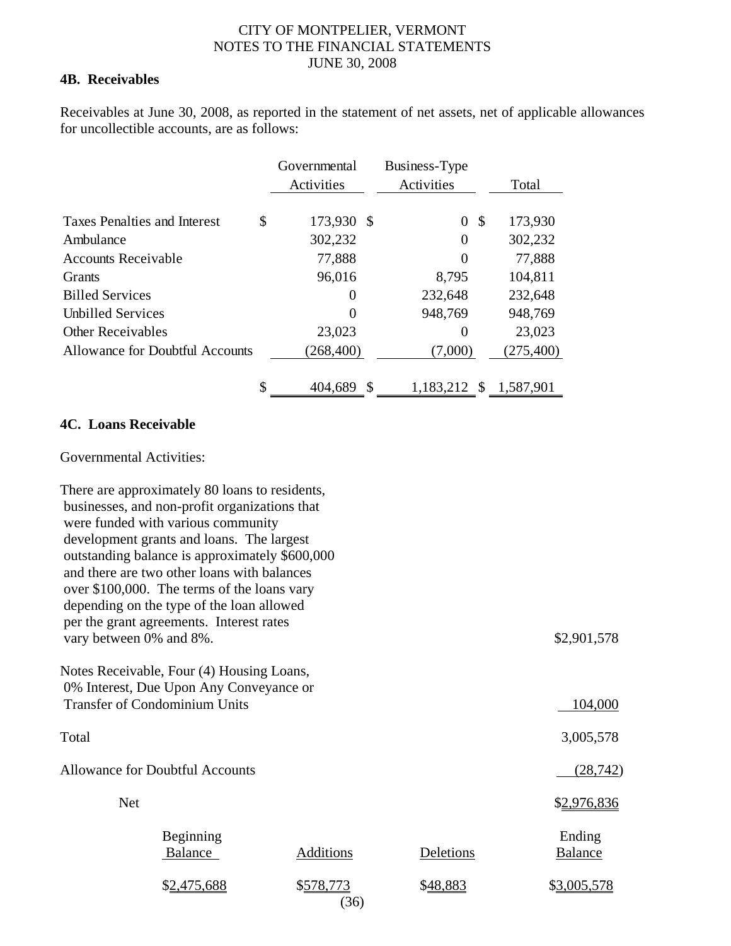#### **4B. Receivables**

Receivables at June 30, 2008, as reported in the statement of net assets, net of applicable allowances for uncollectible accounts, are as follows:

|                                        | Governmental     |   | Business-Type                   |            |
|----------------------------------------|------------------|---|---------------------------------|------------|
|                                        | Activities       |   | Activities                      | Total      |
|                                        |                  |   |                                 |            |
| Taxes Penalties and Interest           | \$<br>173,930 \$ |   | $\overline{0}$<br>$\mathcal{S}$ | 173,930    |
| Ambulance                              | 302,232          |   | 0                               | 302,232    |
| <b>Accounts Receivable</b>             | 77,888           |   | 0                               | 77,888     |
| Grants                                 | 96,016           |   | 8,795                           | 104,811    |
| <b>Billed Services</b>                 | 0                |   | 232,648                         | 232,648    |
| <b>Unbilled Services</b>               | $\Omega$         |   | 948,769                         | 948,769    |
| <b>Other Receivables</b>               | 23,023           |   | 0                               | 23,023     |
| <b>Allowance for Doubtful Accounts</b> | (268, 400)       |   | (7,000)                         | (275, 400) |
|                                        |                  |   |                                 |            |
|                                        | \$<br>404,689    | S | 1,183,212<br><sup>S</sup>       | 1,587,901  |

#### **4C. Loans Receivable**

Governmental Activities:

There are approximately 80 loans to residents, businesses, and non-profit organizations that were funded with various community development grants and loans. The largest outstanding balance is approximately \$600,000 and there are two other loans with balances over \$100,000. The terms of the loans vary depending on the type of the loan allowed per the grant agreements. Interest rates vary between  $0\%$  and  $8\%$ .  $$2,901,578$ Notes Receivable, Four (4) Housing Loans, 0% Interest, Due Upon Any Conveyance or Transfer of Condominium Units 104,000 Total 3,005,578 Allowance for Doubtful Accounts (28,742) Net \$2,976,836 Beginning Ending Balance Additions Deletions Balance \$2,475,688 \$578,773 \$48,883 \$3,005,578

(36)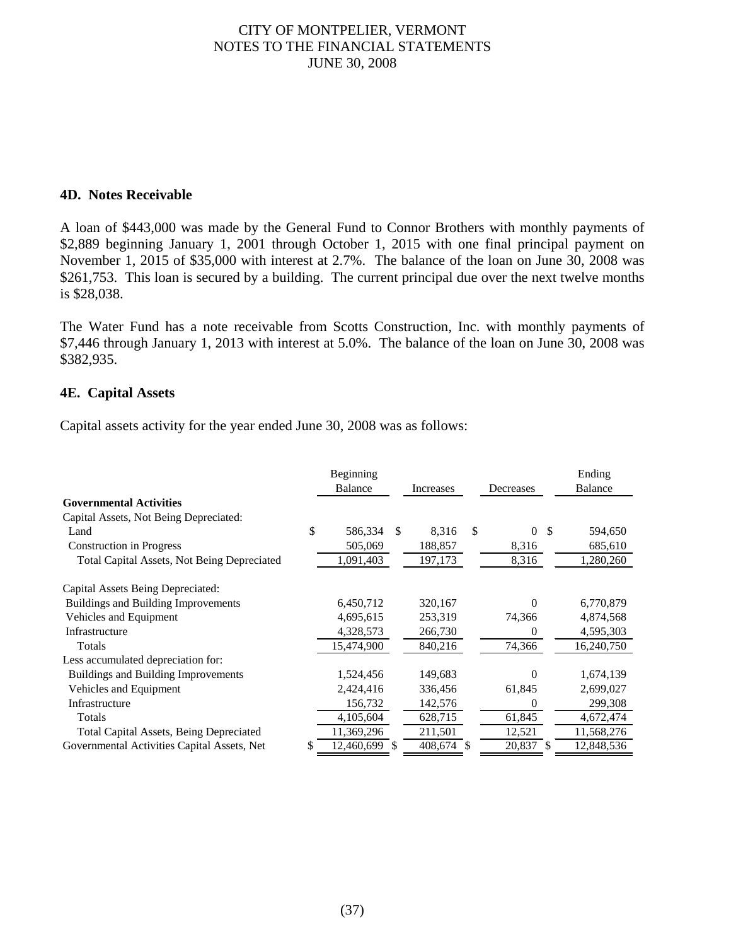#### **4D. Notes Receivable**

A loan of \$443,000 was made by the General Fund to Connor Brothers with monthly payments of \$2,889 beginning January 1, 2001 through October 1, 2015 with one final principal payment on November 1, 2015 of \$35,000 with interest at 2.7%. The balance of the loan on June 30, 2008 was \$261,753. This loan is secured by a building. The current principal due over the next twelve months is \$28,038.

The Water Fund has a note receivable from Scotts Construction, Inc. with monthly payments of \$7,446 through January 1, 2013 with interest at 5.0%. The balance of the loan on June 30, 2008 was \$382,935.

#### **4E. Capital Assets**

Capital assets activity for the year ended June 30, 2008 was as follows:

|                                                    | Beginning<br><b>Balance</b> |               | Increases |     | Decreases |    | Ending<br>Balance |
|----------------------------------------------------|-----------------------------|---------------|-----------|-----|-----------|----|-------------------|
| <b>Governmental Activities</b>                     |                             |               |           |     |           |    |                   |
| Capital Assets, Not Being Depreciated:             |                             |               |           |     |           |    |                   |
| Land                                               | \$<br>586,334               | <sup>\$</sup> | 8,316     | \$. | $\Omega$  | \$ | 594,650           |
| <b>Construction in Progress</b>                    | 505,069                     |               | 188,857   |     | 8,316     |    | 685,610           |
| <b>Total Capital Assets, Not Being Depreciated</b> | 1,091,403                   |               | 197,173   |     | 8,316     |    | 1,280,260         |
| Capital Assets Being Depreciated:                  |                             |               |           |     |           |    |                   |
| Buildings and Building Improvements                | 6,450,712                   |               | 320,167   |     | 0         |    | 6,770,879         |
| Vehicles and Equipment                             | 4,695,615                   |               | 253,319   |     | 74,366    |    | 4,874,568         |
| Infrastructure                                     | 4,328,573                   |               | 266,730   |     | $\theta$  |    | 4,595,303         |
| Totals                                             | 15,474,900                  |               | 840,216   |     | 74,366    |    | 16,240,750        |
| Less accumulated depreciation for:                 |                             |               |           |     |           |    |                   |
| Buildings and Building Improvements                | 1,524,456                   |               | 149,683   |     | 0         |    | 1,674,139         |
| Vehicles and Equipment                             | 2,424,416                   |               | 336,456   |     | 61,845    |    | 2,699,027         |
| Infrastructure                                     | 156,732                     |               | 142,576   |     | 0         |    | 299,308           |
| Totals                                             | 4,105,604                   |               | 628,715   |     | 61,845    |    | 4,672,474         |
| <b>Total Capital Assets, Being Depreciated</b>     | 11,369,296                  |               | 211,501   |     | 12,521    |    | 11,568,276        |
| Governmental Activities Capital Assets, Net        | \$<br>12,460,699            | -S            | 408,674   | -S  | 20,837    | -8 | 12,848,536        |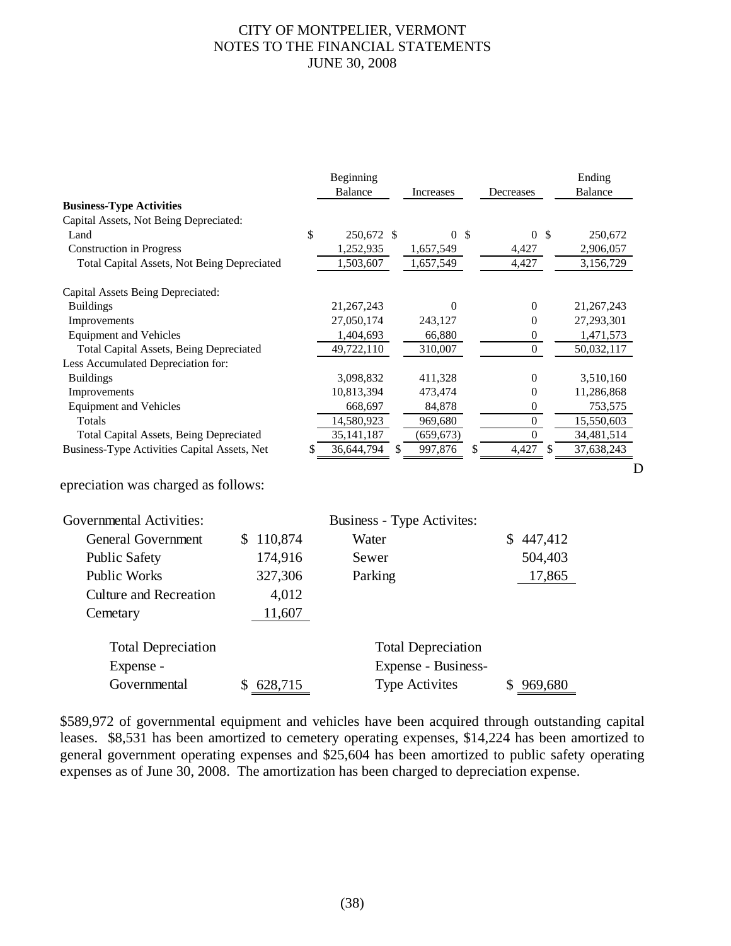|                                                    |               |    | Beginning      |                            |                       | Ending       |
|----------------------------------------------------|---------------|----|----------------|----------------------------|-----------------------|--------------|
|                                                    |               |    | <b>Balance</b> | Increases                  | Decreases             | Balance      |
| <b>Business-Type Activities</b>                    |               |    |                |                            |                       |              |
| Capital Assets, Not Being Depreciated:             |               |    |                |                            |                       |              |
| Land                                               |               | \$ | 250,672 \$     | 0 <sup>5</sup>             | 0 <sup>5</sup>        | 250,672      |
| <b>Construction in Progress</b>                    |               |    | 1,252,935      | 1,657,549                  | 4,427                 | 2,906,057    |
| <b>Total Capital Assets, Not Being Depreciated</b> |               |    | 1,503,607      | 1,657,549                  | 4,427                 | 3,156,729    |
| Capital Assets Being Depreciated:                  |               |    |                |                            |                       |              |
| <b>Buildings</b>                                   |               |    | 21,267,243     | $\overline{0}$             | $\theta$              | 21, 267, 243 |
| Improvements                                       |               |    | 27,050,174     | 243,127                    | $\boldsymbol{0}$      | 27,293,301   |
| <b>Equipment and Vehicles</b>                      |               |    | 1,404,693      | 66,880                     | $\boldsymbol{0}$      | 1,471,573    |
| <b>Total Capital Assets, Being Depreciated</b>     |               |    | 49,722,110     | 310,007                    | $\overline{0}$        | 50,032,117   |
| Less Accumulated Depreciation for:                 |               |    |                |                            |                       |              |
| <b>Buildings</b>                                   |               |    | 3,098,832      | 411,328                    | 0                     | 3,510,160    |
| Improvements                                       |               |    | 10,813,394     | 473,474                    | 0                     | 11,286,868   |
| <b>Equipment and Vehicles</b>                      |               |    | 668,697        | 84,878                     | $\boldsymbol{0}$      | 753,575      |
| Totals                                             |               |    | 14,580,923     | 969,680                    | $\overline{0}$        | 15,550,603   |
| <b>Total Capital Assets, Being Depreciated</b>     |               |    | 35, 141, 187   | (659, 673)                 | $\mathbf{0}$<br>4,427 | 34,481,514   |
| Business-Type Activities Capital Assets, Net       |               | S  | 36,644,794     | 997,876                    | \$                    | 37,638,243   |
|                                                    |               |    |                |                            |                       | D            |
| epreciation was charged as follows:                |               |    |                |                            |                       |              |
| Governmental Activities:                           |               |    |                | Business - Type Activites: |                       |              |
| <b>General Government</b>                          | 110,874<br>S. |    | Water          |                            | \$447,412             |              |
| <b>Public Safety</b>                               | 174,916       |    | Sewer          |                            | 504,403               |              |
| Public Works                                       | 327,306       |    | Parking        |                            | 17,865                |              |
| <b>Culture and Recreation</b>                      | 4,012         |    |                |                            |                       |              |
| Cemetary                                           | 11,607        |    |                |                            |                       |              |
| <b>Total Depreciation</b>                          |               |    |                | <b>Total Depreciation</b>  |                       |              |
| Expense -                                          |               |    |                | Expense - Business-        |                       |              |
| Governmental                                       | 628,715<br>\$ |    |                | <b>Type Activites</b>      | \$969,680             |              |

\$589,972 of governmental equipment and vehicles have been acquired through outstanding capital leases. \$8,531 has been amortized to cemetery operating expenses, \$14,224 has been amortized to general government operating expenses and \$25,604 has been amortized to public safety operating expenses as of June 30, 2008. The amortization has been charged to depreciation expense.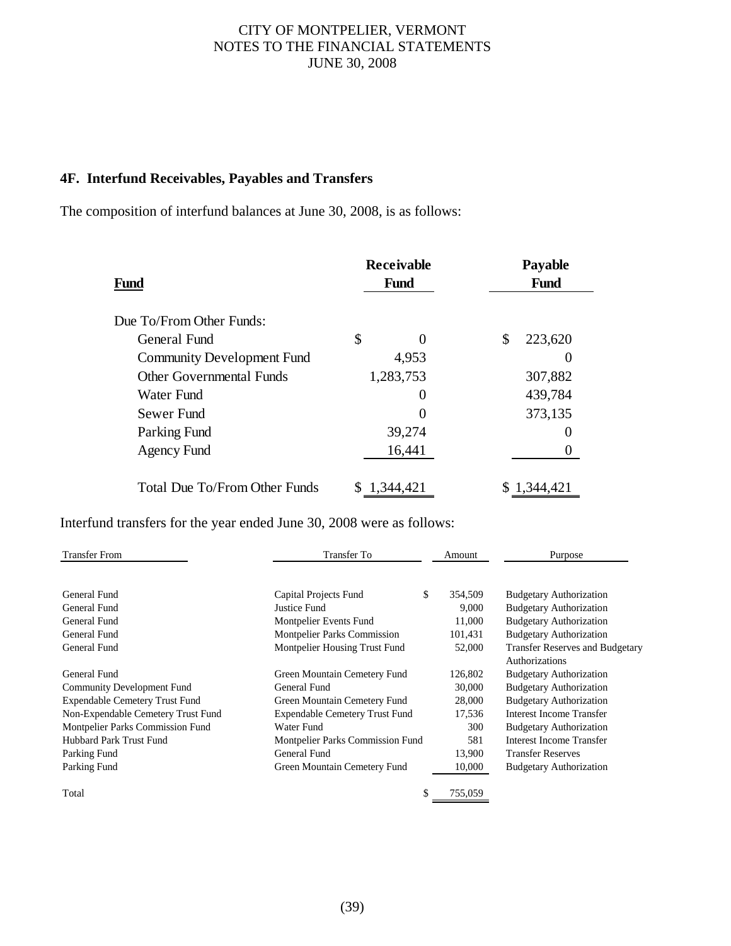## **4F. Interfund Receivables, Payables and Transfers**

The composition of interfund balances at June 30, 2008, is as follows:

|                                      | <b>Receivable</b> | Payable       |
|--------------------------------------|-------------------|---------------|
| <b>Fund</b>                          | <b>Fund</b>       | <b>Fund</b>   |
| Due To/From Other Funds:             |                   |               |
| General Fund                         | \$<br>0           | \$<br>223,620 |
| <b>Community Development Fund</b>    | 4,953             | $\theta$      |
| <b>Other Governmental Funds</b>      | 1,283,753         | 307,882       |
| Water Fund                           | 0                 | 439,784       |
| Sewer Fund                           | 0                 | 373,135       |
| Parking Fund                         | 39,274            |               |
| Agency Fund                          | 16,441            |               |
| <b>Total Due To/From Other Funds</b> | \$1,344,421       | \$1,344,421   |

Interfund transfers for the year ended June 30, 2008 were as follows:

| <b>Transfer From</b>                  | Transfer To                           |         | Purpose                                                  |  |
|---------------------------------------|---------------------------------------|---------|----------------------------------------------------------|--|
| General Fund                          | Capital Projects Fund<br>\$           | 354,509 | <b>Budgetary Authorization</b>                           |  |
| General Fund                          | Justice Fund                          | 9,000   | <b>Budgetary Authorization</b>                           |  |
| General Fund                          | Montpelier Events Fund                | 11,000  | <b>Budgetary Authorization</b>                           |  |
| General Fund                          | Montpelier Parks Commission           | 101,431 | <b>Budgetary Authorization</b>                           |  |
| General Fund                          | Montpelier Housing Trust Fund         | 52,000  | <b>Transfer Reserves and Budgetary</b><br>Authorizations |  |
| General Fund                          | Green Mountain Cemetery Fund          | 126,802 | <b>Budgetary Authorization</b>                           |  |
| <b>Community Development Fund</b>     | General Fund                          | 30,000  | <b>Budgetary Authorization</b>                           |  |
| <b>Expendable Cemetery Trust Fund</b> | Green Mountain Cemetery Fund          | 28,000  | <b>Budgetary Authorization</b>                           |  |
| Non-Expendable Cemetery Trust Fund    | <b>Expendable Cemetery Trust Fund</b> | 17,536  | Interest Income Transfer                                 |  |
| Montpelier Parks Commission Fund      | Water Fund                            | 300     | <b>Budgetary Authorization</b>                           |  |
| <b>Hubbard Park Trust Fund</b>        | Montpelier Parks Commission Fund      | 581     | <b>Interest Income Transfer</b>                          |  |
| Parking Fund                          | General Fund                          | 13,900  | <b>Transfer Reserves</b>                                 |  |
| Parking Fund                          | Green Mountain Cemetery Fund          | 10,000  | <b>Budgetary Authorization</b>                           |  |
| Total                                 |                                       | 755,059 |                                                          |  |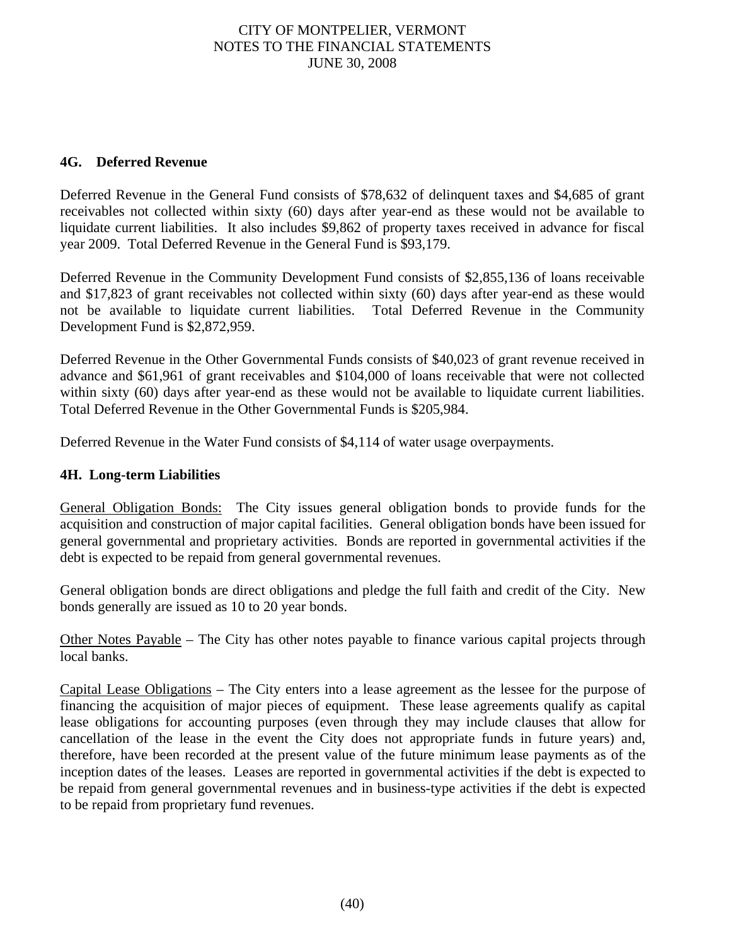## **4G. Deferred Revenue**

Deferred Revenue in the General Fund consists of \$78,632 of delinquent taxes and \$4,685 of grant receivables not collected within sixty (60) days after year-end as these would not be available to liquidate current liabilities. It also includes \$9,862 of property taxes received in advance for fiscal year 2009. Total Deferred Revenue in the General Fund is \$93,179.

Deferred Revenue in the Community Development Fund consists of \$2,855,136 of loans receivable and \$17,823 of grant receivables not collected within sixty (60) days after year-end as these would not be available to liquidate current liabilities. Total Deferred Revenue in the Community Development Fund is \$2,872,959.

Deferred Revenue in the Other Governmental Funds consists of \$40,023 of grant revenue received in advance and \$61,961 of grant receivables and \$104,000 of loans receivable that were not collected within sixty (60) days after year-end as these would not be available to liquidate current liabilities. Total Deferred Revenue in the Other Governmental Funds is \$205,984.

Deferred Revenue in the Water Fund consists of \$4,114 of water usage overpayments.

## **4H. Long-term Liabilities**

General Obligation Bonds: The City issues general obligation bonds to provide funds for the acquisition and construction of major capital facilities. General obligation bonds have been issued for general governmental and proprietary activities. Bonds are reported in governmental activities if the debt is expected to be repaid from general governmental revenues.

General obligation bonds are direct obligations and pledge the full faith and credit of the City. New bonds generally are issued as 10 to 20 year bonds.

Other Notes Payable – The City has other notes payable to finance various capital projects through local banks.

Capital Lease Obligations – The City enters into a lease agreement as the lessee for the purpose of financing the acquisition of major pieces of equipment. These lease agreements qualify as capital lease obligations for accounting purposes (even through they may include clauses that allow for cancellation of the lease in the event the City does not appropriate funds in future years) and, therefore, have been recorded at the present value of the future minimum lease payments as of the inception dates of the leases. Leases are reported in governmental activities if the debt is expected to be repaid from general governmental revenues and in business-type activities if the debt is expected to be repaid from proprietary fund revenues.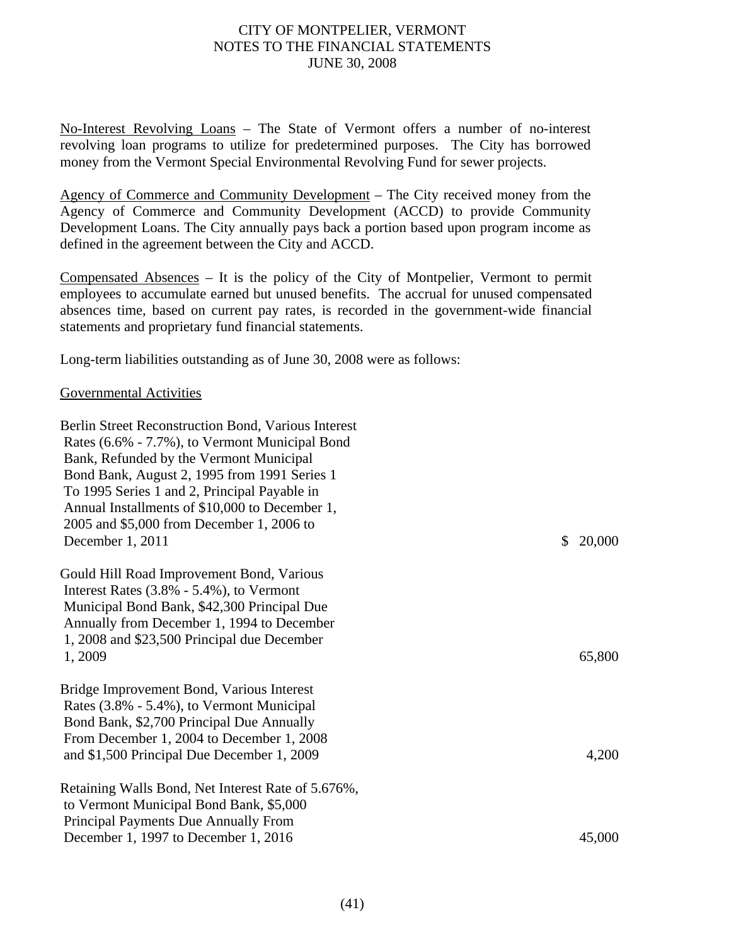No-Interest Revolving Loans – The State of Vermont offers a number of no-interest revolving loan programs to utilize for predetermined purposes. The City has borrowed money from the Vermont Special Environmental Revolving Fund for sewer projects.

Agency of Commerce and Community Development – The City received money from the Agency of Commerce and Community Development (ACCD) to provide Community Development Loans. The City annually pays back a portion based upon program income as defined in the agreement between the City and ACCD.

Compensated Absences – It is the policy of the City of Montpelier, Vermont to permit employees to accumulate earned but unused benefits. The accrual for unused compensated absences time, based on current pay rates, is recorded in the government-wide financial statements and proprietary fund financial statements.

Long-term liabilities outstanding as of June 30, 2008 were as follows:

#### Governmental Activities

| <b>Berlin Street Reconstruction Bond, Various Interest</b> |              |
|------------------------------------------------------------|--------------|
| Rates (6.6% - 7.7%), to Vermont Municipal Bond             |              |
| Bank, Refunded by the Vermont Municipal                    |              |
| Bond Bank, August 2, 1995 from 1991 Series 1               |              |
| To 1995 Series 1 and 2, Principal Payable in               |              |
| Annual Installments of \$10,000 to December 1,             |              |
| 2005 and \$5,000 from December 1, 2006 to                  |              |
| December 1, 2011                                           | \$<br>20,000 |
|                                                            |              |
| Gould Hill Road Improvement Bond, Various                  |              |
| Interest Rates $(3.8\% - 5.4\%)$ , to Vermont              |              |
| Municipal Bond Bank, \$42,300 Principal Due                |              |
| Annually from December 1, 1994 to December                 |              |
| 1, 2008 and \$23,500 Principal due December                |              |
| 1, 2009                                                    | 65,800       |
|                                                            |              |
| Bridge Improvement Bond, Various Interest                  |              |
| Rates (3.8% - 5.4%), to Vermont Municipal                  |              |
|                                                            |              |
| Bond Bank, \$2,700 Principal Due Annually                  |              |
| From December 1, 2004 to December 1, 2008                  |              |
| and \$1,500 Principal Due December 1, 2009                 | 4,200        |
|                                                            |              |
| Retaining Walls Bond, Net Interest Rate of 5.676%,         |              |
| to Vermont Municipal Bond Bank, \$5,000                    |              |
| Principal Payments Due Annually From                       |              |
| December 1, 1997 to December 1, 2016                       | 45,000       |
|                                                            |              |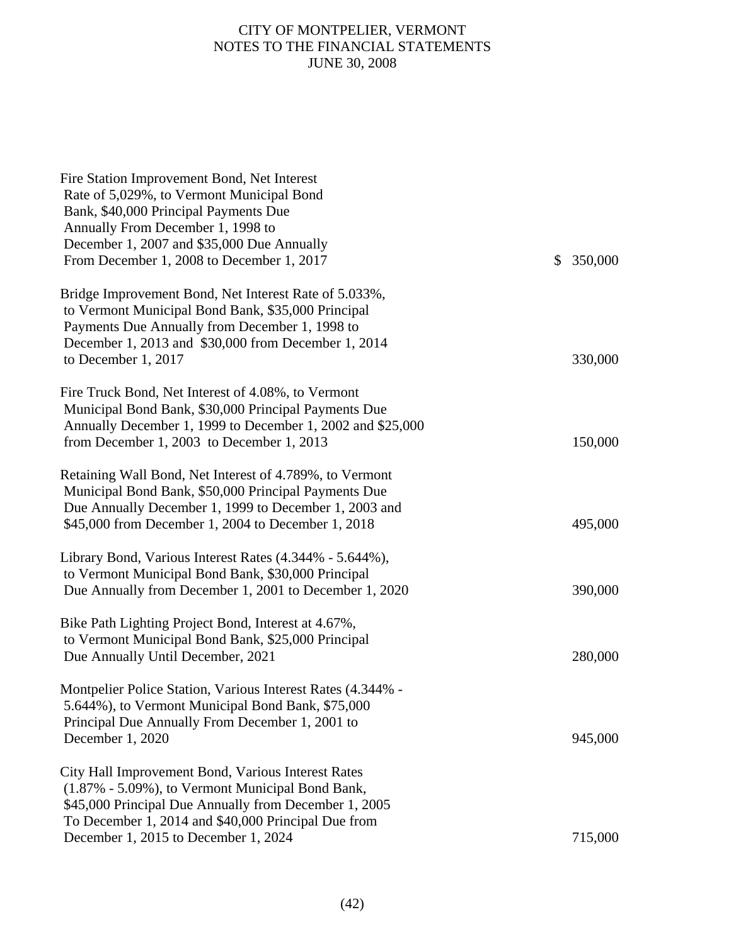| Fire Station Improvement Bond, Net Interest<br>Rate of 5,029%, to Vermont Municipal Bond<br>Bank, \$40,000 Principal Payments Due<br>Annually From December 1, 1998 to<br>December 1, 2007 and \$35,000 Due Annually<br>From December 1, 2008 to December 1, 2017 | 350,000<br>\$ |
|-------------------------------------------------------------------------------------------------------------------------------------------------------------------------------------------------------------------------------------------------------------------|---------------|
| Bridge Improvement Bond, Net Interest Rate of 5.033%,<br>to Vermont Municipal Bond Bank, \$35,000 Principal<br>Payments Due Annually from December 1, 1998 to<br>December 1, 2013 and \$30,000 from December 1, 2014<br>to December 1, 2017                       | 330,000       |
| Fire Truck Bond, Net Interest of 4.08%, to Vermont<br>Municipal Bond Bank, \$30,000 Principal Payments Due<br>Annually December 1, 1999 to December 1, 2002 and \$25,000<br>from December 1, 2003 to December 1, 2013                                             | 150,000       |
| Retaining Wall Bond, Net Interest of 4.789%, to Vermont<br>Municipal Bond Bank, \$50,000 Principal Payments Due<br>Due Annually December 1, 1999 to December 1, 2003 and<br>\$45,000 from December 1, 2004 to December 1, 2018                                    | 495,000       |
| Library Bond, Various Interest Rates (4.344% - 5.644%),<br>to Vermont Municipal Bond Bank, \$30,000 Principal<br>Due Annually from December 1, 2001 to December 1, 2020                                                                                           | 390,000       |
| Bike Path Lighting Project Bond, Interest at 4.67%,<br>to Vermont Municipal Bond Bank, \$25,000 Principal<br>Due Annually Until December, 2021                                                                                                                    | 280,000       |
| Montpelier Police Station, Various Interest Rates (4.344% -<br>5.644%), to Vermont Municipal Bond Bank, \$75,000<br>Principal Due Annually From December 1, 2001 to<br>December 1, 2020                                                                           | 945,000       |
| City Hall Improvement Bond, Various Interest Rates<br>(1.87% - 5.09%), to Vermont Municipal Bond Bank,<br>\$45,000 Principal Due Annually from December 1, 2005<br>To December 1, 2014 and \$40,000 Principal Due from<br>December 1, 2015 to December 1, 2024    | 715,000       |
|                                                                                                                                                                                                                                                                   |               |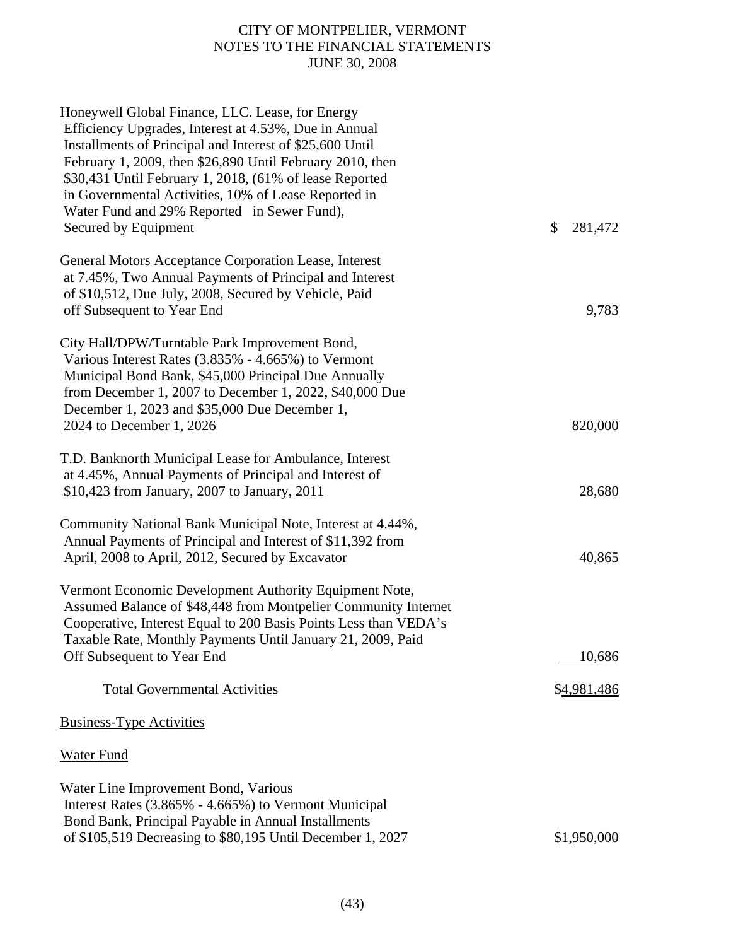| Honeywell Global Finance, LLC. Lease, for Energy<br>Efficiency Upgrades, Interest at 4.53%, Due in Annual<br>Installments of Principal and Interest of \$25,600 Until<br>February 1, 2009, then \$26,890 Until February 2010, then<br>\$30,431 Until February 1, 2018, (61% of lease Reported<br>in Governmental Activities, 10% of Lease Reported in<br>Water Fund and 29% Reported in Sewer Fund), |                     |
|------------------------------------------------------------------------------------------------------------------------------------------------------------------------------------------------------------------------------------------------------------------------------------------------------------------------------------------------------------------------------------------------------|---------------------|
| Secured by Equipment                                                                                                                                                                                                                                                                                                                                                                                 | \$<br>281,472       |
| General Motors Acceptance Corporation Lease, Interest<br>at 7.45%, Two Annual Payments of Principal and Interest<br>of \$10,512, Due July, 2008, Secured by Vehicle, Paid<br>off Subsequent to Year End                                                                                                                                                                                              | 9,783               |
| City Hall/DPW/Turntable Park Improvement Bond,<br>Various Interest Rates (3.835% - 4.665%) to Vermont<br>Municipal Bond Bank, \$45,000 Principal Due Annually<br>from December 1, 2007 to December 1, 2022, \$40,000 Due<br>December 1, 2023 and \$35,000 Due December 1,                                                                                                                            |                     |
| 2024 to December 1, 2026                                                                                                                                                                                                                                                                                                                                                                             | 820,000             |
| T.D. Banknorth Municipal Lease for Ambulance, Interest<br>at 4.45%, Annual Payments of Principal and Interest of<br>\$10,423 from January, 2007 to January, 2011                                                                                                                                                                                                                                     | 28,680              |
| Community National Bank Municipal Note, Interest at 4.44%,<br>Annual Payments of Principal and Interest of \$11,392 from<br>April, 2008 to April, 2012, Secured by Excavator                                                                                                                                                                                                                         | 40,865              |
| Vermont Economic Development Authority Equipment Note,<br>Assumed Balance of \$48,448 from Montpelier Community Internet<br>Cooperative, Interest Equal to 200 Basis Points Less than VEDA's<br>Taxable Rate, Monthly Payments Until January 21, 2009, Paid                                                                                                                                          |                     |
| Off Subsequent to Year End                                                                                                                                                                                                                                                                                                                                                                           | 10,686              |
| <b>Total Governmental Activities</b>                                                                                                                                                                                                                                                                                                                                                                 | \$ <u>4,981,486</u> |
| <b>Business-Type Activities</b>                                                                                                                                                                                                                                                                                                                                                                      |                     |
| Water Fund                                                                                                                                                                                                                                                                                                                                                                                           |                     |
| Water Line Improvement Bond, Various<br>Interest Rates (3.865% - 4.665%) to Vermont Municipal                                                                                                                                                                                                                                                                                                        |                     |
| Bond Bank, Principal Payable in Annual Installments<br>of \$105,519 Decreasing to \$80,195 Until December 1, 2027                                                                                                                                                                                                                                                                                    | \$1,950,000         |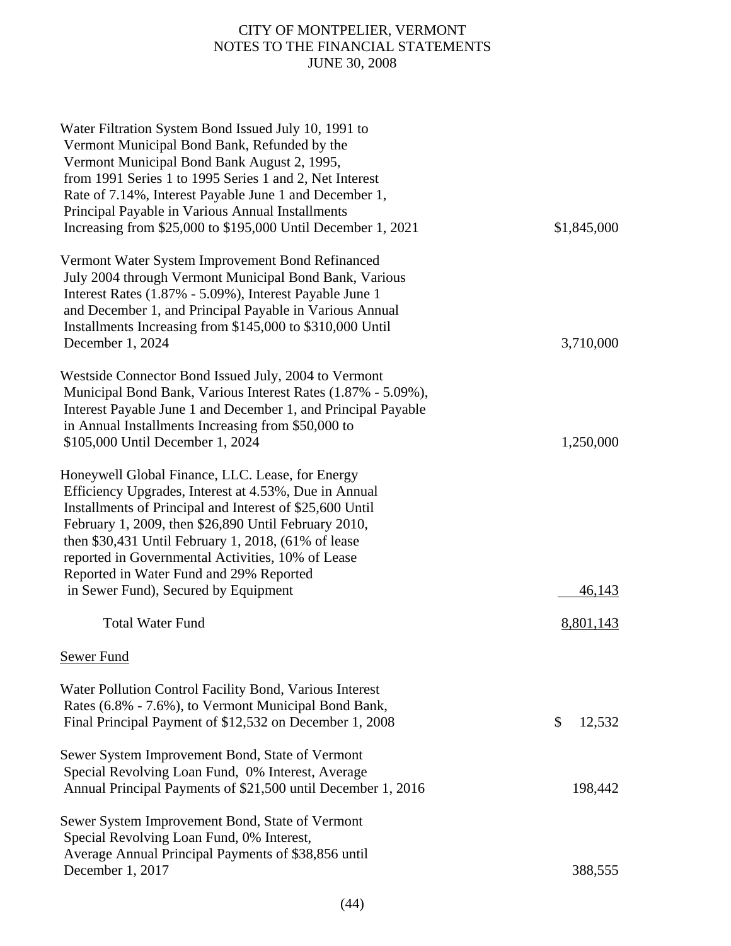| Water Filtration System Bond Issued July 10, 1991 to<br>Vermont Municipal Bond Bank, Refunded by the<br>Vermont Municipal Bond Bank August 2, 1995,<br>from 1991 Series 1 to 1995 Series 1 and 2, Net Interest<br>Rate of 7.14%, Interest Payable June 1 and December 1,<br>Principal Payable in Various Annual Installments<br>Increasing from \$25,000 to \$195,000 Until December 1, 2021                                 | \$1,845,000  |
|------------------------------------------------------------------------------------------------------------------------------------------------------------------------------------------------------------------------------------------------------------------------------------------------------------------------------------------------------------------------------------------------------------------------------|--------------|
| Vermont Water System Improvement Bond Refinanced<br>July 2004 through Vermont Municipal Bond Bank, Various<br>Interest Rates (1.87% - 5.09%), Interest Payable June 1<br>and December 1, and Principal Payable in Various Annual<br>Installments Increasing from \$145,000 to \$310,000 Until<br>December 1, 2024                                                                                                            | 3,710,000    |
| Westside Connector Bond Issued July, 2004 to Vermont<br>Municipal Bond Bank, Various Interest Rates (1.87% - 5.09%),<br>Interest Payable June 1 and December 1, and Principal Payable<br>in Annual Installments Increasing from \$50,000 to<br>\$105,000 Until December 1, 2024                                                                                                                                              | 1,250,000    |
| Honeywell Global Finance, LLC. Lease, for Energy<br>Efficiency Upgrades, Interest at 4.53%, Due in Annual<br>Installments of Principal and Interest of \$25,600 Until<br>February 1, 2009, then \$26,890 Until February 2010,<br>then \$30,431 Until February 1, 2018, (61% of lease<br>reported in Governmental Activities, 10% of Lease<br>Reported in Water Fund and 29% Reported<br>in Sewer Fund), Secured by Equipment | 46,143       |
| <b>Total Water Fund</b>                                                                                                                                                                                                                                                                                                                                                                                                      | 8,801,143    |
| <b>Sewer Fund</b>                                                                                                                                                                                                                                                                                                                                                                                                            |              |
| Water Pollution Control Facility Bond, Various Interest<br>Rates (6.8% - 7.6%), to Vermont Municipal Bond Bank,<br>Final Principal Payment of \$12,532 on December 1, 2008                                                                                                                                                                                                                                                   | \$<br>12,532 |
| Sewer System Improvement Bond, State of Vermont<br>Special Revolving Loan Fund, 0% Interest, Average<br>Annual Principal Payments of \$21,500 until December 1, 2016                                                                                                                                                                                                                                                         | 198,442      |
| Sewer System Improvement Bond, State of Vermont<br>Special Revolving Loan Fund, 0% Interest,<br>Average Annual Principal Payments of \$38,856 until<br>December 1, 2017                                                                                                                                                                                                                                                      | 388,555      |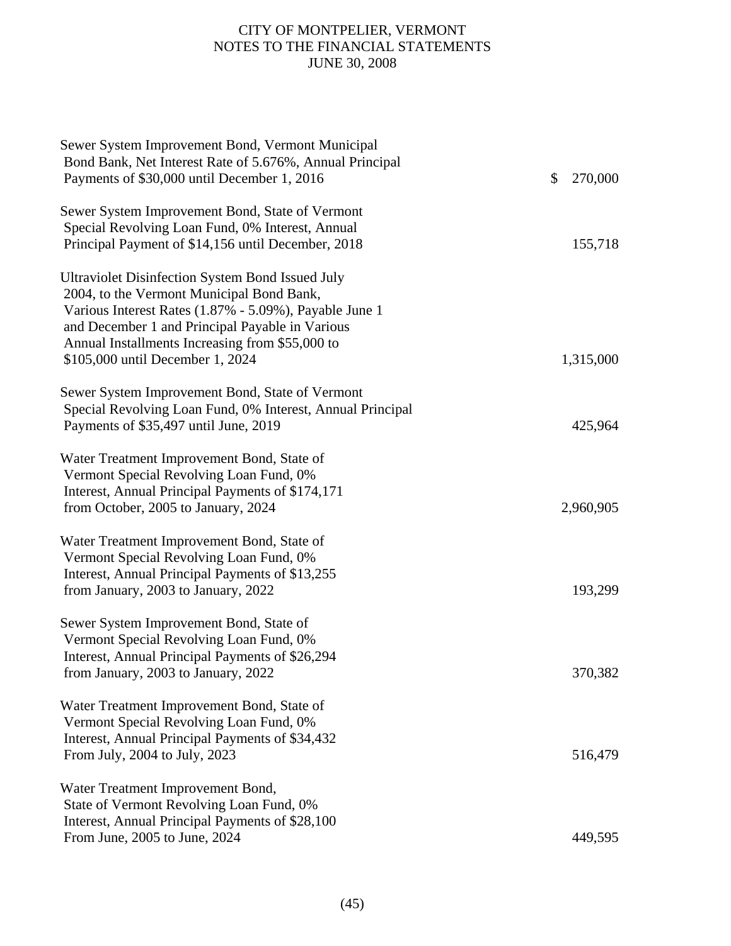| Sewer System Improvement Bond, Vermont Municipal<br>Bond Bank, Net Interest Rate of 5.676%, Annual Principal<br>Payments of \$30,000 until December 1, 2016                                                                                                          | \$<br>270,000 |
|----------------------------------------------------------------------------------------------------------------------------------------------------------------------------------------------------------------------------------------------------------------------|---------------|
| Sewer System Improvement Bond, State of Vermont<br>Special Revolving Loan Fund, 0% Interest, Annual<br>Principal Payment of \$14,156 until December, 2018                                                                                                            | 155,718       |
| <b>Ultraviolet Disinfection System Bond Issued July</b><br>2004, to the Vermont Municipal Bond Bank,<br>Various Interest Rates (1.87% - 5.09%), Payable June 1<br>and December 1 and Principal Payable in Various<br>Annual Installments Increasing from \$55,000 to |               |
| \$105,000 until December 1, 2024                                                                                                                                                                                                                                     | 1,315,000     |
| Sewer System Improvement Bond, State of Vermont<br>Special Revolving Loan Fund, 0% Interest, Annual Principal<br>Payments of \$35,497 until June, 2019                                                                                                               | 425,964       |
|                                                                                                                                                                                                                                                                      |               |
| Water Treatment Improvement Bond, State of<br>Vermont Special Revolving Loan Fund, 0%                                                                                                                                                                                |               |
| Interest, Annual Principal Payments of \$174,171<br>from October, 2005 to January, 2024                                                                                                                                                                              | 2,960,905     |
| Water Treatment Improvement Bond, State of<br>Vermont Special Revolving Loan Fund, 0%<br>Interest, Annual Principal Payments of \$13,255                                                                                                                             |               |
| from January, 2003 to January, 2022                                                                                                                                                                                                                                  | 193,299       |
| Sewer System Improvement Bond, State of<br>Vermont Special Revolving Loan Fund, 0%<br>Interest, Annual Principal Payments of \$26,294<br>from January, 2003 to January, 2022                                                                                         | 370,382       |
| Water Treatment Improvement Bond, State of<br>Vermont Special Revolving Loan Fund, 0%<br>Interest, Annual Principal Payments of \$34,432<br>From July, 2004 to July, 2023                                                                                            | 516,479       |
| Water Treatment Improvement Bond,<br>State of Vermont Revolving Loan Fund, 0%<br>Interest, Annual Principal Payments of \$28,100                                                                                                                                     |               |
| From June, 2005 to June, 2024                                                                                                                                                                                                                                        | 449,595       |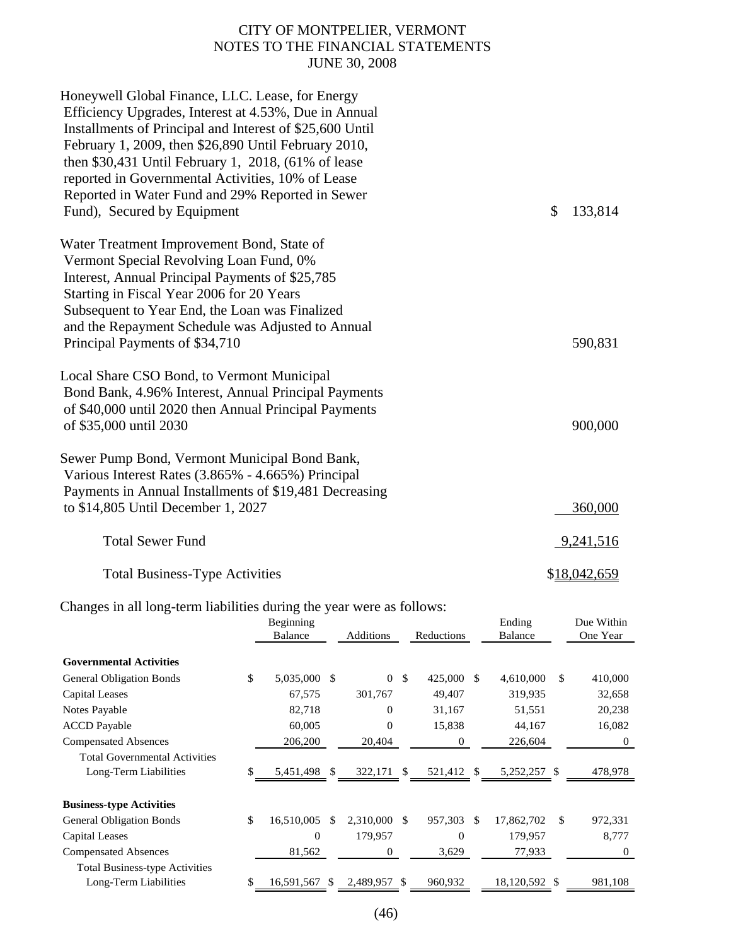| Honeywell Global Finance, LLC. Lease, for Energy<br>Efficiency Upgrades, Interest at 4.53%, Due in Annual<br>Installments of Principal and Interest of \$25,600 Until<br>February 1, 2009, then \$26,890 Until February 2010,<br>then $$30,431$ Until February 1, 2018, (61% of lease<br>reported in Governmental Activities, 10% of Lease<br>Reported in Water Fund and 29% Reported in Sewer |               |
|------------------------------------------------------------------------------------------------------------------------------------------------------------------------------------------------------------------------------------------------------------------------------------------------------------------------------------------------------------------------------------------------|---------------|
| Fund), Secured by Equipment                                                                                                                                                                                                                                                                                                                                                                    | \$<br>133,814 |
| Water Treatment Improvement Bond, State of<br>Vermont Special Revolving Loan Fund, 0%<br>Interest, Annual Principal Payments of \$25,785<br>Starting in Fiscal Year 2006 for 20 Years<br>Subsequent to Year End, the Loan was Finalized<br>and the Repayment Schedule was Adjusted to Annual<br>Principal Payments of \$34,710                                                                 | 590,831       |
| Local Share CSO Bond, to Vermont Municipal<br>Bond Bank, 4.96% Interest, Annual Principal Payments<br>of \$40,000 until 2020 then Annual Principal Payments<br>of \$35,000 until 2030                                                                                                                                                                                                          | 900,000       |
| Sewer Pump Bond, Vermont Municipal Bond Bank,<br>Various Interest Rates (3.865% - 4.665%) Principal<br>Payments in Annual Installments of \$19,481 Decreasing<br>to \$14,805 Until December 1, 2027                                                                                                                                                                                            | 360,000       |
|                                                                                                                                                                                                                                                                                                                                                                                                |               |
| <b>Total Sewer Fund</b>                                                                                                                                                                                                                                                                                                                                                                        | 9,241,516     |
| <b>Total Business-Type Activities</b>                                                                                                                                                                                                                                                                                                                                                          | \$18,042,659  |

Changes in all long-term liabilities during the year were as follows:

|                                       |                      | Beginning     |    |                |    |                          |         | Ending        |    | Due Within     |  |  |
|---------------------------------------|----------------------|---------------|----|----------------|----|--------------------------|---------|---------------|----|----------------|--|--|
|                                       | Balance<br>Additions |               |    |                |    |                          | Balance |               |    | One Year       |  |  |
| <b>Governmental Activities</b>        |                      |               |    |                |    |                          |         |               |    |                |  |  |
| <b>General Obligation Bonds</b>       | \$                   | 5,035,000     | \$ | $\overline{0}$ | \$ | 425,000<br><sup>\$</sup> |         | 4,610,000     | \$ | 410,000        |  |  |
| Capital Leases                        |                      | 67,575        |    | 301,767        |    | 49,407                   |         | 319,935       |    | 32,658         |  |  |
| Notes Payable                         |                      | 82,718        |    | $\theta$       |    | 31,167                   |         | 51,551        |    | 20,238         |  |  |
| <b>ACCD</b> Payable                   |                      | 60,005        |    | $\overline{0}$ |    | 15,838                   |         | 44,167        |    | 16,082         |  |  |
| <b>Compensated Absences</b>           |                      | 206,200       |    | 20,404         |    | $\theta$                 |         | 226,604       |    | $\overline{0}$ |  |  |
| <b>Total Governmental Activities</b>  |                      |               |    |                |    |                          |         |               |    |                |  |  |
| Long-Term Liabilities                 | \$                   | 5,451,498 \$  |    | 322,171 \$     |    | 521,412 \$               |         | 5,252,257 \$  |    | 478,978        |  |  |
| <b>Business-type Activities</b>       |                      |               |    |                |    |                          |         |               |    |                |  |  |
| <b>General Obligation Bonds</b>       | \$                   | 16,510,005    | \$ | 2,310,000      | \$ | 957,303<br>S.            |         | 17,862,702    | \$ | 972,331        |  |  |
| Capital Leases                        |                      | $\Omega$      |    | 179,957        |    | $\Omega$                 |         | 179,957       |    | 8,777          |  |  |
| <b>Compensated Absences</b>           |                      | 81,562        |    | $\overline{0}$ |    | 3,629                    |         | 77,933        |    | $\theta$       |  |  |
| <b>Total Business-type Activities</b> |                      |               |    |                |    |                          |         |               |    |                |  |  |
| Long-Term Liabilities                 | \$                   | 16,591,567 \$ |    | 2,489,957 \$   |    | 960,932                  |         | 18,120,592 \$ |    | 981,108        |  |  |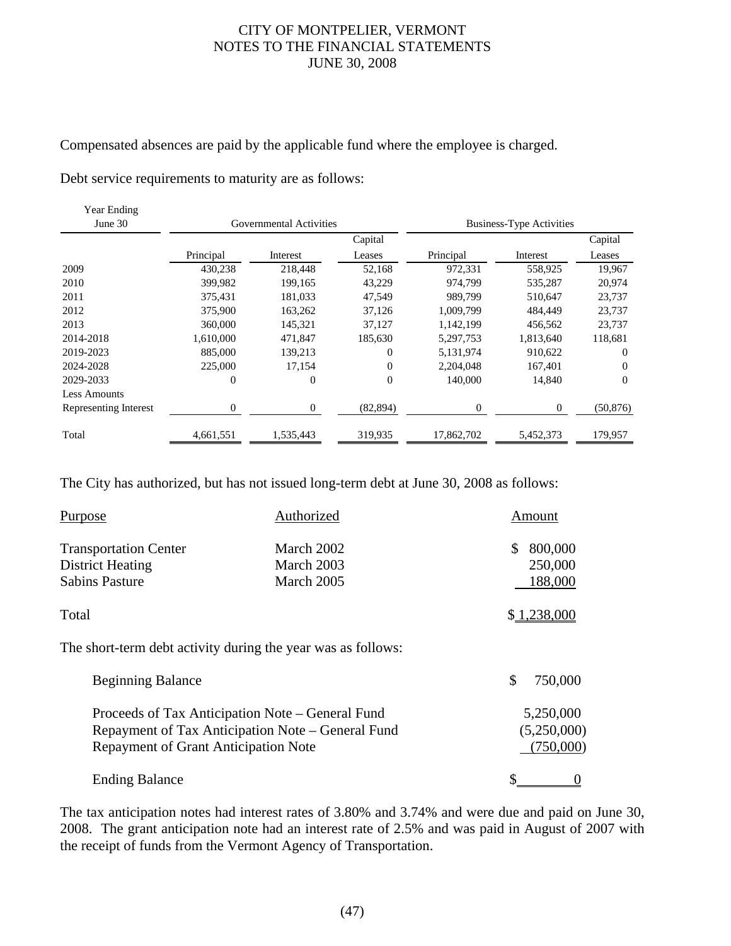Compensated absences are paid by the applicable fund where the employee is charged.

Debt service requirements to maturity are as follows:

| Year Ending           |           |                                |              |                                 |           |           |  |  |  |  |
|-----------------------|-----------|--------------------------------|--------------|---------------------------------|-----------|-----------|--|--|--|--|
| June 30               |           | <b>Governmental Activities</b> |              | <b>Business-Type Activities</b> |           |           |  |  |  |  |
|                       |           |                                | Capital      |                                 |           | Capital   |  |  |  |  |
|                       | Principal | Interest                       | Leases       | Principal                       | Interest  | Leases    |  |  |  |  |
| 2009                  | 430,238   | 218,448                        | 52,168       | 972,331                         | 558,925   | 19,967    |  |  |  |  |
| 2010                  | 399,982   | 199,165                        | 43,229       | 974,799                         | 535,287   | 20,974    |  |  |  |  |
| 2011                  | 375,431   | 181,033                        | 47,549       | 989.799                         | 510,647   | 23,737    |  |  |  |  |
| 2012                  | 375,900   | 163,262                        | 37,126       | 1,009,799                       | 484,449   | 23,737    |  |  |  |  |
| 2013                  | 360,000   | 145,321                        | 37.127       | 1,142,199                       | 456.562   | 23,737    |  |  |  |  |
| 2014-2018             | 1,610,000 | 471,847                        | 185,630      | 5,297,753                       | 1,813,640 | 118,681   |  |  |  |  |
| 2019-2023             | 885,000   | 139,213                        | 0            | 5,131,974                       | 910,622   | $\Omega$  |  |  |  |  |
| 2024-2028             | 225,000   | 17.154                         | 0            | 2,204,048                       | 167.401   | $\Omega$  |  |  |  |  |
| 2029-2033             | 0         | $\Omega$                       | $\mathbf{0}$ | 140,000                         | 14,840    | $\Omega$  |  |  |  |  |
| <b>Less Amounts</b>   |           |                                |              |                                 |           |           |  |  |  |  |
| Representing Interest | 0         | $\Omega$                       | (82, 894)    | $\Omega$                        | 0         | (50, 876) |  |  |  |  |
| Total                 | 4,661,551 | 1.535.443                      | 319,935      | 17,862,702                      | 5,452,373 | 179,957   |  |  |  |  |

The City has authorized, but has not issued long-term debt at June 30, 2008 as follows:

| Purpose                                                                          | Authorized                                                                                            | Amount                                |
|----------------------------------------------------------------------------------|-------------------------------------------------------------------------------------------------------|---------------------------------------|
| <b>Transportation Center</b><br><b>District Heating</b><br><b>Sabins Pasture</b> | March 2002<br>March 2003<br>March 2005                                                                | \$<br>800,000<br>250,000<br>188,000   |
| Total                                                                            |                                                                                                       | \$1,238,000                           |
|                                                                                  | The short-term debt activity during the year was as follows:                                          |                                       |
| <b>Beginning Balance</b>                                                         |                                                                                                       | \$<br>750,000                         |
| <b>Repayment of Grant Anticipation Note</b>                                      | Proceeds of Tax Anticipation Note – General Fund<br>Repayment of Tax Anticipation Note – General Fund | 5,250,000<br>(5,250,000)<br>(750,000) |
| <b>Ending Balance</b>                                                            |                                                                                                       | \$                                    |

The tax anticipation notes had interest rates of 3.80% and 3.74% and were due and paid on June 30, 2008. The grant anticipation note had an interest rate of 2.5% and was paid in August of 2007 with the receipt of funds from the Vermont Agency of Transportation.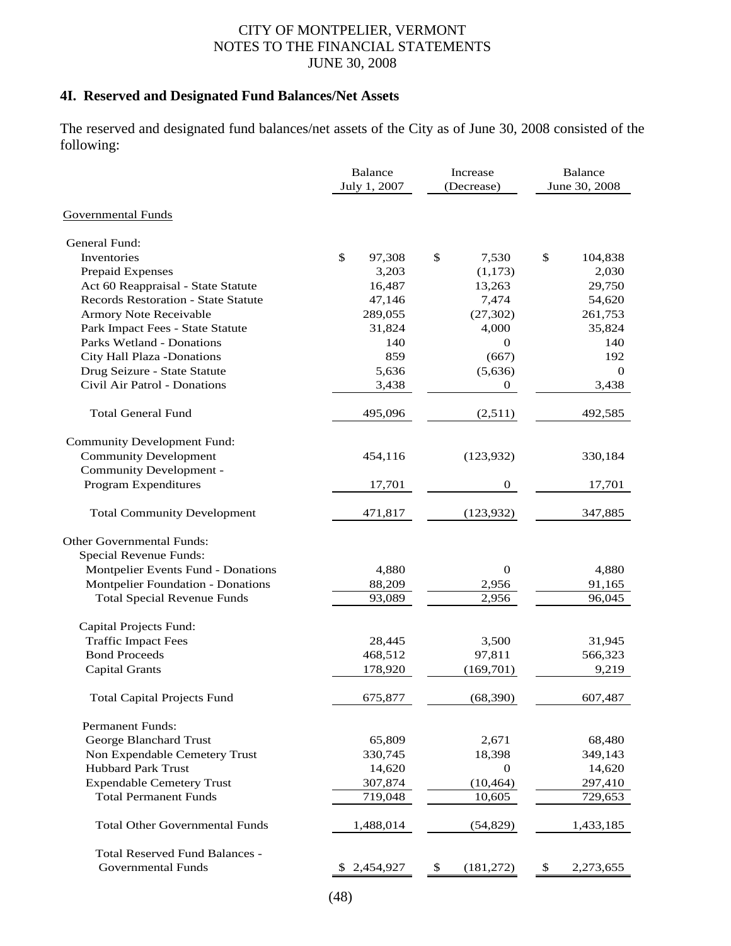# **4I. Reserved and Designated Fund Balances/Net Assets**

The reserved and designated fund balances/net assets of the City as of June 30, 2008 consisted of the following:

|                                       | Balance<br>July 1, 2007 | Increase<br>(Decrease) | <b>Balance</b><br>June 30, 2008 |
|---------------------------------------|-------------------------|------------------------|---------------------------------|
| <b>Governmental Funds</b>             |                         |                        |                                 |
| General Fund:                         |                         |                        |                                 |
| Inventories                           | \$<br>97,308            | \$<br>7,530            | \$<br>104,838                   |
| Prepaid Expenses                      | 3,203                   | (1,173)                | 2,030                           |
| Act 60 Reappraisal - State Statute    | 16,487                  | 13,263                 | 29,750                          |
| Records Restoration - State Statute   | 47,146                  | 7,474                  | 54,620                          |
| <b>Armory Note Receivable</b>         | 289,055                 | (27, 302)              | 261,753                         |
| Park Impact Fees - State Statute      | 31,824                  | 4,000                  | 35,824                          |
| Parks Wetland - Donations             | 140                     | 0                      | 140                             |
| City Hall Plaza -Donations            | 859                     | (667)                  | 192                             |
| Drug Seizure - State Statute          | 5,636                   | (5,636)                | $\theta$                        |
| Civil Air Patrol - Donations          | 3,438                   | $\mathbf{0}$           | 3,438                           |
| <b>Total General Fund</b>             | 495,096                 | (2,511)                | 492,585                         |
| <b>Community Development Fund:</b>    |                         |                        |                                 |
| <b>Community Development</b>          | 454,116                 | (123, 932)             | 330,184                         |
| Community Development -               |                         |                        |                                 |
| Program Expenditures                  | 17,701                  | $\mathbf{0}$           | 17,701                          |
| <b>Total Community Development</b>    | 471,817                 | (123, 932)             | 347,885                         |
| Other Governmental Funds:             |                         |                        |                                 |
| Special Revenue Funds:                |                         |                        |                                 |
| Montpelier Events Fund - Donations    | 4,880                   | $\mathbf 0$            | 4,880                           |
| Montpelier Foundation - Donations     | 88,209                  | 2,956                  | 91,165                          |
| <b>Total Special Revenue Funds</b>    | 93,089                  | 2,956                  | 96,045                          |
| Capital Projects Fund:                |                         |                        |                                 |
| <b>Traffic Impact Fees</b>            | 28,445                  | 3,500                  | 31,945                          |
| <b>Bond Proceeds</b>                  | 468,512                 | 97,811                 | 566,323                         |
| <b>Capital Grants</b>                 | 178,920                 | (169,701)              | 9,219                           |
| <b>Total Capital Projects Fund</b>    | 675,877                 | (68, 390)              | 607,487                         |
| <b>Permanent Funds:</b>               |                         |                        |                                 |
| George Blanchard Trust                | 65,809                  | 2,671                  | 68,480                          |
| Non Expendable Cemetery Trust         | 330,745                 | 18,398                 | 349,143                         |
| <b>Hubbard Park Trust</b>             | 14,620                  | $\mathbf{0}$           | 14,620                          |
| <b>Expendable Cemetery Trust</b>      | 307,874                 | (10, 464)              | 297,410                         |
| <b>Total Permanent Funds</b>          | 719,048                 | 10,605                 | 729,653                         |
| <b>Total Other Governmental Funds</b> | 1,488,014               | (54, 829)              | 1,433,185                       |
| Total Reserved Fund Balances -        |                         |                        |                                 |
| <b>Governmental Funds</b>             | 2,454,927               | \$<br>(181,272)        | \$<br>2,273,655                 |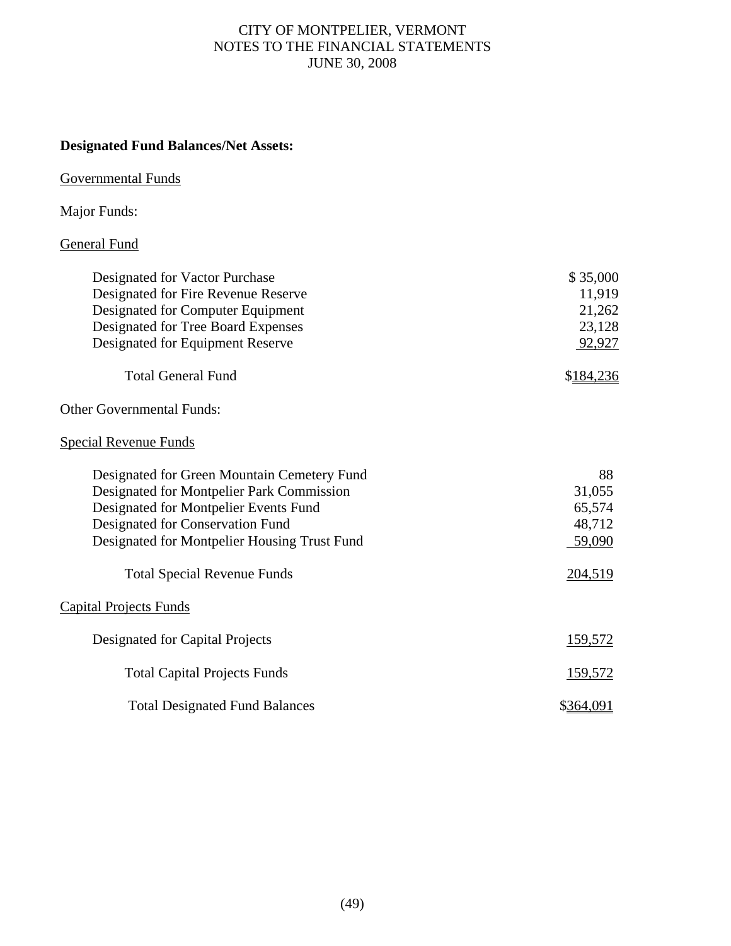# **Designated Fund Balances/Net Assets:**

### Governmental Funds

# Major Funds:

## General Fund

| Designated for Vactor Purchase               | \$35,000       |
|----------------------------------------------|----------------|
| Designated for Fire Revenue Reserve          | 11,919         |
| Designated for Computer Equipment            | 21,262         |
| Designated for Tree Board Expenses           | 23,128         |
| Designated for Equipment Reserve             | 92,927         |
| <b>Total General Fund</b>                    | \$184,236      |
| <b>Other Governmental Funds:</b>             |                |
| <b>Special Revenue Funds</b>                 |                |
| Designated for Green Mountain Cemetery Fund  | 88             |
| Designated for Montpelier Park Commission    | 31,055         |
| Designated for Montpelier Events Fund        | 65,574         |
| Designated for Conservation Fund             | 48,712         |
| Designated for Montpelier Housing Trust Fund | $-59,090$      |
| <b>Total Special Revenue Funds</b>           | 204,519        |
| <b>Capital Projects Funds</b>                |                |
| Designated for Capital Projects              | <u>159,572</u> |
| <b>Total Capital Projects Funds</b>          | <u>159,572</u> |
| <b>Total Designated Fund Balances</b>        | \$364,091      |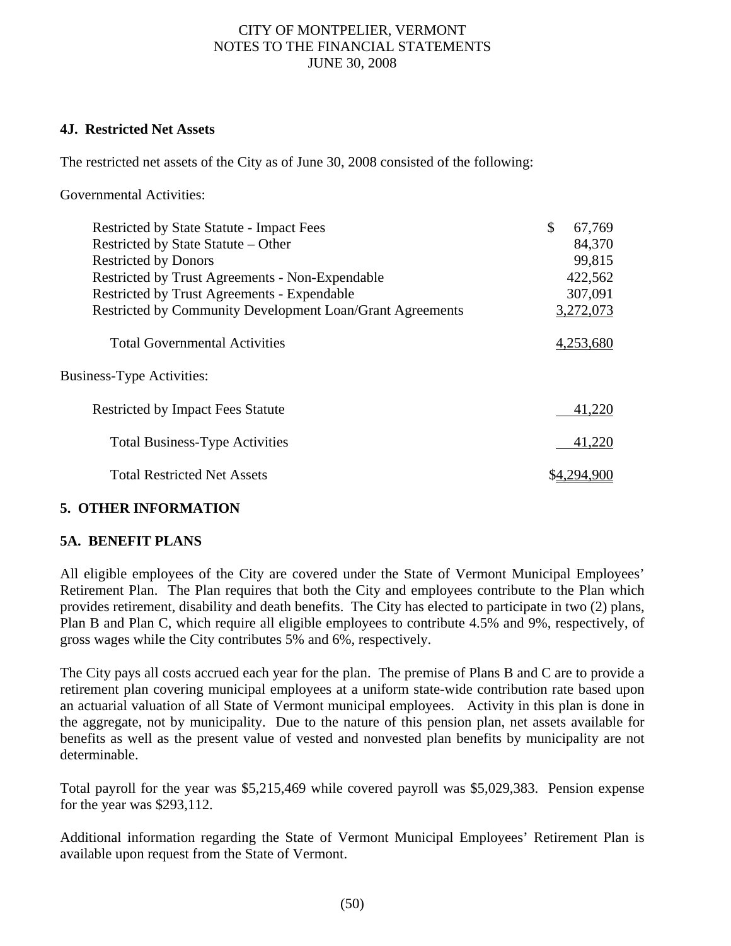### **4J. Restricted Net Assets**

The restricted net assets of the City as of June 30, 2008 consisted of the following:

Governmental Activities:

| $\mathcal{S}$ | 67,769    |
|---------------|-----------|
|               | 84,370    |
|               | 99,815    |
|               | 422,562   |
|               | 307,091   |
|               | 3,272,073 |
|               |           |
|               | 4,253,680 |
|               |           |
|               |           |
|               | 41,220    |
|               |           |
|               | 41,220    |
|               |           |
|               |           |
|               |           |

## **5. OTHER INFORMATION**

#### **5A. BENEFIT PLANS**

All eligible employees of the City are covered under the State of Vermont Municipal Employees' Retirement Plan. The Plan requires that both the City and employees contribute to the Plan which provides retirement, disability and death benefits. The City has elected to participate in two (2) plans, Plan B and Plan C, which require all eligible employees to contribute 4.5% and 9%, respectively, of gross wages while the City contributes 5% and 6%, respectively.

The City pays all costs accrued each year for the plan. The premise of Plans B and C are to provide a retirement plan covering municipal employees at a uniform state-wide contribution rate based upon an actuarial valuation of all State of Vermont municipal employees. Activity in this plan is done in the aggregate, not by municipality. Due to the nature of this pension plan, net assets available for benefits as well as the present value of vested and nonvested plan benefits by municipality are not determinable.

Total payroll for the year was \$5,215,469 while covered payroll was \$5,029,383. Pension expense for the year was \$293,112.

Additional information regarding the State of Vermont Municipal Employees' Retirement Plan is available upon request from the State of Vermont.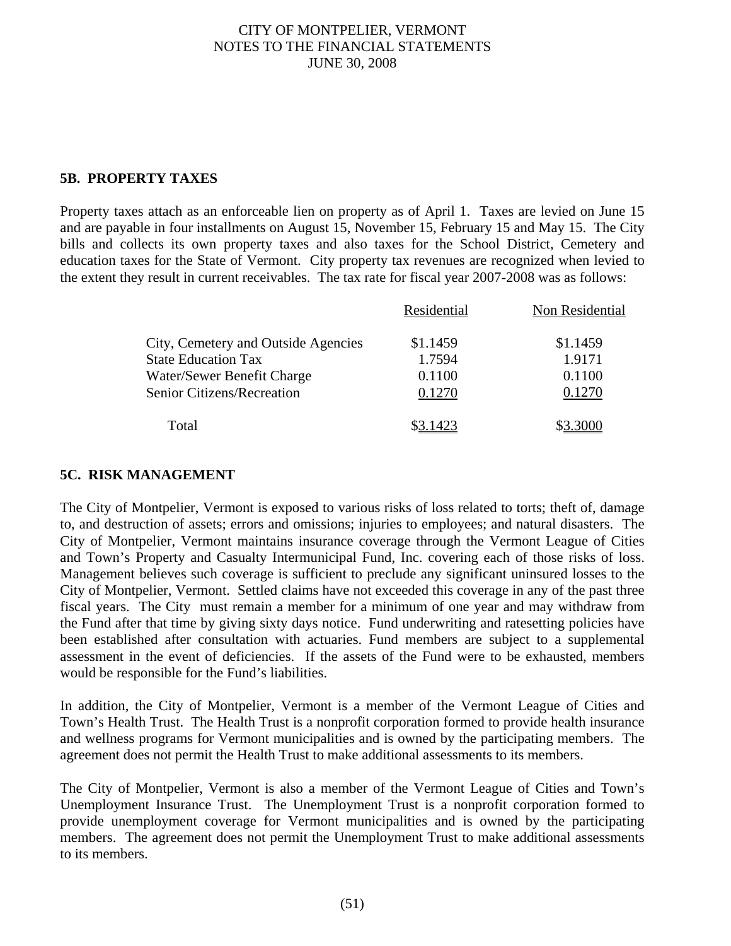### **5B. PROPERTY TAXES**

Property taxes attach as an enforceable lien on property as of April 1. Taxes are levied on June 15 and are payable in four installments on August 15, November 15, February 15 and May 15. The City bills and collects its own property taxes and also taxes for the School District, Cemetery and education taxes for the State of Vermont. City property tax revenues are recognized when levied to the extent they result in current receivables. The tax rate for fiscal year 2007-2008 was as follows:

|                                     | Residential      | Non Residential |
|-------------------------------------|------------------|-----------------|
| City, Cemetery and Outside Agencies | \$1.1459         | \$1.1459        |
| <b>State Education Tax</b>          | 1.7594           | 1.9171          |
| Water/Sewer Benefit Charge          | 0.1100           | 0.1100          |
| Senior Citizens/Recreation          | 0.1270           | 0.1270          |
| Total                               | $\frac{1423}{1}$ | \$3.3000        |

## **5C. RISK MANAGEMENT**

The City of Montpelier, Vermont is exposed to various risks of loss related to torts; theft of, damage to, and destruction of assets; errors and omissions; injuries to employees; and natural disasters. The City of Montpelier, Vermont maintains insurance coverage through the Vermont League of Cities and Town's Property and Casualty Intermunicipal Fund, Inc. covering each of those risks of loss. Management believes such coverage is sufficient to preclude any significant uninsured losses to the City of Montpelier, Vermont. Settled claims have not exceeded this coverage in any of the past three fiscal years. The City must remain a member for a minimum of one year and may withdraw from the Fund after that time by giving sixty days notice. Fund underwriting and ratesetting policies have been established after consultation with actuaries. Fund members are subject to a supplemental assessment in the event of deficiencies. If the assets of the Fund were to be exhausted, members would be responsible for the Fund's liabilities.

In addition, the City of Montpelier, Vermont is a member of the Vermont League of Cities and Town's Health Trust. The Health Trust is a nonprofit corporation formed to provide health insurance and wellness programs for Vermont municipalities and is owned by the participating members. The agreement does not permit the Health Trust to make additional assessments to its members.

The City of Montpelier, Vermont is also a member of the Vermont League of Cities and Town's Unemployment Insurance Trust. The Unemployment Trust is a nonprofit corporation formed to provide unemployment coverage for Vermont municipalities and is owned by the participating members. The agreement does not permit the Unemployment Trust to make additional assessments to its members.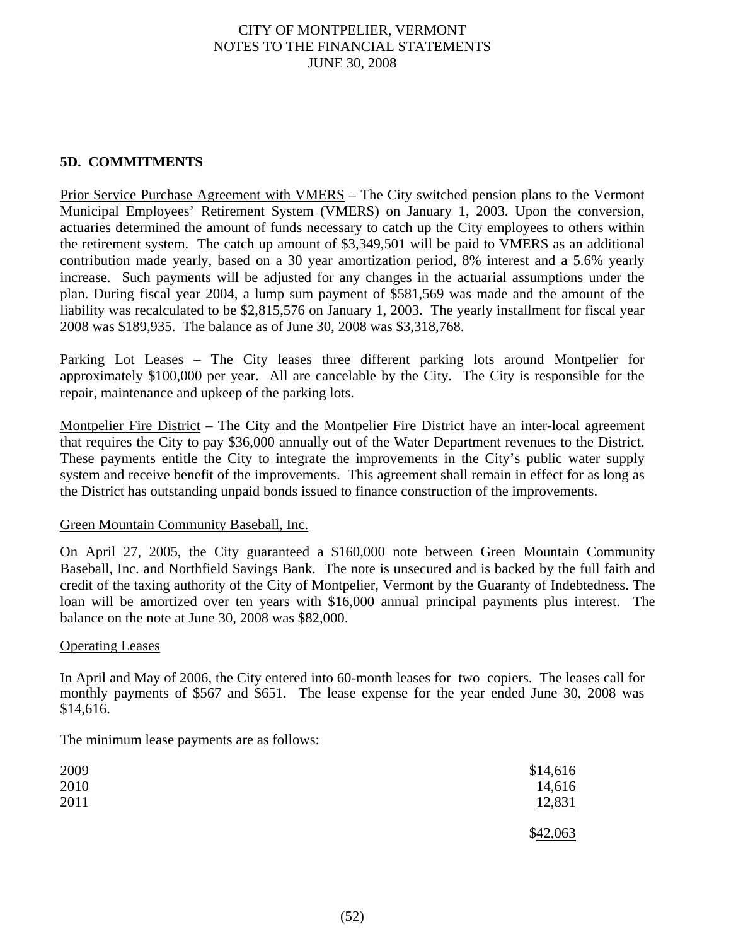## **5D. COMMITMENTS**

Prior Service Purchase Agreement with VMERS – The City switched pension plans to the Vermont Municipal Employees' Retirement System (VMERS) on January 1, 2003. Upon the conversion, actuaries determined the amount of funds necessary to catch up the City employees to others within the retirement system. The catch up amount of \$3,349,501 will be paid to VMERS as an additional contribution made yearly, based on a 30 year amortization period, 8% interest and a 5.6% yearly increase. Such payments will be adjusted for any changes in the actuarial assumptions under the plan. During fiscal year 2004, a lump sum payment of \$581,569 was made and the amount of the liability was recalculated to be \$2,815,576 on January 1, 2003. The yearly installment for fiscal year 2008 was \$189,935. The balance as of June 30, 2008 was \$3,318,768.

Parking Lot Leases – The City leases three different parking lots around Montpelier for approximately \$100,000 per year. All are cancelable by the City. The City is responsible for the repair, maintenance and upkeep of the parking lots.

Montpelier Fire District – The City and the Montpelier Fire District have an inter-local agreement that requires the City to pay \$36,000 annually out of the Water Department revenues to the District. These payments entitle the City to integrate the improvements in the City's public water supply system and receive benefit of the improvements. This agreement shall remain in effect for as long as the District has outstanding unpaid bonds issued to finance construction of the improvements.

#### Green Mountain Community Baseball, Inc.

On April 27, 2005, the City guaranteed a \$160,000 note between Green Mountain Community Baseball, Inc. and Northfield Savings Bank. The note is unsecured and is backed by the full faith and credit of the taxing authority of the City of Montpelier, Vermont by the Guaranty of Indebtedness. The loan will be amortized over ten years with \$16,000 annual principal payments plus interest. The balance on the note at June 30, 2008 was \$82,000.

#### Operating Leases

In April and May of 2006, the City entered into 60-month leases for two copiers. The leases call for monthly payments of \$567 and \$651. The lease expense for the year ended June 30, 2008 was \$14,616.

The minimum lease payments are as follows:

| 2009 | \$14,616 |
|------|----------|
| 2010 | 14,616   |
| 2011 | 12,831   |
|      | \$42,063 |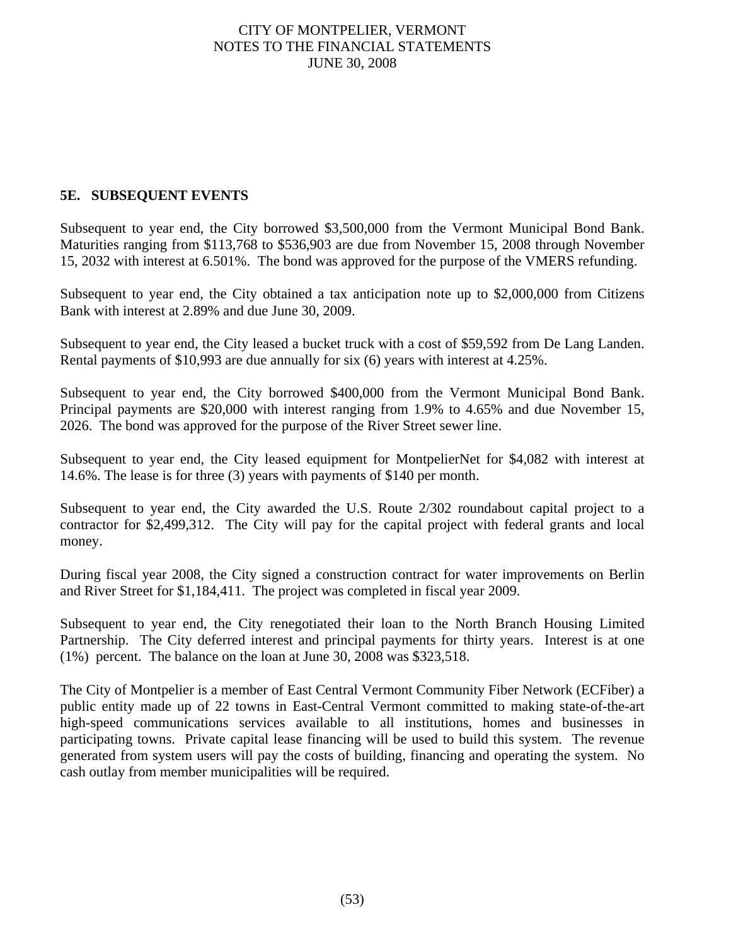## **5E. SUBSEQUENT EVENTS**

Subsequent to year end, the City borrowed \$3,500,000 from the Vermont Municipal Bond Bank. Maturities ranging from \$113,768 to \$536,903 are due from November 15, 2008 through November 15, 2032 with interest at 6.501%. The bond was approved for the purpose of the VMERS refunding.

Subsequent to year end, the City obtained a tax anticipation note up to \$2,000,000 from Citizens Bank with interest at 2.89% and due June 30, 2009.

Subsequent to year end, the City leased a bucket truck with a cost of \$59,592 from De Lang Landen. Rental payments of \$10,993 are due annually for six (6) years with interest at 4.25%.

Subsequent to year end, the City borrowed \$400,000 from the Vermont Municipal Bond Bank. Principal payments are \$20,000 with interest ranging from 1.9% to 4.65% and due November 15, 2026. The bond was approved for the purpose of the River Street sewer line.

Subsequent to year end, the City leased equipment for MontpelierNet for \$4,082 with interest at 14.6%. The lease is for three (3) years with payments of \$140 per month.

Subsequent to year end, the City awarded the U.S. Route 2/302 roundabout capital project to a contractor for \$2,499,312. The City will pay for the capital project with federal grants and local money.

During fiscal year 2008, the City signed a construction contract for water improvements on Berlin and River Street for \$1,184,411. The project was completed in fiscal year 2009.

Subsequent to year end, the City renegotiated their loan to the North Branch Housing Limited Partnership. The City deferred interest and principal payments for thirty years. Interest is at one (1%) percent. The balance on the loan at June 30, 2008 was \$323,518.

The City of Montpelier is a member of East Central Vermont Community Fiber Network (ECFiber) a public entity made up of 22 towns in East-Central Vermont committed to making state-of-the-art high-speed communications services available to all institutions, homes and businesses in participating towns. Private capital lease financing will be used to build this system. The revenue generated from system users will pay the costs of building, financing and operating the system. No cash outlay from member municipalities will be required.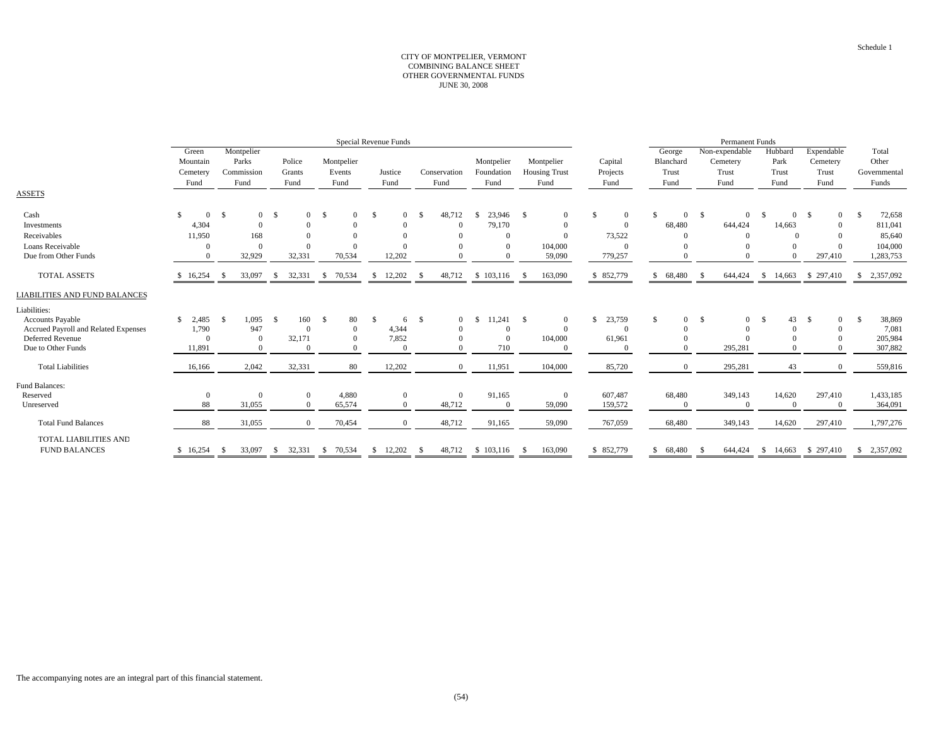#### CITY OF MONTPELIER, VERMONT COMBINING BALANCE SHEET OTHER GOVERNMENTAL FUNDS JUNE 30, 2008

|                                      |               |              |                |                |               |                | Special Revenue Funds |      |                |                         |               |                      | <b>Permanent Funds</b> |          |           |                |              |                |               |                      |               |              |               |              |
|--------------------------------------|---------------|--------------|----------------|----------------|---------------|----------------|-----------------------|------|----------------|-------------------------|---------------|----------------------|------------------------|----------|-----------|----------------|--------------|----------------|---------------|----------------------|---------------|--------------|---------------|--------------|
|                                      | Green         | Montpelier   |                |                |               |                |                       |      |                |                         |               |                      |                        |          |           | George         |              | Non-expendable |               | Hubbard              |               | Expendable   |               | Total        |
|                                      | Mountain      | Parks        |                | Police         | Montpelier    |                |                       |      | Montpelier     |                         | Montpelier    | Capital              |                        |          | Blanchard |                | Cemetery     |                | Park          | Cemetery             |               | Other        |               |              |
|                                      | Cemetery      | Commission   |                | Grants         | Events        |                | Justice               |      | Conservation   | Foundation              |               | <b>Housing Trust</b> | Projects               |          |           | Trust          |              | Trust          |               | Trust                |               | Trust        |               | Governmental |
|                                      | Fund          | Fund         |                | Fund           | Fund          |                | Fund                  |      | Fund           | Fund                    |               | Fund                 | Fund                   |          |           | Fund           |              | Fund           |               | Fund                 | Fund          |              |               | Funds        |
| <b>ASSETS</b>                        |               |              |                |                |               |                |                       |      |                |                         |               |                      |                        |          |           |                |              |                |               |                      |               |              |               |              |
| Cash                                 | $\Omega$      | -S           | 0 S            | $\Omega$       | -S            | $\Omega$       | -S<br>$\Omega$        | - \$ | 48,712         | 23.946 \$<br>-S         |               | $\overline{0}$       | $\mathcal{S}$          | $\Omega$ |           | $\overline{0}$ | $\mathbf{s}$ | $\overline{0}$ | <sup>\$</sup> | 0 S                  |               | $\Omega$     | $\mathcal{S}$ | 72,658       |
| Investments                          | 4,304         |              | $\Omega$       |                |               |                |                       |      | $\Omega$       | 79.170                  |               | $\mathbf{0}$         |                        | $\Omega$ |           | 68,480         |              | 644,424        |               | 14.663               |               |              |               | 811,041      |
| Receivables                          | 11,950        |              | 168            | $\Omega$       |               |                |                       |      |                | $\Omega$                |               | $\Omega$             |                        | 73,522   |           |                |              |                |               |                      |               |              |               | 85,640       |
| Loans Receivable                     | $\Omega$      |              | $\Omega$       | $\Omega$       |               |                |                       |      |                |                         |               | 104,000              |                        |          |           |                |              |                |               | $\Omega$             |               |              |               | 104,000      |
| Due from Other Funds                 | $\Omega$      |              | 32,929         | 32,331         | 70,534        |                | 12,202                |      |                |                         |               | 59,090               |                        | 779,257  |           |                |              |                |               | $\Omega$             |               | 297,410      |               | 1,283,753    |
| <b>TOTAL ASSETS</b>                  | 16,254<br>-S. | -S           | 33,097         | 32,331<br>-S   | 70,534<br>S.  |                | 12,202<br>S.          | - 8  | 48,712         | \$103,116               | -S            | 163,090              | \$852,779              |          | S.        | 68,480         | - S          | 644,424        | - \$          | 14,663               | \$297,410     |              | <sup>\$</sup> | 2,357,092    |
| <b>LIABILITIES AND FUND BALANCES</b> |               |              |                |                |               |                |                       |      |                |                         |               |                      |                        |          |           |                |              |                |               |                      |               |              |               |              |
| Liabilities:                         |               |              |                |                |               |                |                       |      |                |                         |               |                      |                        |          |           |                |              |                |               |                      |               |              |               |              |
| <b>Accounts Payable</b>              | 2,485         | - \$         | 1,095          | 160<br>-S      | <sup>\$</sup> | 80             | S<br>6                | -S   | $\mathbf{0}$   | $\mathcal{S}$<br>11,241 | $\mathcal{S}$ | $\mathbf{0}$         | -S                     | 23,759   | \$        | $\overline{0}$ | - \$         | $\Omega$       | -8            | 43                   | $\mathcal{S}$ | $\mathbf{0}$ | $\mathcal{S}$ | 38,869       |
| Accrued Payroll and Related Expenses | 1,790         |              | 947            | $\Omega$       |               | $\overline{0}$ | 4.344                 |      |                |                         |               | $\overline{0}$       |                        | $\Omega$ |           |                |              |                |               |                      |               |              |               | 7,081        |
| Deferred Revenue                     | $\Omega$      |              | $\overline{0}$ | 32,171         |               | $\Omega$       | 7,852                 |      |                | $\Omega$                |               | 104,000              |                        | 61,961   |           |                |              |                |               |                      |               |              |               | 205,984      |
| Due to Other Funds                   | 11,891        |              | $\overline{0}$ | $\overline{0}$ |               | $\Omega$       | $\Omega$              |      |                | 710                     |               | $\Omega$             |                        |          |           |                |              | 295,281        |               | $\Omega$             |               |              |               | 307,882      |
| <b>Total Liabilities</b>             | 16,166        |              | 2,042          | 32,331         |               | 80             | 12,202                |      | $\overline{0}$ | 11,951                  |               | 104,000              |                        | 85,720   |           | $\overline{0}$ |              | 295,281        |               | 43                   |               |              |               | 559,816      |
| Fund Balances:                       |               |              |                |                |               |                |                       |      |                |                         |               |                      |                        |          |           |                |              |                |               |                      |               |              |               |              |
| Reserved                             | $\mathbf{0}$  |              | $\overline{0}$ | $\overline{0}$ | 4,880         |                | $\overline{0}$        |      | $\overline{0}$ | 91,165                  |               | $\mathbf{0}$         |                        | 607,487  |           | 68,480         |              | 349,143        |               | 14,620               |               | 297,410      |               | 1,433,185    |
| Unreserved                           | 88            |              | 31,055         | $\Omega$       | 65,574        |                | $\Omega$              |      | 48,712         | $\Omega$                |               | 59,090               |                        | 159,572  |           | $\Omega$       |              | $\Omega$       |               | $\Omega$             |               | $\Omega$     |               | 364,091      |
| <b>Total Fund Balances</b>           | 88            |              | 31,055         | $\Omega$       | 70,454        |                | $\overline{0}$        |      | 48,712         | 91,165                  |               | 59,090               |                        | 767,059  |           | 68,480         |              | 349,143        |               | 14,620               |               | 297,410      |               | 1,797,276    |
| <b>TOTAL LIABILITIES AND</b>         |               |              |                |                |               |                |                       |      |                |                         |               |                      |                        |          |           |                |              |                |               |                      |               |              |               |              |
| <b>FUND BALANCES</b>                 | \$16,254      | <sup>S</sup> | 33,097         | 32,331<br>S.   | \$ 70,534     |                | \$12,202              | - \$ | 48,712         | $$103,116$ \ $$$        |               | 163,090              | \$852,779              |          |           | \$68,480       | - S          | 644,424        |               | $$14,663$ $$297,410$ |               |              | \$ 2,357,092  |              |